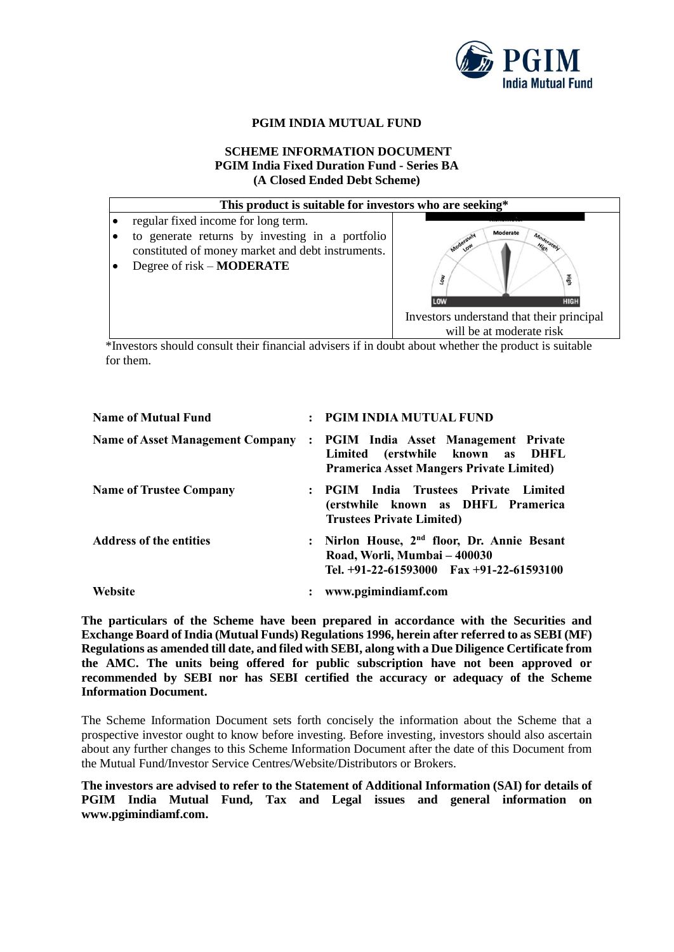

# **PGIM INDIA MUTUAL FUND**

### **SCHEME INFORMATION DOCUMENT PGIM India Fixed Duration Fund - Series BA (A Closed Ended Debt Scheme)**



\*Investors should consult their financial advisers if in doubt about whether the product is suitable for them.

| <b>Name of Mutual Fund</b>              |                | : PGIM INDIA MUTUAL FUND                                                                                                              |  |  |
|-----------------------------------------|----------------|---------------------------------------------------------------------------------------------------------------------------------------|--|--|
| <b>Name of Asset Management Company</b> | $\ddot{\cdot}$ | <b>PGIM</b> India Asset Management Private<br>(erstwhile known as DHFL<br>Limited<br><b>Pramerica Asset Mangers Private Limited)</b>  |  |  |
| <b>Name of Trustee Company</b>          | $\mathbf{L}$   | <b>PGIM</b> India Trustees Private Limited<br>(erstwhile known as DHFL Pramerica<br><b>Trustees Private Limited)</b>                  |  |  |
| <b>Address of the entities</b>          | $\ddot{\cdot}$ | Nirlon House, 2 <sup>nd</sup> floor, Dr. Annie Besant<br>Road, Worli, Mumbai - 400030<br>Tel. $+91-22-61593000$ Fax $+91-22-61593100$ |  |  |
| Website                                 |                | : www.pgimindiamf.com                                                                                                                 |  |  |

**The particulars of the Scheme have been prepared in accordance with the Securities and Exchange Board of India (Mutual Funds) Regulations 1996, herein after referred to as SEBI (MF) Regulations as amended till date, and filed with SEBI, along with a Due Diligence Certificate from the AMC. The units being offered for public subscription have not been approved or recommended by SEBI nor has SEBI certified the accuracy or adequacy of the Scheme Information Document.**

The Scheme Information Document sets forth concisely the information about the Scheme that a prospective investor ought to know before investing. Before investing, investors should also ascertain about any further changes to this Scheme Information Document after the date of this Document from the Mutual Fund/Investor Service Centres/Website/Distributors or Brokers.

**The investors are advised to refer to the Statement of Additional Information (SAI) for details of PGIM India Mutual Fund, Tax and Legal issues and general information on www.pgimindiamf.com.**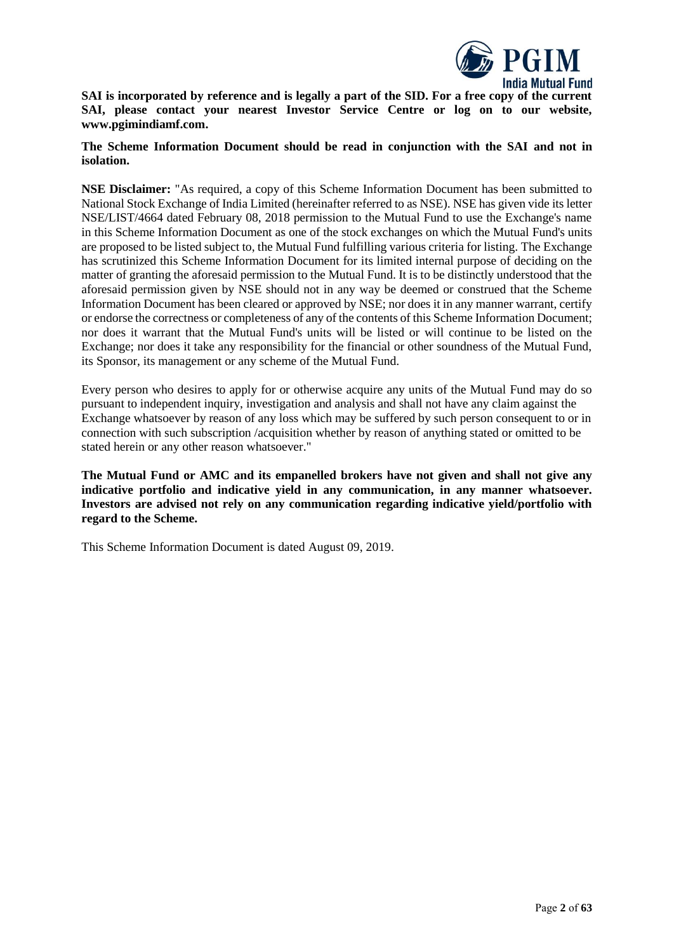

**SAI is incorporated by reference and is legally a part of the SID. For a free copy of the current SAI, please contact your nearest Investor Service Centre or log on to our website, www.pgimindiamf.com.**

**The Scheme Information Document should be read in conjunction with the SAI and not in isolation.**

**NSE Disclaimer:** "As required, a copy of this Scheme Information Document has been submitted to National Stock Exchange of India Limited (hereinafter referred to as NSE). NSE has given vide its letter NSE/LIST/4664 dated February 08, 2018 permission to the Mutual Fund to use the Exchange's name in this Scheme Information Document as one of the stock exchanges on which the Mutual Fund's units are proposed to be listed subject to, the Mutual Fund fulfilling various criteria for listing. The Exchange has scrutinized this Scheme Information Document for its limited internal purpose of deciding on the matter of granting the aforesaid permission to the Mutual Fund. It is to be distinctly understood that the aforesaid permission given by NSE should not in any way be deemed or construed that the Scheme Information Document has been cleared or approved by NSE; nor does it in any manner warrant, certify or endorse the correctness or completeness of any of the contents of this Scheme Information Document; nor does it warrant that the Mutual Fund's units will be listed or will continue to be listed on the Exchange; nor does it take any responsibility for the financial or other soundness of the Mutual Fund, its Sponsor, its management or any scheme of the Mutual Fund.

Every person who desires to apply for or otherwise acquire any units of the Mutual Fund may do so pursuant to independent inquiry, investigation and analysis and shall not have any claim against the Exchange whatsoever by reason of any loss which may be suffered by such person consequent to or in connection with such subscription /acquisition whether by reason of anything stated or omitted to be stated herein or any other reason whatsoever."

**The Mutual Fund or AMC and its empanelled brokers have not given and shall not give any indicative portfolio and indicative yield in any communication, in any manner whatsoever. Investors are advised not rely on any communication regarding indicative yield/portfolio with regard to the Scheme.**

This Scheme Information Document is dated August 09, 2019.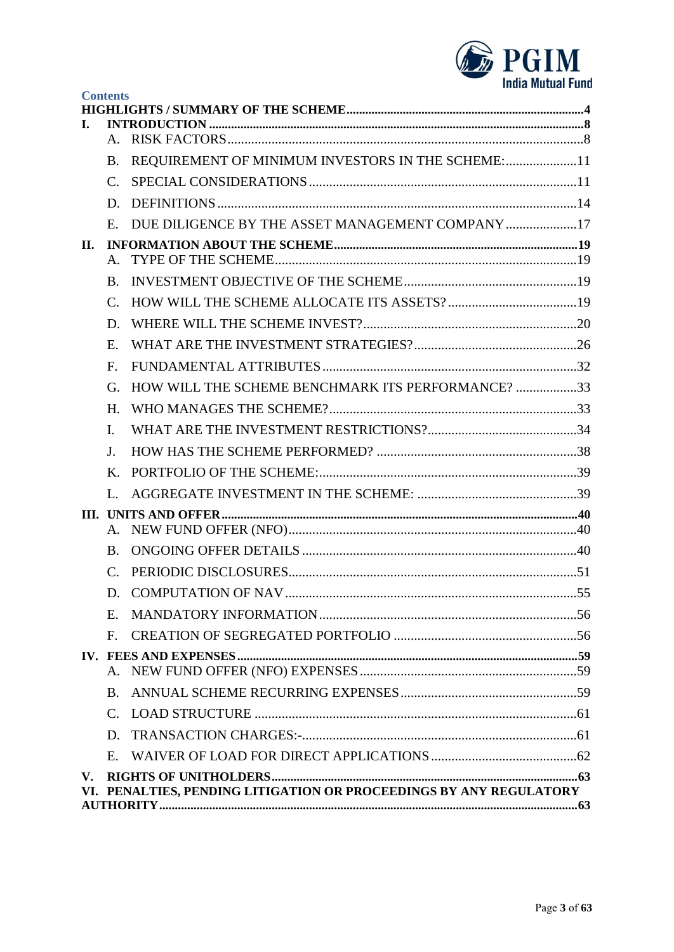

|     | <b>Contents</b>       |                                                                    |  |
|-----|-----------------------|--------------------------------------------------------------------|--|
| L.  |                       |                                                                    |  |
|     | $A_{-}$               |                                                                    |  |
|     | <b>B.</b>             | REQUIREMENT OF MINIMUM INVESTORS IN THE SCHEME:11                  |  |
|     | $\mathcal{C}$ .       |                                                                    |  |
|     | D.                    |                                                                    |  |
|     | E.                    | DUE DILIGENCE BY THE ASSET MANAGEMENT COMPANY17                    |  |
| II. |                       |                                                                    |  |
|     | $A_{-}$               |                                                                    |  |
|     | B.                    |                                                                    |  |
|     | $\mathcal{C}$ .       |                                                                    |  |
|     | D.                    |                                                                    |  |
|     | E.                    |                                                                    |  |
|     | $F_{\cdot}$           |                                                                    |  |
|     | G.                    | HOW WILL THE SCHEME BENCHMARK ITS PERFORMANCE? 33                  |  |
|     | $H_{\cdot}$           |                                                                    |  |
|     | I.                    |                                                                    |  |
|     | J.                    |                                                                    |  |
|     | K.                    |                                                                    |  |
|     | L.                    |                                                                    |  |
|     | А.                    |                                                                    |  |
|     | B.                    |                                                                    |  |
|     | $\mathcal{C}_{\cdot}$ |                                                                    |  |
|     | D.                    |                                                                    |  |
|     | E.                    |                                                                    |  |
|     | $\mathbf{F}$          |                                                                    |  |
|     |                       |                                                                    |  |
|     | A.                    |                                                                    |  |
|     | <b>B.</b>             |                                                                    |  |
|     | $C_{\cdot}$           |                                                                    |  |
|     | D.                    |                                                                    |  |
|     | $E_{\rm c}$           |                                                                    |  |
| V.  |                       |                                                                    |  |
|     |                       | VI. PENALTIES, PENDING LITIGATION OR PROCEEDINGS BY ANY REGULATORY |  |
|     |                       |                                                                    |  |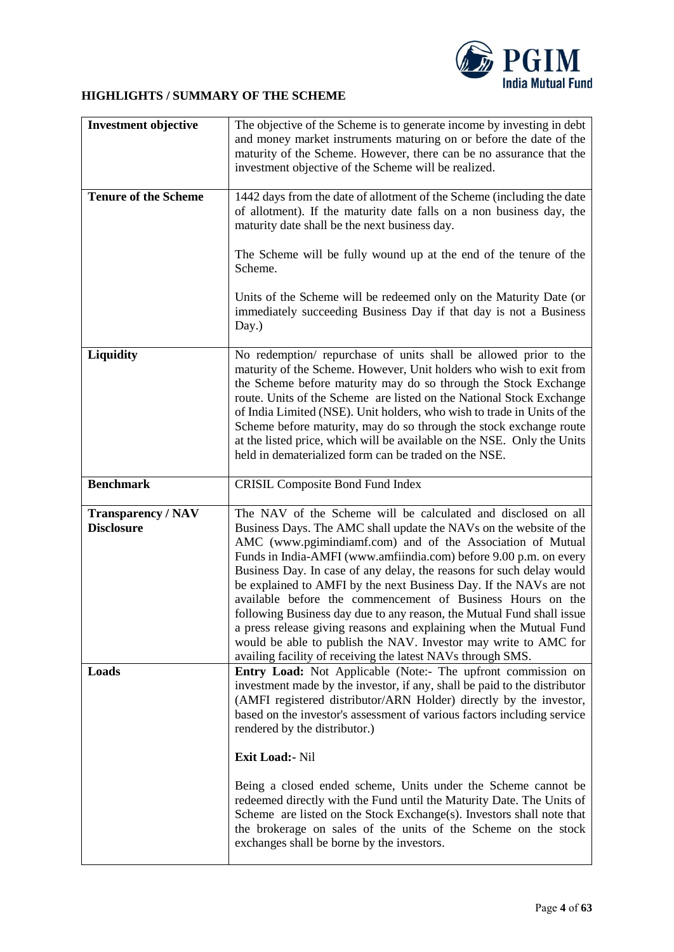

# <span id="page-3-0"></span>**HIGHLIGHTS / SUMMARY OF THE SCHEME**

| <b>Investment objective</b>                    | The objective of the Scheme is to generate income by investing in debt<br>and money market instruments maturing on or before the date of the<br>maturity of the Scheme. However, there can be no assurance that the<br>investment objective of the Scheme will be realized.                                                                                                                                                                                                                                                                                                                                                                                                                                                                                         |  |
|------------------------------------------------|---------------------------------------------------------------------------------------------------------------------------------------------------------------------------------------------------------------------------------------------------------------------------------------------------------------------------------------------------------------------------------------------------------------------------------------------------------------------------------------------------------------------------------------------------------------------------------------------------------------------------------------------------------------------------------------------------------------------------------------------------------------------|--|
| <b>Tenure of the Scheme</b>                    | 1442 days from the date of allotment of the Scheme (including the date<br>of allotment). If the maturity date falls on a non business day, the<br>maturity date shall be the next business day.                                                                                                                                                                                                                                                                                                                                                                                                                                                                                                                                                                     |  |
|                                                | The Scheme will be fully wound up at the end of the tenure of the<br>Scheme.                                                                                                                                                                                                                                                                                                                                                                                                                                                                                                                                                                                                                                                                                        |  |
|                                                | Units of the Scheme will be redeemed only on the Maturity Date (or<br>immediately succeeding Business Day if that day is not a Business<br>Day.)                                                                                                                                                                                                                                                                                                                                                                                                                                                                                                                                                                                                                    |  |
| Liquidity                                      | No redemption/ repurchase of units shall be allowed prior to the<br>maturity of the Scheme. However, Unit holders who wish to exit from<br>the Scheme before maturity may do so through the Stock Exchange<br>route. Units of the Scheme are listed on the National Stock Exchange<br>of India Limited (NSE). Unit holders, who wish to trade in Units of the<br>Scheme before maturity, may do so through the stock exchange route<br>at the listed price, which will be available on the NSE. Only the Units<br>held in dematerialized form can be traded on the NSE.                                                                                                                                                                                             |  |
| <b>Benchmark</b>                               | <b>CRISIL Composite Bond Fund Index</b>                                                                                                                                                                                                                                                                                                                                                                                                                                                                                                                                                                                                                                                                                                                             |  |
| <b>Transparency / NAV</b><br><b>Disclosure</b> | The NAV of the Scheme will be calculated and disclosed on all<br>Business Days. The AMC shall update the NAVs on the website of the<br>AMC (www.pgimindiamf.com) and of the Association of Mutual<br>Funds in India-AMFI (www.amfiindia.com) before 9.00 p.m. on every<br>Business Day. In case of any delay, the reasons for such delay would<br>be explained to AMFI by the next Business Day. If the NAVs are not<br>available before the commencement of Business Hours on the<br>following Business day due to any reason, the Mutual Fund shall issue<br>a press release giving reasons and explaining when the Mutual Fund<br>would be able to publish the NAV. Investor may write to AMC for<br>availing facility of receiving the latest NAVs through SMS. |  |
| Loads                                          | <b>Entry Load:</b> Not Applicable (Note:- The upfront commission on<br>investment made by the investor, if any, shall be paid to the distributor<br>(AMFI registered distributor/ARN Holder) directly by the investor,<br>based on the investor's assessment of various factors including service<br>rendered by the distributor.)                                                                                                                                                                                                                                                                                                                                                                                                                                  |  |
|                                                | Exit Load: Nil                                                                                                                                                                                                                                                                                                                                                                                                                                                                                                                                                                                                                                                                                                                                                      |  |
|                                                | Being a closed ended scheme, Units under the Scheme cannot be<br>redeemed directly with the Fund until the Maturity Date. The Units of<br>Scheme are listed on the Stock Exchange(s). Investors shall note that<br>the brokerage on sales of the units of the Scheme on the stock<br>exchanges shall be borne by the investors.                                                                                                                                                                                                                                                                                                                                                                                                                                     |  |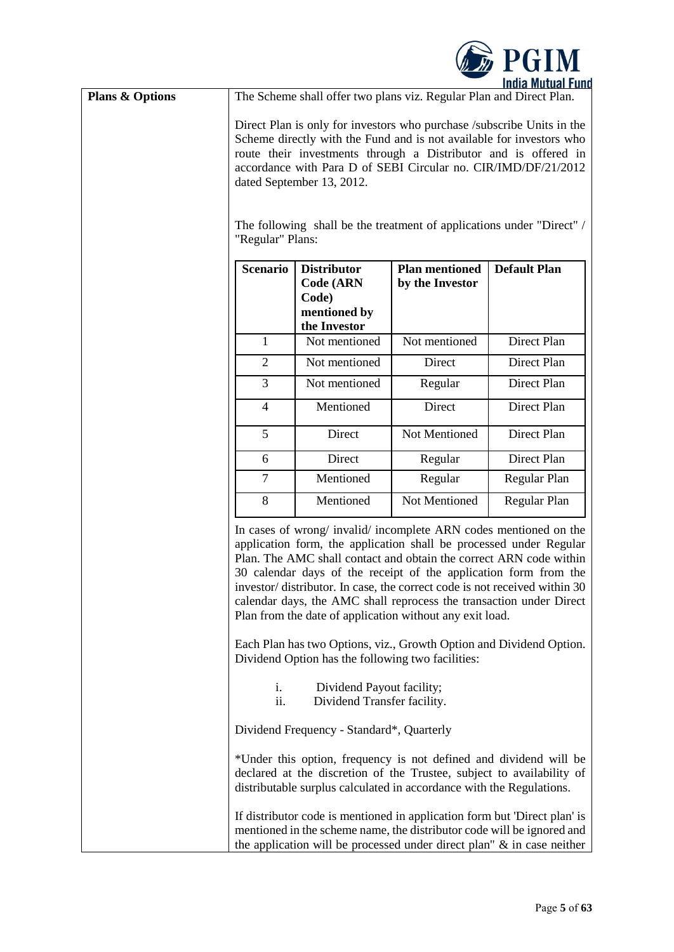

| <b>Plans &amp; Options</b> |                                                                                                                                                                                                                                                                                                                                                                                                               |                                                          | The Scheme shall offer two plans viz. Regular Plan and Direct Plan.  | <b>IIIUIA MULUAI I UIIL</b>                                                                                                                                                                                                                                                                                                                                                                                                           |
|----------------------------|---------------------------------------------------------------------------------------------------------------------------------------------------------------------------------------------------------------------------------------------------------------------------------------------------------------------------------------------------------------------------------------------------------------|----------------------------------------------------------|----------------------------------------------------------------------|---------------------------------------------------------------------------------------------------------------------------------------------------------------------------------------------------------------------------------------------------------------------------------------------------------------------------------------------------------------------------------------------------------------------------------------|
|                            | Direct Plan is only for investors who purchase /subscribe Units in the<br>Scheme directly with the Fund and is not available for investors who<br>route their investments through a Distributor and is offered in<br>accordance with Para D of SEBI Circular no. CIR/IMD/DF/21/2012<br>dated September 13, 2012.<br>The following shall be the treatment of applications under "Direct" /<br>"Regular" Plans: |                                                          |                                                                      |                                                                                                                                                                                                                                                                                                                                                                                                                                       |
|                            | <b>Scenario</b>                                                                                                                                                                                                                                                                                                                                                                                               | <b>Distributor</b><br><b>Code (ARN</b><br>Code)          | <b>Plan mentioned</b><br>by the Investor                             | <b>Default Plan</b>                                                                                                                                                                                                                                                                                                                                                                                                                   |
|                            |                                                                                                                                                                                                                                                                                                                                                                                                               | mentioned by<br>the Investor                             |                                                                      |                                                                                                                                                                                                                                                                                                                                                                                                                                       |
|                            | 1                                                                                                                                                                                                                                                                                                                                                                                                             | Not mentioned                                            | Not mentioned                                                        | Direct Plan                                                                                                                                                                                                                                                                                                                                                                                                                           |
|                            | $\overline{2}$                                                                                                                                                                                                                                                                                                                                                                                                | Not mentioned                                            | Direct                                                               | Direct Plan                                                                                                                                                                                                                                                                                                                                                                                                                           |
|                            | $\mathfrak{Z}$                                                                                                                                                                                                                                                                                                                                                                                                | Not mentioned                                            | Regular                                                              | Direct Plan                                                                                                                                                                                                                                                                                                                                                                                                                           |
|                            | $\overline{4}$                                                                                                                                                                                                                                                                                                                                                                                                | Mentioned                                                | Direct                                                               | Direct Plan                                                                                                                                                                                                                                                                                                                                                                                                                           |
|                            | 5                                                                                                                                                                                                                                                                                                                                                                                                             | Direct                                                   | Not Mentioned                                                        | Direct Plan                                                                                                                                                                                                                                                                                                                                                                                                                           |
|                            | 6                                                                                                                                                                                                                                                                                                                                                                                                             | Direct                                                   | Regular                                                              | Direct Plan                                                                                                                                                                                                                                                                                                                                                                                                                           |
|                            | $\overline{7}$                                                                                                                                                                                                                                                                                                                                                                                                | Mentioned                                                | Regular                                                              | Regular Plan                                                                                                                                                                                                                                                                                                                                                                                                                          |
|                            | 8                                                                                                                                                                                                                                                                                                                                                                                                             | Mentioned                                                | Not Mentioned                                                        | Regular Plan                                                                                                                                                                                                                                                                                                                                                                                                                          |
|                            |                                                                                                                                                                                                                                                                                                                                                                                                               |                                                          | Plan from the date of application without any exit load.             | In cases of wrong/ invalid/ incomplete ARN codes mentioned on the<br>application form, the application shall be processed under Regular<br>Plan. The AMC shall contact and obtain the correct ARN code within<br>30 calendar days of the receipt of the application form from the<br>investor/distributor. In case, the correct code is not received within 30<br>calendar days, the AMC shall reprocess the transaction under Direct |
|                            |                                                                                                                                                                                                                                                                                                                                                                                                               | Dividend Option has the following two facilities:        |                                                                      | Each Plan has two Options, viz., Growth Option and Dividend Option.                                                                                                                                                                                                                                                                                                                                                                   |
|                            | i.<br>ii.                                                                                                                                                                                                                                                                                                                                                                                                     | Dividend Payout facility;<br>Dividend Transfer facility. |                                                                      |                                                                                                                                                                                                                                                                                                                                                                                                                                       |
|                            |                                                                                                                                                                                                                                                                                                                                                                                                               | Dividend Frequency - Standard*, Quarterly                |                                                                      |                                                                                                                                                                                                                                                                                                                                                                                                                                       |
|                            |                                                                                                                                                                                                                                                                                                                                                                                                               |                                                          | distributable surplus calculated in accordance with the Regulations. | *Under this option, frequency is not defined and dividend will be<br>declared at the discretion of the Trustee, subject to availability of                                                                                                                                                                                                                                                                                            |
|                            |                                                                                                                                                                                                                                                                                                                                                                                                               |                                                          |                                                                      | If distributor code is mentioned in application form but 'Direct plan' is<br>mentioned in the scheme name, the distributor code will be ignored and<br>the application will be processed under direct plan" $\&$ in case neither                                                                                                                                                                                                      |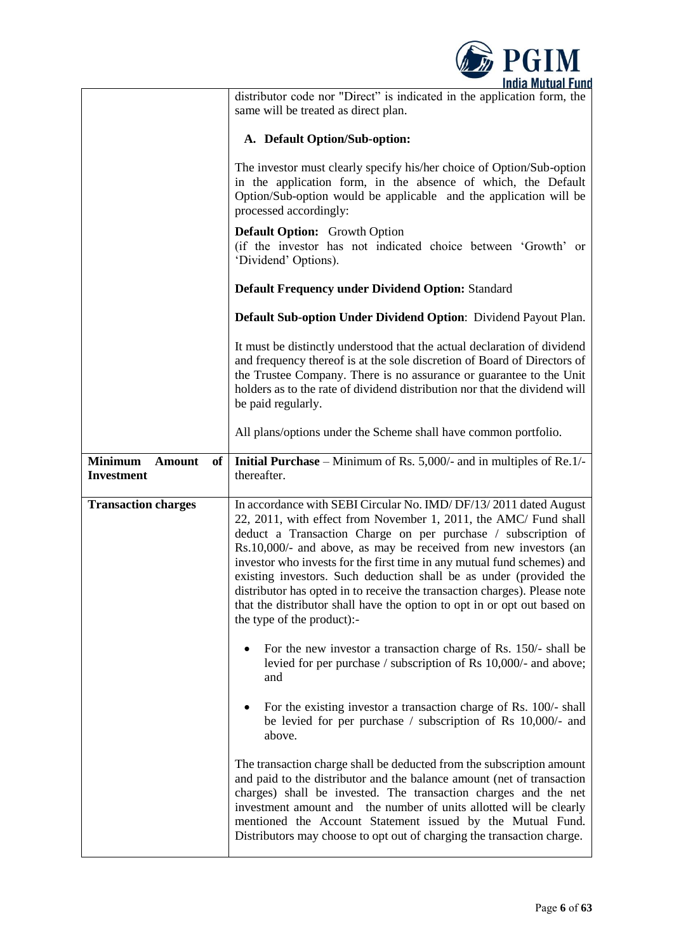

|                                                            | distributor code nor "Direct" is indicated in the application form, the<br>same will be treated as direct plan.                                                                                                                                                                                                                                                                                                                                                                                                                                                                                                   |  |  |
|------------------------------------------------------------|-------------------------------------------------------------------------------------------------------------------------------------------------------------------------------------------------------------------------------------------------------------------------------------------------------------------------------------------------------------------------------------------------------------------------------------------------------------------------------------------------------------------------------------------------------------------------------------------------------------------|--|--|
|                                                            | A. Default Option/Sub-option:                                                                                                                                                                                                                                                                                                                                                                                                                                                                                                                                                                                     |  |  |
|                                                            | The investor must clearly specify his/her choice of Option/Sub-option<br>in the application form, in the absence of which, the Default<br>Option/Sub-option would be applicable and the application will be<br>processed accordingly:                                                                                                                                                                                                                                                                                                                                                                             |  |  |
|                                                            | <b>Default Option:</b> Growth Option<br>(if the investor has not indicated choice between 'Growth' or<br>'Dividend' Options).                                                                                                                                                                                                                                                                                                                                                                                                                                                                                     |  |  |
|                                                            | <b>Default Frequency under Dividend Option: Standard</b>                                                                                                                                                                                                                                                                                                                                                                                                                                                                                                                                                          |  |  |
|                                                            | Default Sub-option Under Dividend Option: Dividend Payout Plan.                                                                                                                                                                                                                                                                                                                                                                                                                                                                                                                                                   |  |  |
|                                                            | It must be distinctly understood that the actual declaration of dividend<br>and frequency thereof is at the sole discretion of Board of Directors of<br>the Trustee Company. There is no assurance or guarantee to the Unit<br>holders as to the rate of dividend distribution nor that the dividend will<br>be paid regularly.                                                                                                                                                                                                                                                                                   |  |  |
|                                                            | All plans/options under the Scheme shall have common portfolio.                                                                                                                                                                                                                                                                                                                                                                                                                                                                                                                                                   |  |  |
| <b>Minimum</b><br><b>Amount</b><br>of<br><b>Investment</b> | Initial Purchase - Minimum of Rs. 5,000/- and in multiples of Re.1/-<br>thereafter.                                                                                                                                                                                                                                                                                                                                                                                                                                                                                                                               |  |  |
| <b>Transaction charges</b>                                 | In accordance with SEBI Circular No. IMD/DF/13/2011 dated August<br>22, 2011, with effect from November 1, 2011, the AMC/ Fund shall<br>deduct a Transaction Charge on per purchase / subscription of<br>Rs.10,000/- and above, as may be received from new investors (an<br>investor who invests for the first time in any mutual fund schemes) and<br>existing investors. Such deduction shall be as under (provided the<br>distributor has opted in to receive the transaction charges). Please note<br>that the distributor shall have the option to opt in or opt out based on<br>the type of the product):- |  |  |
|                                                            | For the new investor a transaction charge of Rs. 150/- shall be<br>levied for per purchase / subscription of Rs 10,000/- and above;<br>and                                                                                                                                                                                                                                                                                                                                                                                                                                                                        |  |  |
|                                                            | For the existing investor a transaction charge of Rs. 100/- shall<br>be levied for per purchase / subscription of Rs 10,000/- and<br>above.                                                                                                                                                                                                                                                                                                                                                                                                                                                                       |  |  |
|                                                            | The transaction charge shall be deducted from the subscription amount<br>and paid to the distributor and the balance amount (net of transaction<br>charges) shall be invested. The transaction charges and the net<br>investment amount and the number of units allotted will be clearly<br>mentioned the Account Statement issued by the Mutual Fund.<br>Distributors may choose to opt out of charging the transaction charge.                                                                                                                                                                                  |  |  |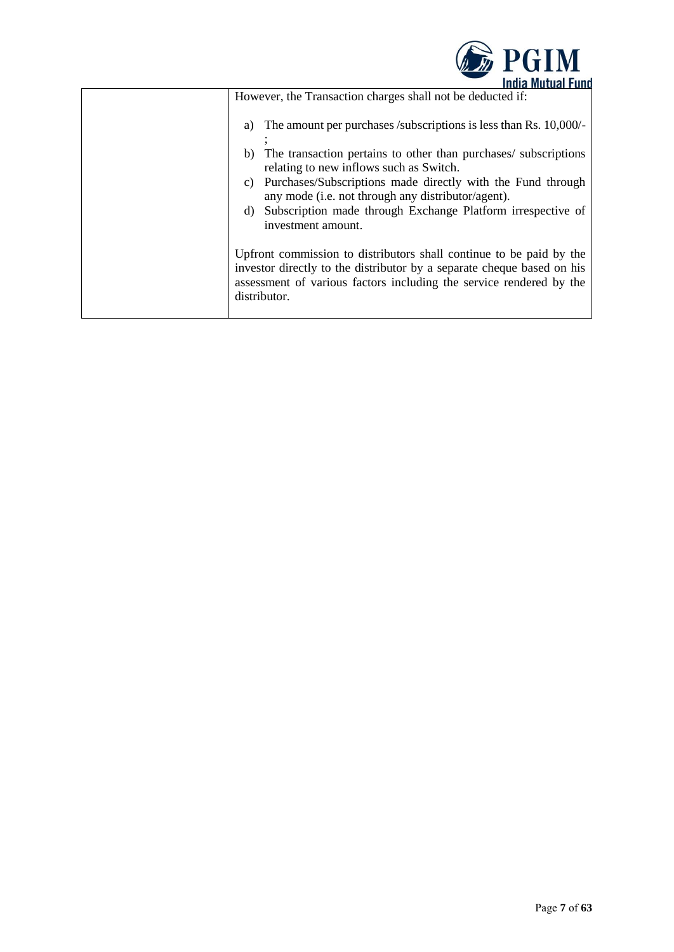

| THUIA MULUAL FUILU                                                                                                                                                                                                                   |
|--------------------------------------------------------------------------------------------------------------------------------------------------------------------------------------------------------------------------------------|
| However, the Transaction charges shall not be deducted if:                                                                                                                                                                           |
| The amount per purchases /subscriptions is less than Rs. 10,000/-<br>a)                                                                                                                                                              |
| The transaction pertains to other than purchases/ subscriptions<br>b)<br>relating to new inflows such as Switch.                                                                                                                     |
| Purchases/Subscriptions made directly with the Fund through<br>C)<br>any mode (i.e. not through any distributor/agent).                                                                                                              |
| Subscription made through Exchange Platform irrespective of<br>d)<br>investment amount.                                                                                                                                              |
| Upfront commission to distributors shall continue to be paid by the<br>investor directly to the distributor by a separate cheque based on his<br>assessment of various factors including the service rendered by the<br>distributor. |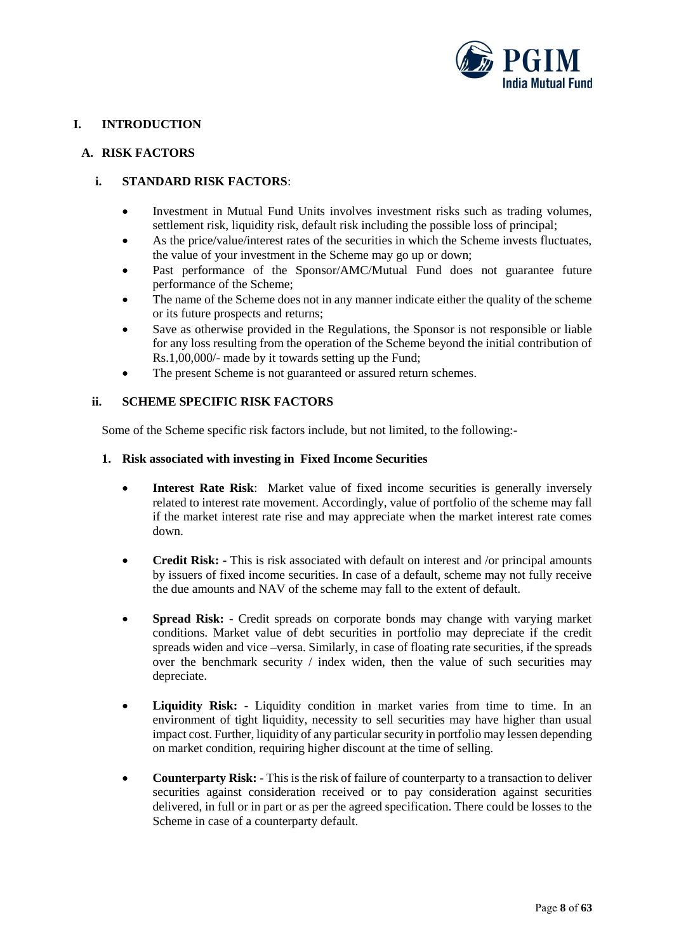

# <span id="page-7-0"></span>**I. INTRODUCTION**

### <span id="page-7-1"></span>**A. RISK FACTORS**

# **i. STANDARD RISK FACTORS**:

- Investment in Mutual Fund Units involves investment risks such as trading volumes, settlement risk, liquidity risk, default risk including the possible loss of principal;
- As the price/value/interest rates of the securities in which the Scheme invests fluctuates, the value of your investment in the Scheme may go up or down;
- Past performance of the Sponsor/AMC/Mutual Fund does not guarantee future performance of the Scheme;
- The name of the Scheme does not in any manner indicate either the quality of the scheme or its future prospects and returns;
- Save as otherwise provided in the Regulations, the Sponsor is not responsible or liable for any loss resulting from the operation of the Scheme beyond the initial contribution of Rs.1,00,000/- made by it towards setting up the Fund;
- The present Scheme is not guaranteed or assured return schemes.

### **ii. SCHEME SPECIFIC RISK FACTORS**

Some of the Scheme specific risk factors include, but not limited, to the following:-

#### **1. Risk associated with investing in Fixed Income Securities**

- **Interest Rate Risk**: Market value of fixed income securities is generally inversely related to interest rate movement. Accordingly, value of portfolio of the scheme may fall if the market interest rate rise and may appreciate when the market interest rate comes down.
- **Credit Risk:** This is risk associated with default on interest and /or principal amounts by issuers of fixed income securities. In case of a default, scheme may not fully receive the due amounts and NAV of the scheme may fall to the extent of default.
- **Spread Risk: -** Credit spreads on corporate bonds may change with varying market conditions. Market value of debt securities in portfolio may depreciate if the credit spreads widen and vice –versa. Similarly, in case of floating rate securities, if the spreads over the benchmark security / index widen, then the value of such securities may depreciate.
- **Liquidity Risk: -** Liquidity condition in market varies from time to time. In an environment of tight liquidity, necessity to sell securities may have higher than usual impact cost. Further, liquidity of any particular security in portfolio may lessen depending on market condition, requiring higher discount at the time of selling.
- **Counterparty Risk: -** This is the risk of failure of counterparty to a transaction to deliver securities against consideration received or to pay consideration against securities delivered, in full or in part or as per the agreed specification. There could be losses to the Scheme in case of a counterparty default.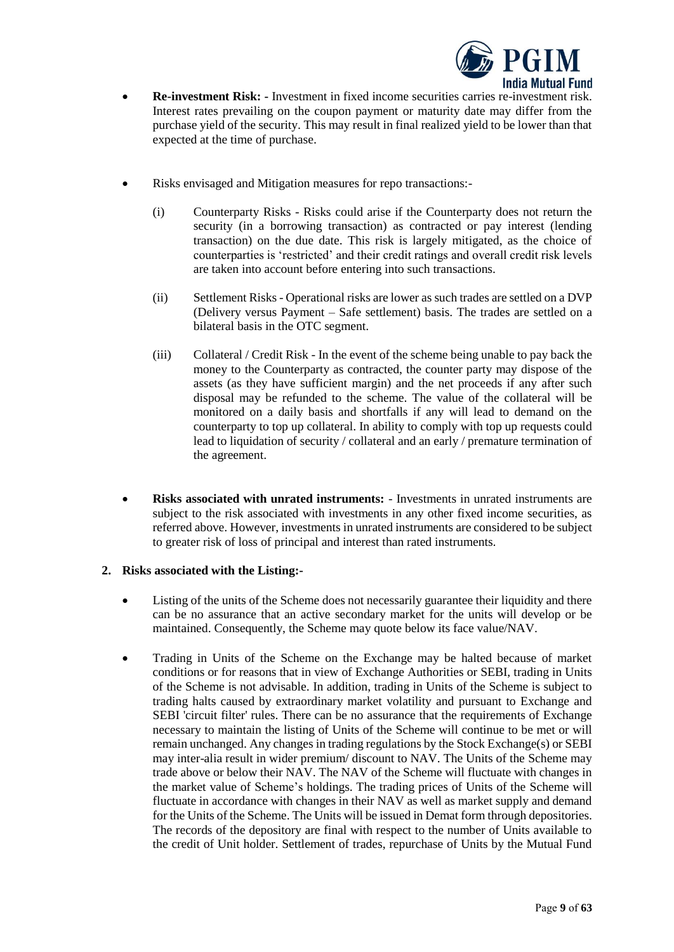

- **Re-investment Risk: -** Investment in fixed income securities carries re-investment risk. Interest rates prevailing on the coupon payment or maturity date may differ from the purchase yield of the security. This may result in final realized yield to be lower than that expected at the time of purchase.
- Risks envisaged and Mitigation measures for repo transactions:-
	- (i) Counterparty Risks Risks could arise if the Counterparty does not return the security (in a borrowing transaction) as contracted or pay interest (lending transaction) on the due date. This risk is largely mitigated, as the choice of counterparties is 'restricted' and their credit ratings and overall credit risk levels are taken into account before entering into such transactions.
	- (ii) Settlement Risks Operational risks are lower as such trades are settled on a DVP (Delivery versus Payment – Safe settlement) basis. The trades are settled on a bilateral basis in the OTC segment.
	- (iii) Collateral / Credit Risk In the event of the scheme being unable to pay back the money to the Counterparty as contracted, the counter party may dispose of the assets (as they have sufficient margin) and the net proceeds if any after such disposal may be refunded to the scheme. The value of the collateral will be monitored on a daily basis and shortfalls if any will lead to demand on the counterparty to top up collateral. In ability to comply with top up requests could lead to liquidation of security / collateral and an early / premature termination of the agreement.
- **Risks associated with unrated instruments:**  Investments in unrated instruments are subject to the risk associated with investments in any other fixed income securities, as referred above. However, investments in unrated instruments are considered to be subject to greater risk of loss of principal and interest than rated instruments.

### **2. Risks associated with the Listing:-**

- Listing of the units of the Scheme does not necessarily guarantee their liquidity and there can be no assurance that an active secondary market for the units will develop or be maintained. Consequently, the Scheme may quote below its face value/NAV.
- Trading in Units of the Scheme on the Exchange may be halted because of market conditions or for reasons that in view of Exchange Authorities or SEBI, trading in Units of the Scheme is not advisable. In addition, trading in Units of the Scheme is subject to trading halts caused by extraordinary market volatility and pursuant to Exchange and SEBI 'circuit filter' rules. There can be no assurance that the requirements of Exchange necessary to maintain the listing of Units of the Scheme will continue to be met or will remain unchanged. Any changes in trading regulations by the Stock Exchange(s) or SEBI may inter-alia result in wider premium/ discount to NAV. The Units of the Scheme may trade above or below their NAV. The NAV of the Scheme will fluctuate with changes in the market value of Scheme's holdings. The trading prices of Units of the Scheme will fluctuate in accordance with changes in their NAV as well as market supply and demand for the Units of the Scheme. The Units will be issued in Demat form through depositories. The records of the depository are final with respect to the number of Units available to the credit of Unit holder. Settlement of trades, repurchase of Units by the Mutual Fund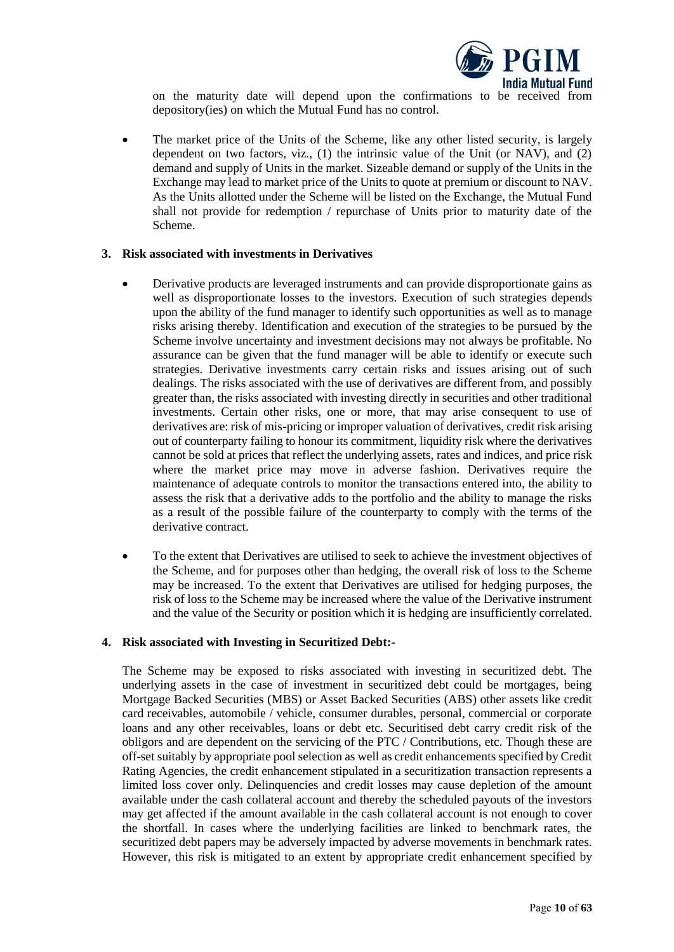

on the maturity date will depend upon the confirmations to be received from depository(ies) on which the Mutual Fund has no control.

The market price of the Units of the Scheme, like any other listed security, is largely dependent on two factors, viz., (1) the intrinsic value of the Unit (or NAV), and (2) demand and supply of Units in the market. Sizeable demand or supply of the Units in the Exchange may lead to market price of the Units to quote at premium or discount to NAV. As the Units allotted under the Scheme will be listed on the Exchange, the Mutual Fund shall not provide for redemption / repurchase of Units prior to maturity date of the Scheme.

#### **3. Risk associated with investments in Derivatives**

- Derivative products are leveraged instruments and can provide disproportionate gains as well as disproportionate losses to the investors. Execution of such strategies depends upon the ability of the fund manager to identify such opportunities as well as to manage risks arising thereby. Identification and execution of the strategies to be pursued by the Scheme involve uncertainty and investment decisions may not always be profitable. No assurance can be given that the fund manager will be able to identify or execute such strategies. Derivative investments carry certain risks and issues arising out of such dealings. The risks associated with the use of derivatives are different from, and possibly greater than, the risks associated with investing directly in securities and other traditional investments. Certain other risks, one or more, that may arise consequent to use of derivatives are: risk of mis-pricing or improper valuation of derivatives, credit risk arising out of counterparty failing to honour its commitment, liquidity risk where the derivatives cannot be sold at prices that reflect the underlying assets, rates and indices, and price risk where the market price may move in adverse fashion. Derivatives require the maintenance of adequate controls to monitor the transactions entered into, the ability to assess the risk that a derivative adds to the portfolio and the ability to manage the risks as a result of the possible failure of the counterparty to comply with the terms of the derivative contract.
- To the extent that Derivatives are utilised to seek to achieve the investment objectives of the Scheme, and for purposes other than hedging, the overall risk of loss to the Scheme may be increased. To the extent that Derivatives are utilised for hedging purposes, the risk of loss to the Scheme may be increased where the value of the Derivative instrument and the value of the Security or position which it is hedging are insufficiently correlated.

#### **4. Risk associated with Investing in Securitized Debt:-**

The Scheme may be exposed to risks associated with investing in securitized debt. The underlying assets in the case of investment in securitized debt could be mortgages, being Mortgage Backed Securities (MBS) or Asset Backed Securities (ABS) other assets like credit card receivables, automobile / vehicle, consumer durables, personal, commercial or corporate loans and any other receivables, loans or debt etc. Securitised debt carry credit risk of the obligors and are dependent on the servicing of the PTC / Contributions, etc. Though these are off-set suitably by appropriate pool selection as well as credit enhancements specified by Credit Rating Agencies, the credit enhancement stipulated in a securitization transaction represents a limited loss cover only. Delinquencies and credit losses may cause depletion of the amount available under the cash collateral account and thereby the scheduled payouts of the investors may get affected if the amount available in the cash collateral account is not enough to cover the shortfall. In cases where the underlying facilities are linked to benchmark rates, the securitized debt papers may be adversely impacted by adverse movements in benchmark rates. However, this risk is mitigated to an extent by appropriate credit enhancement specified by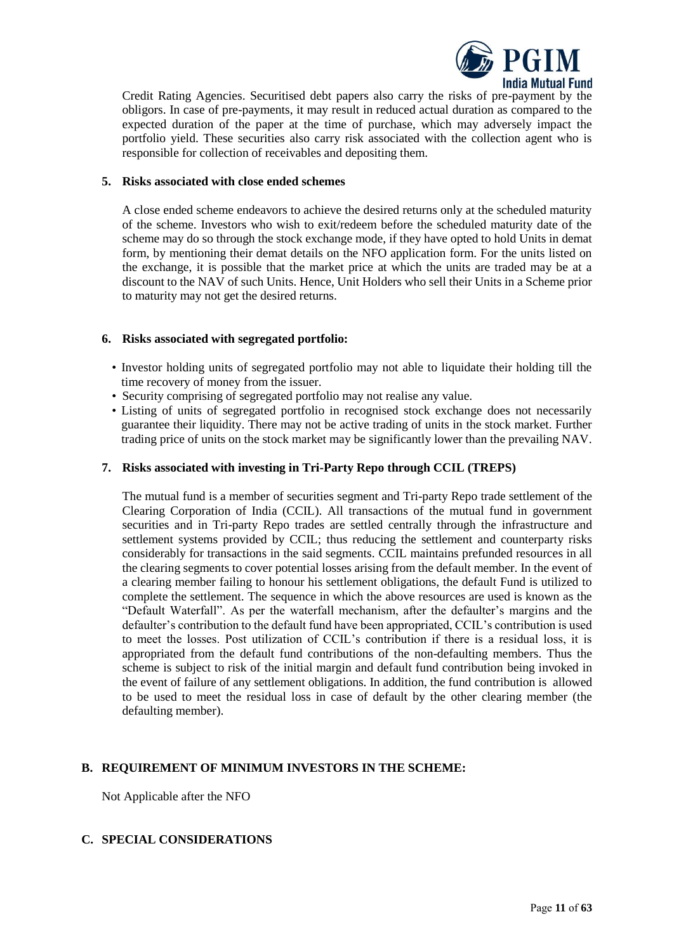

Credit Rating Agencies. Securitised debt papers also carry the risks of pre-payment by the obligors. In case of pre-payments, it may result in reduced actual duration as compared to the expected duration of the paper at the time of purchase, which may adversely impact the portfolio yield. These securities also carry risk associated with the collection agent who is responsible for collection of receivables and depositing them.

#### **5. Risks associated with close ended schemes**

A close ended scheme endeavors to achieve the desired returns only at the scheduled maturity of the scheme. Investors who wish to exit/redeem before the scheduled maturity date of the scheme may do so through the stock exchange mode, if they have opted to hold Units in demat form, by mentioning their demat details on the NFO application form. For the units listed on the exchange, it is possible that the market price at which the units are traded may be at a discount to the NAV of such Units. Hence, Unit Holders who sell their Units in a Scheme prior to maturity may not get the desired returns.

### **6. Risks associated with segregated portfolio:**

- Investor holding units of segregated portfolio may not able to liquidate their holding till the time recovery of money from the issuer.
- Security comprising of segregated portfolio may not realise any value.
- Listing of units of segregated portfolio in recognised stock exchange does not necessarily guarantee their liquidity. There may not be active trading of units in the stock market. Further trading price of units on the stock market may be significantly lower than the prevailing NAV.

### **7. Risks associated with investing in Tri-Party Repo through CCIL (TREPS)**

The mutual fund is a member of securities segment and Tri-party Repo trade settlement of the Clearing Corporation of India (CCIL). All transactions of the mutual fund in government securities and in Tri-party Repo trades are settled centrally through the infrastructure and settlement systems provided by CCIL; thus reducing the settlement and counterparty risks considerably for transactions in the said segments. CCIL maintains prefunded resources in all the clearing segments to cover potential losses arising from the default member. In the event of a clearing member failing to honour his settlement obligations, the default Fund is utilized to complete the settlement. The sequence in which the above resources are used is known as the "Default Waterfall". As per the waterfall mechanism, after the defaulter's margins and the defaulter's contribution to the default fund have been appropriated, CCIL's contribution is used to meet the losses. Post utilization of CCIL's contribution if there is a residual loss, it is appropriated from the default fund contributions of the non-defaulting members. Thus the scheme is subject to risk of the initial margin and default fund contribution being invoked in the event of failure of any settlement obligations. In addition, the fund contribution is allowed to be used to meet the residual loss in case of default by the other clearing member (the defaulting member).

### <span id="page-10-0"></span>**B. REQUIREMENT OF MINIMUM INVESTORS IN THE SCHEME:**

Not Applicable after the NFO

### <span id="page-10-1"></span>**C. SPECIAL CONSIDERATIONS**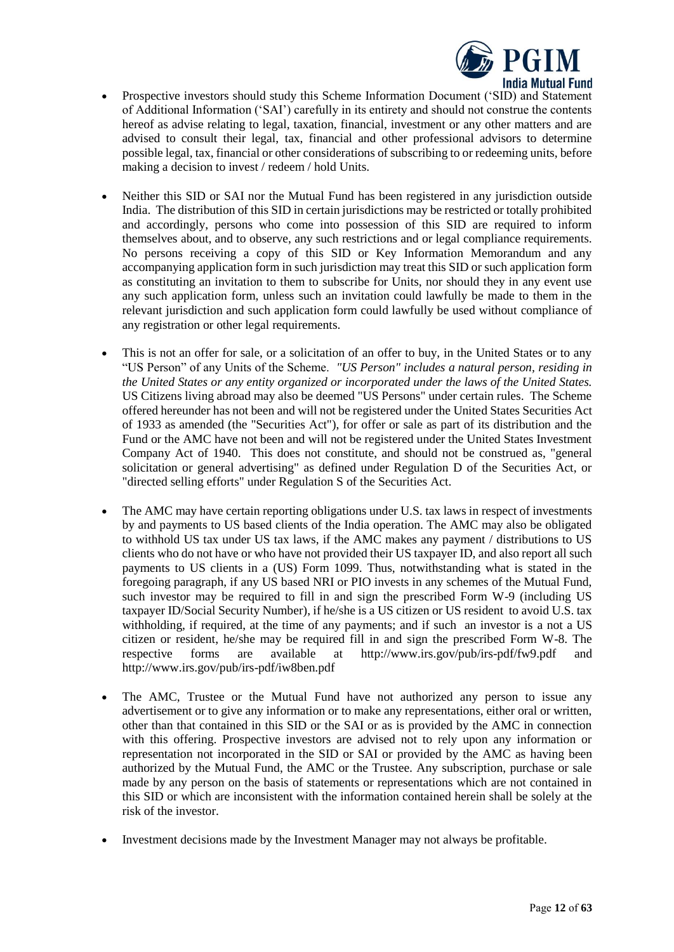

- Prospective investors should study this Scheme Information Document ('SID) and Statement of Additional Information ('SAI') carefully in its entirety and should not construe the contents hereof as advise relating to legal, taxation, financial, investment or any other matters and are advised to consult their legal, tax, financial and other professional advisors to determine possible legal, tax, financial or other considerations of subscribing to or redeeming units, before making a decision to invest / redeem / hold Units.
- Neither this SID or SAI nor the Mutual Fund has been registered in any jurisdiction outside India. The distribution of this SID in certain jurisdictions may be restricted or totally prohibited and accordingly, persons who come into possession of this SID are required to inform themselves about, and to observe, any such restrictions and or legal compliance requirements. No persons receiving a copy of this SID or Key Information Memorandum and any accompanying application form in such jurisdiction may treat this SID or such application form as constituting an invitation to them to subscribe for Units, nor should they in any event use any such application form, unless such an invitation could lawfully be made to them in the relevant jurisdiction and such application form could lawfully be used without compliance of any registration or other legal requirements.
- This is not an offer for sale, or a solicitation of an offer to buy, in the United States or to any "US Person" of any Units of the Scheme. *"US Person" includes a natural person, residing in the United States or any entity organized or incorporated under the laws of the United States.* US Citizens living abroad may also be deemed "US Persons" under certain rules. The Scheme offered hereunder has not been and will not be registered under the United States Securities Act of 1933 as amended (the "Securities Act"), for offer or sale as part of its distribution and the Fund or the AMC have not been and will not be registered under the United States Investment Company Act of 1940. This does not constitute, and should not be construed as, "general solicitation or general advertising" as defined under Regulation D of the Securities Act, or "directed selling efforts" under Regulation S of the Securities Act.
- The AMC may have certain reporting obligations under U.S. tax laws in respect of investments by and payments to US based clients of the India operation. The AMC may also be obligated to withhold US tax under US tax laws, if the AMC makes any payment / distributions to US clients who do not have or who have not provided their US taxpayer ID, and also report all such payments to US clients in a (US) Form 1099. Thus, notwithstanding what is stated in the foregoing paragraph, if any US based NRI or PIO invests in any schemes of the Mutual Fund, such investor may be required to fill in and sign the prescribed Form W-9 (including US taxpayer ID/Social Security Number), if he/she is a US citizen or US resident to avoid U.S. tax withholding, if required, at the time of any payments; and if such an investor is a not a US citizen or resident, he/she may be required fill in and sign the prescribed Form W-8. The respective forms are available at <http://www.irs.gov/pub/irs-pdf/fw9.pdf> and <http://www.irs.gov/pub/irs-pdf/iw8ben.pdf>
- The AMC, Trustee or the Mutual Fund have not authorized any person to issue any advertisement or to give any information or to make any representations, either oral or written, other than that contained in this SID or the SAI or as is provided by the AMC in connection with this offering. Prospective investors are advised not to rely upon any information or representation not incorporated in the SID or SAI or provided by the AMC as having been authorized by the Mutual Fund, the AMC or the Trustee. Any subscription, purchase or sale made by any person on the basis of statements or representations which are not contained in this SID or which are inconsistent with the information contained herein shall be solely at the risk of the investor.
- Investment decisions made by the Investment Manager may not always be profitable.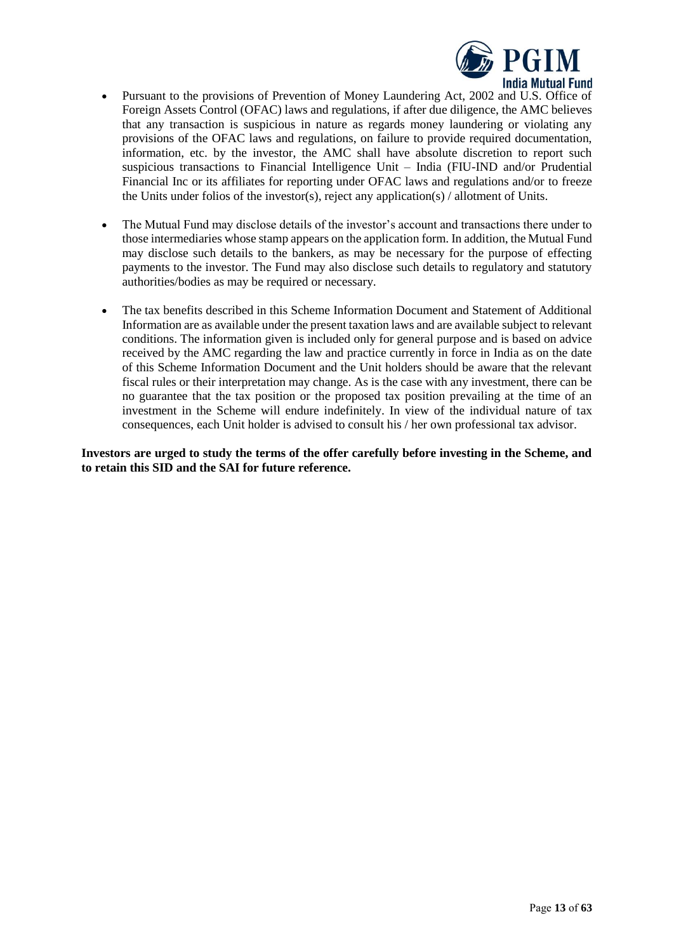

- Pursuant to the provisions of Prevention of Money Laundering Act, 2002 and U.S. Office of Foreign Assets Control (OFAC) laws and regulations, if after due diligence, the AMC believes that any transaction is suspicious in nature as regards money laundering or violating any provisions of the OFAC laws and regulations, on failure to provide required documentation, information, etc. by the investor, the AMC shall have absolute discretion to report such suspicious transactions to Financial Intelligence Unit – India (FIU-IND and/or Prudential Financial Inc or its affiliates for reporting under OFAC laws and regulations and/or to freeze the Units under folios of the investor(s), reject any application(s) / allotment of Units.
- The Mutual Fund may disclose details of the investor's account and transactions there under to those intermediaries whose stamp appears on the application form. In addition, the Mutual Fund may disclose such details to the bankers, as may be necessary for the purpose of effecting payments to the investor. The Fund may also disclose such details to regulatory and statutory authorities/bodies as may be required or necessary.
- The tax benefits described in this Scheme Information Document and Statement of Additional Information are as available under the present taxation laws and are available subject to relevant conditions. The information given is included only for general purpose and is based on advice received by the AMC regarding the law and practice currently in force in India as on the date of this Scheme Information Document and the Unit holders should be aware that the relevant fiscal rules or their interpretation may change. As is the case with any investment, there can be no guarantee that the tax position or the proposed tax position prevailing at the time of an investment in the Scheme will endure indefinitely. In view of the individual nature of tax consequences, each Unit holder is advised to consult his / her own professional tax advisor.

**Investors are urged to study the terms of the offer carefully before investing in the Scheme, and to retain this SID and the SAI for future reference.**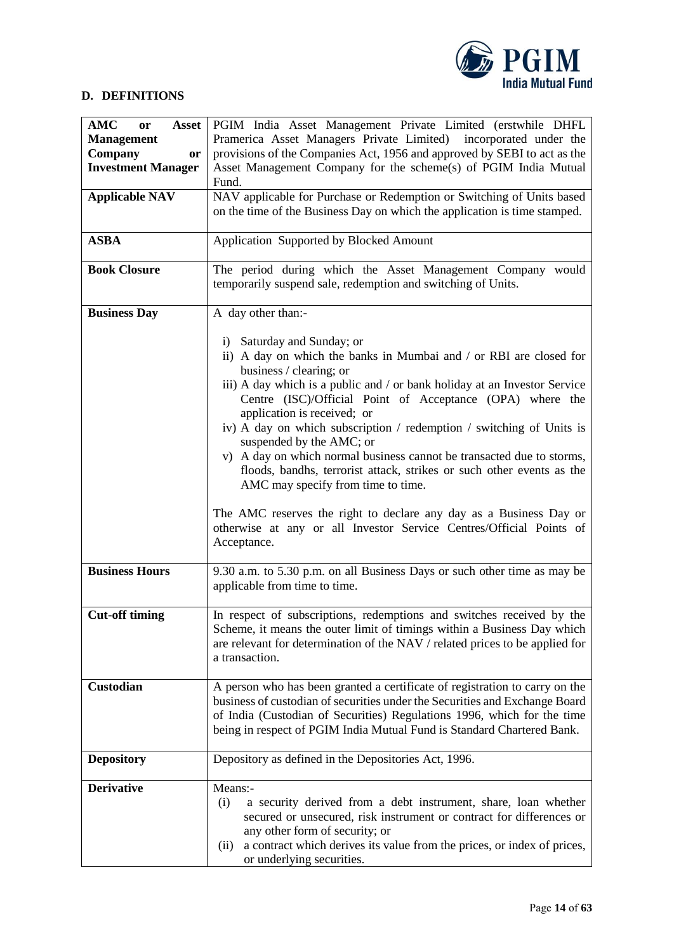

# <span id="page-13-0"></span>**D. DEFINITIONS**

| <b>AMC</b><br><b>Asset</b><br>or<br><b>Management</b><br>Company<br>or<br><b>Investment Manager</b><br><b>Applicable NAV</b><br><b>ASBA</b> | PGIM India Asset Management Private Limited (erstwhile DHFL<br>Pramerica Asset Managers Private Limited)<br>incorporated under the<br>provisions of the Companies Act, 1956 and approved by SEBI to act as the<br>Asset Management Company for the scheme(s) of PGIM India Mutual<br>Fund.<br>NAV applicable for Purchase or Redemption or Switching of Units based<br>on the time of the Business Day on which the application is time stamped.<br>Application Supported by Blocked Amount                                                      |  |  |
|---------------------------------------------------------------------------------------------------------------------------------------------|--------------------------------------------------------------------------------------------------------------------------------------------------------------------------------------------------------------------------------------------------------------------------------------------------------------------------------------------------------------------------------------------------------------------------------------------------------------------------------------------------------------------------------------------------|--|--|
| <b>Book Closure</b>                                                                                                                         | The period during which the Asset Management Company would<br>temporarily suspend sale, redemption and switching of Units.                                                                                                                                                                                                                                                                                                                                                                                                                       |  |  |
| <b>Business Day</b>                                                                                                                         | A day other than:-<br>i) Saturday and Sunday; or<br>ii) A day on which the banks in Mumbai and / or RBI are closed for<br>business / clearing; or<br>iii) A day which is a public and / or bank holiday at an Investor Service                                                                                                                                                                                                                                                                                                                   |  |  |
|                                                                                                                                             | Centre (ISC)/Official Point of Acceptance (OPA) where the<br>application is received; or<br>iv) A day on which subscription / redemption / switching of Units is<br>suspended by the AMC; or<br>v) A day on which normal business cannot be transacted due to storms,<br>floods, bandhs, terrorist attack, strikes or such other events as the<br>AMC may specify from time to time.<br>The AMC reserves the right to declare any day as a Business Day or<br>otherwise at any or all Investor Service Centres/Official Points of<br>Acceptance. |  |  |
| <b>Business Hours</b>                                                                                                                       | 9.30 a.m. to 5.30 p.m. on all Business Days or such other time as may be<br>applicable from time to time.                                                                                                                                                                                                                                                                                                                                                                                                                                        |  |  |
| <b>Cut-off timing</b>                                                                                                                       | In respect of subscriptions, redemptions and switches received by the<br>Scheme, it means the outer limit of timings within a Business Day which<br>are relevant for determination of the NAV / related prices to be applied for<br>a transaction.                                                                                                                                                                                                                                                                                               |  |  |
| Custodian                                                                                                                                   | A person who has been granted a certificate of registration to carry on the<br>business of custodian of securities under the Securities and Exchange Board<br>of India (Custodian of Securities) Regulations 1996, which for the time<br>being in respect of PGIM India Mutual Fund is Standard Chartered Bank.                                                                                                                                                                                                                                  |  |  |
| <b>Depository</b>                                                                                                                           | Depository as defined in the Depositories Act, 1996.                                                                                                                                                                                                                                                                                                                                                                                                                                                                                             |  |  |
| <b>Derivative</b>                                                                                                                           | Means:-<br>(i)<br>a security derived from a debt instrument, share, loan whether<br>secured or unsecured, risk instrument or contract for differences or<br>any other form of security; or<br>a contract which derives its value from the prices, or index of prices,<br>(ii)<br>or underlying securities.                                                                                                                                                                                                                                       |  |  |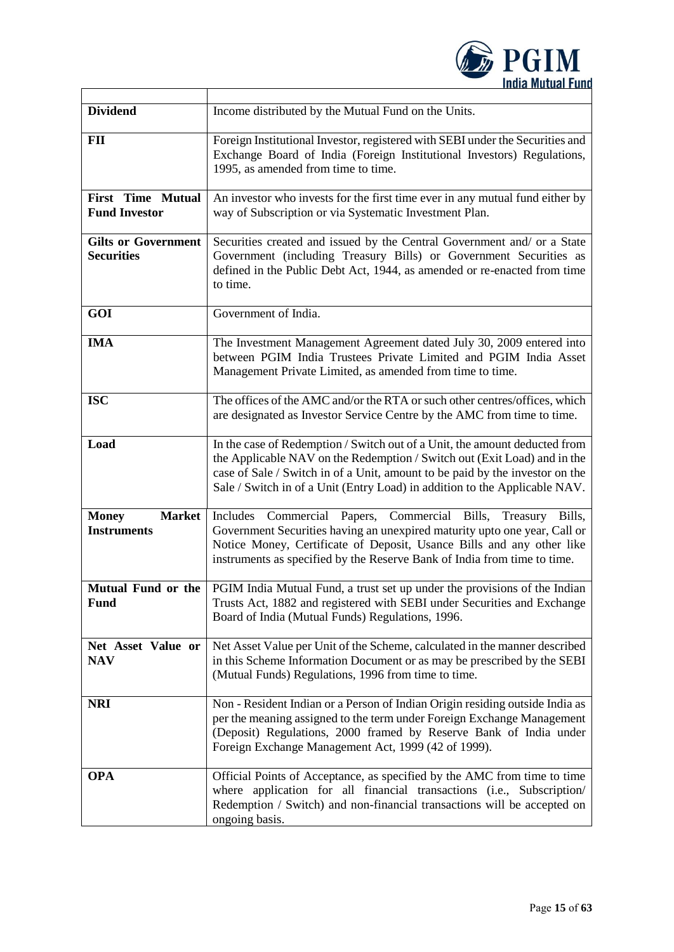

| <b>Dividend</b>                                     | Income distributed by the Mutual Fund on the Units.                                                                                                                                                                                                                                                                  |  |  |
|-----------------------------------------------------|----------------------------------------------------------------------------------------------------------------------------------------------------------------------------------------------------------------------------------------------------------------------------------------------------------------------|--|--|
| FII                                                 | Foreign Institutional Investor, registered with SEBI under the Securities and<br>Exchange Board of India (Foreign Institutional Investors) Regulations,<br>1995, as amended from time to time.                                                                                                                       |  |  |
| <b>First Time Mutual</b><br><b>Fund Investor</b>    | An investor who invests for the first time ever in any mutual fund either by<br>way of Subscription or via Systematic Investment Plan.                                                                                                                                                                               |  |  |
| <b>Gilts or Government</b><br><b>Securities</b>     | Securities created and issued by the Central Government and/ or a State<br>Government (including Treasury Bills) or Government Securities as<br>defined in the Public Debt Act, 1944, as amended or re-enacted from time<br>to time.                                                                                 |  |  |
| GOI                                                 | Government of India.                                                                                                                                                                                                                                                                                                 |  |  |
| <b>IMA</b>                                          | The Investment Management Agreement dated July 30, 2009 entered into<br>between PGIM India Trustees Private Limited and PGIM India Asset<br>Management Private Limited, as amended from time to time.                                                                                                                |  |  |
| <b>ISC</b>                                          | The offices of the AMC and/or the RTA or such other centres/offices, which<br>are designated as Investor Service Centre by the AMC from time to time.                                                                                                                                                                |  |  |
| Load                                                | In the case of Redemption / Switch out of a Unit, the amount deducted from<br>the Applicable NAV on the Redemption / Switch out (Exit Load) and in the<br>case of Sale / Switch in of a Unit, amount to be paid by the investor on the<br>Sale / Switch in of a Unit (Entry Load) in addition to the Applicable NAV. |  |  |
| <b>Market</b><br><b>Money</b><br><b>Instruments</b> | Includes Commercial Papers, Commercial Bills, Treasury<br>Bills,<br>Government Securities having an unexpired maturity upto one year, Call or<br>Notice Money, Certificate of Deposit, Usance Bills and any other like<br>instruments as specified by the Reserve Bank of India from time to time.                   |  |  |
| <b>Fund</b>                                         | Mutual Fund or the   PGIM India Mutual Fund, a trust set up under the provisions of the Indian<br>Trusts Act, 1882 and registered with SEBI under Securities and Exchange<br>Board of India (Mutual Funds) Regulations, 1996.                                                                                        |  |  |
| Net Asset Value or<br><b>NAV</b>                    | Net Asset Value per Unit of the Scheme, calculated in the manner described<br>in this Scheme Information Document or as may be prescribed by the SEBI<br>(Mutual Funds) Regulations, 1996 from time to time.                                                                                                         |  |  |
| <b>NRI</b>                                          | Non - Resident Indian or a Person of Indian Origin residing outside India as<br>per the meaning assigned to the term under Foreign Exchange Management<br>(Deposit) Regulations, 2000 framed by Reserve Bank of India under<br>Foreign Exchange Management Act, 1999 (42 of 1999).                                   |  |  |
| <b>OPA</b>                                          | Official Points of Acceptance, as specified by the AMC from time to time<br>where application for all financial transactions (i.e., Subscription/<br>Redemption / Switch) and non-financial transactions will be accepted on<br>ongoing basis.                                                                       |  |  |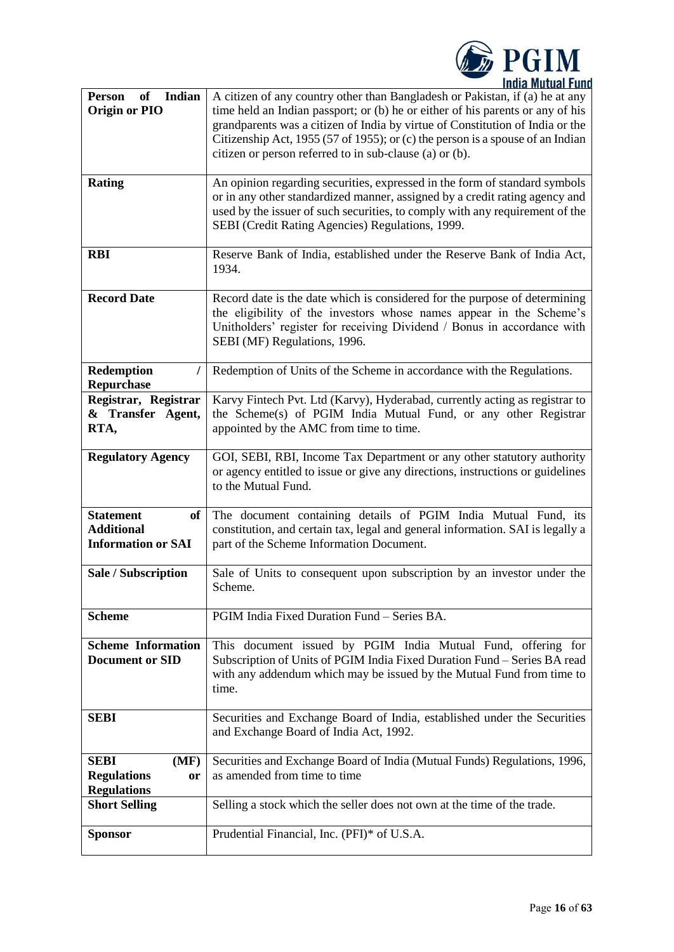

| Indian<br>of<br><b>Person</b><br><b>Origin or PIO</b>                    | A citizen of any country other than Bangladesh or Pakistan, if (a) he at any<br>time held an Indian passport; or (b) he or either of his parents or any of his<br>grandparents was a citizen of India by virtue of Constitution of India or the<br>Citizenship Act, 1955 (57 of 1955); or (c) the person is a spouse of an Indian<br>citizen or person referred to in sub-clause (a) or (b). |
|--------------------------------------------------------------------------|----------------------------------------------------------------------------------------------------------------------------------------------------------------------------------------------------------------------------------------------------------------------------------------------------------------------------------------------------------------------------------------------|
| <b>Rating</b>                                                            | An opinion regarding securities, expressed in the form of standard symbols<br>or in any other standardized manner, assigned by a credit rating agency and<br>used by the issuer of such securities, to comply with any requirement of the<br>SEBI (Credit Rating Agencies) Regulations, 1999.                                                                                                |
| <b>RBI</b>                                                               | Reserve Bank of India, established under the Reserve Bank of India Act,<br>1934.                                                                                                                                                                                                                                                                                                             |
| <b>Record Date</b>                                                       | Record date is the date which is considered for the purpose of determining<br>the eligibility of the investors whose names appear in the Scheme's<br>Unitholders' register for receiving Dividend / Bonus in accordance with<br>SEBI (MF) Regulations, 1996.                                                                                                                                 |
| Redemption<br>I<br><b>Repurchase</b>                                     | Redemption of Units of the Scheme in accordance with the Regulations.                                                                                                                                                                                                                                                                                                                        |
| Registrar, Registrar<br>& Transfer Agent,<br>RTA,                        | Karvy Fintech Pvt. Ltd (Karvy), Hyderabad, currently acting as registrar to<br>the Scheme(s) of PGIM India Mutual Fund, or any other Registrar<br>appointed by the AMC from time to time.                                                                                                                                                                                                    |
| <b>Regulatory Agency</b>                                                 | GOI, SEBI, RBI, Income Tax Department or any other statutory authority<br>or agency entitled to issue or give any directions, instructions or guidelines<br>to the Mutual Fund.                                                                                                                                                                                                              |
| <b>Statement</b><br>of<br><b>Additional</b><br><b>Information or SAI</b> | The document containing details of PGIM India Mutual Fund, its<br>constitution, and certain tax, legal and general information. SAI is legally a<br>part of the Scheme Information Document.                                                                                                                                                                                                 |
| Sale / Subscription                                                      | Sale of Units to consequent upon subscription by an investor under the<br>Scheme.                                                                                                                                                                                                                                                                                                            |
| <b>Scheme</b>                                                            | PGIM India Fixed Duration Fund - Series BA.                                                                                                                                                                                                                                                                                                                                                  |
| <b>Scheme Information</b><br><b>Document or SID</b>                      | This document issued by PGIM India Mutual Fund, offering for<br>Subscription of Units of PGIM India Fixed Duration Fund - Series BA read<br>with any addendum which may be issued by the Mutual Fund from time to<br>time.                                                                                                                                                                   |
| <b>SEBI</b>                                                              | Securities and Exchange Board of India, established under the Securities<br>and Exchange Board of India Act, 1992.                                                                                                                                                                                                                                                                           |
| <b>SEBI</b><br>(MF)<br><b>Regulations</b><br>or<br><b>Regulations</b>    | Securities and Exchange Board of India (Mutual Funds) Regulations, 1996,<br>as amended from time to time                                                                                                                                                                                                                                                                                     |
| <b>Short Selling</b>                                                     | Selling a stock which the seller does not own at the time of the trade.                                                                                                                                                                                                                                                                                                                      |
| <b>Sponsor</b>                                                           | Prudential Financial, Inc. (PFI)* of U.S.A.                                                                                                                                                                                                                                                                                                                                                  |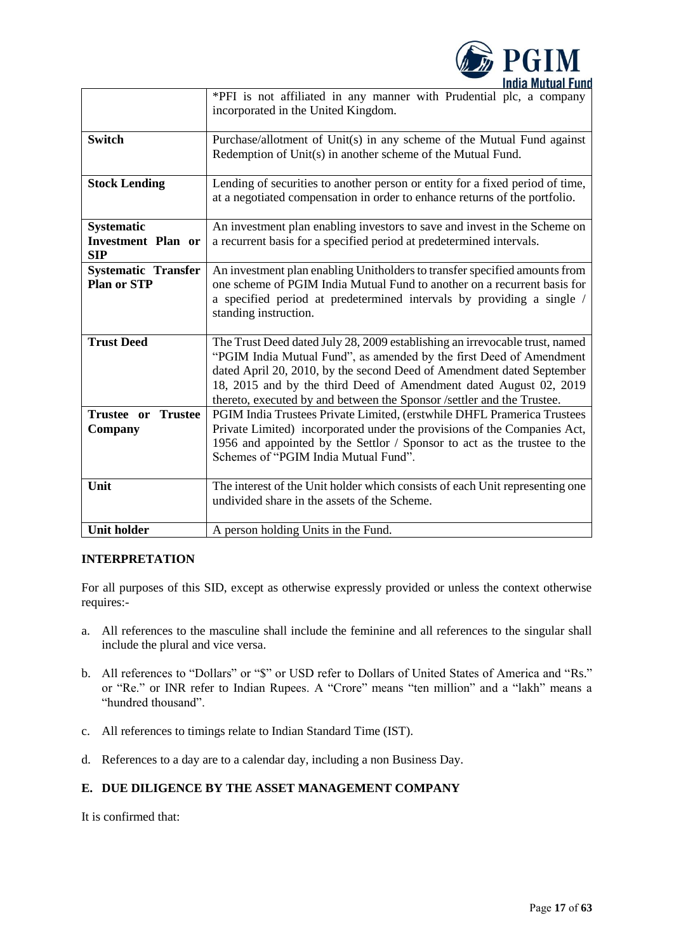

|                                                              | *PFI is not affiliated in any manner with Prudential plc, a company<br>incorporated in the United Kingdom.                                                                                                                                                                                                                                                                 |
|--------------------------------------------------------------|----------------------------------------------------------------------------------------------------------------------------------------------------------------------------------------------------------------------------------------------------------------------------------------------------------------------------------------------------------------------------|
| <b>Switch</b>                                                | Purchase/allotment of Unit(s) in any scheme of the Mutual Fund against<br>Redemption of Unit(s) in another scheme of the Mutual Fund.                                                                                                                                                                                                                                      |
| <b>Stock Lending</b>                                         | Lending of securities to another person or entity for a fixed period of time,<br>at a negotiated compensation in order to enhance returns of the portfolio.                                                                                                                                                                                                                |
| <b>Systematic</b><br><b>Investment Plan or</b><br><b>SIP</b> | An investment plan enabling investors to save and invest in the Scheme on<br>a recurrent basis for a specified period at predetermined intervals.                                                                                                                                                                                                                          |
| <b>Systematic Transfer</b><br><b>Plan or STP</b>             | An investment plan enabling Unitholders to transfer specified amounts from<br>one scheme of PGIM India Mutual Fund to another on a recurrent basis for<br>a specified period at predetermined intervals by providing a single /<br>standing instruction.                                                                                                                   |
| <b>Trust Deed</b>                                            | The Trust Deed dated July 28, 2009 establishing an irrevocable trust, named<br>"PGIM India Mutual Fund", as amended by the first Deed of Amendment<br>dated April 20, 2010, by the second Deed of Amendment dated September<br>18, 2015 and by the third Deed of Amendment dated August 02, 2019<br>thereto, executed by and between the Sponsor /settler and the Trustee. |
| Trustee or<br><b>Trustee</b><br>Company                      | PGIM India Trustees Private Limited, (erstwhile DHFL Pramerica Trustees<br>Private Limited) incorporated under the provisions of the Companies Act,<br>1956 and appointed by the Settlor / Sponsor to act as the trustee to the<br>Schemes of "PGIM India Mutual Fund".                                                                                                    |
| Unit                                                         | The interest of the Unit holder which consists of each Unit representing one<br>undivided share in the assets of the Scheme.                                                                                                                                                                                                                                               |
| <b>Unit holder</b>                                           | A person holding Units in the Fund.                                                                                                                                                                                                                                                                                                                                        |

# **INTERPRETATION**

For all purposes of this SID, except as otherwise expressly provided or unless the context otherwise requires:-

- a. All references to the masculine shall include the feminine and all references to the singular shall include the plural and vice versa.
- b. All references to "Dollars" or "\$" or USD refer to Dollars of United States of America and "Rs." or "Re." or INR refer to Indian Rupees. A "Crore" means "ten million" and a "lakh" means a "hundred thousand".
- c. All references to timings relate to Indian Standard Time (IST).
- d. References to a day are to a calendar day, including a non Business Day.

# <span id="page-16-0"></span>**E. DUE DILIGENCE BY THE ASSET MANAGEMENT COMPANY**

It is confirmed that: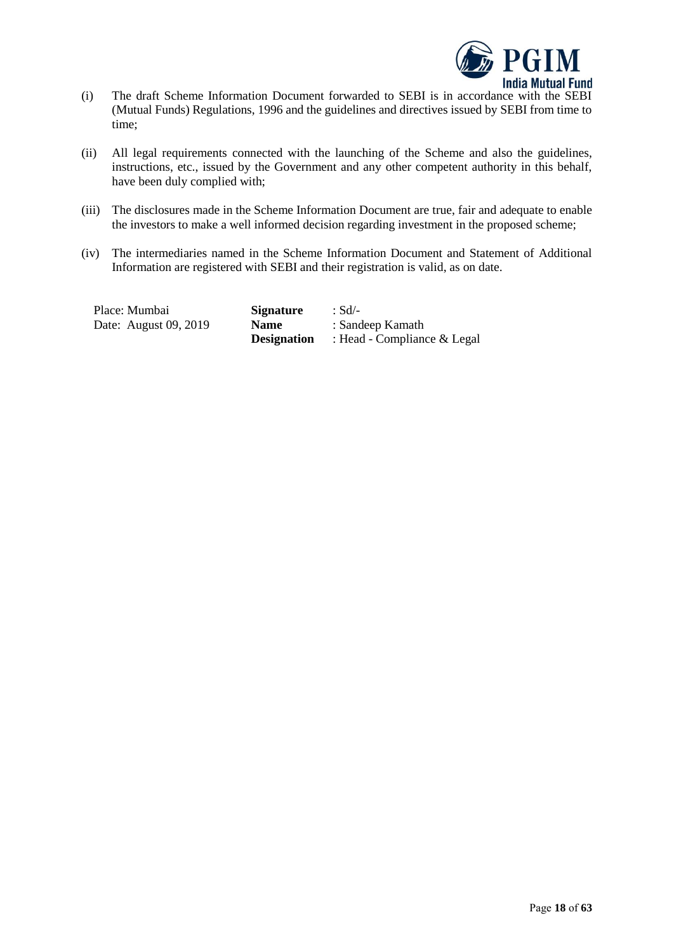

- (i) The draft Scheme Information Document forwarded to SEBI is in accordance with the SEBI (Mutual Funds) Regulations, 1996 and the guidelines and directives issued by SEBI from time to time;
- (ii) All legal requirements connected with the launching of the Scheme and also the guidelines, instructions, etc., issued by the Government and any other competent authority in this behalf, have been duly complied with;
- (iii) The disclosures made in the Scheme Information Document are true, fair and adequate to enable the investors to make a well informed decision regarding investment in the proposed scheme;
- (iv) The intermediaries named in the Scheme Information Document and Statement of Additional Information are registered with SEBI and their registration is valid, as on date.

| Place: Mumbai         | <b>Signature</b>   | : Sd/-                        |
|-----------------------|--------------------|-------------------------------|
| Date: August 09, 2019 | <b>Name</b>        | : Sandeep Kamath              |
|                       | <b>Designation</b> | : Head - Compliance $&$ Legal |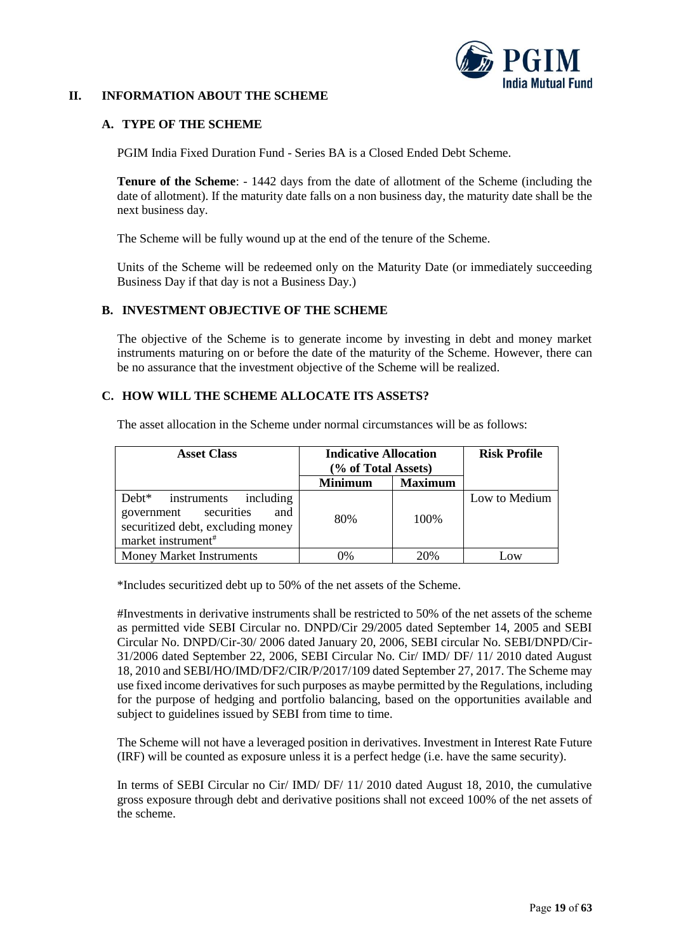

## <span id="page-18-0"></span>**II. INFORMATION ABOUT THE SCHEME**

### <span id="page-18-1"></span>**A. TYPE OF THE SCHEME**

PGIM India Fixed Duration Fund - Series BA is a Closed Ended Debt Scheme.

**Tenure of the Scheme**: - 1442 days from the date of allotment of the Scheme (including the date of allotment). If the maturity date falls on a non business day, the maturity date shall be the next business day.

The Scheme will be fully wound up at the end of the tenure of the Scheme.

Units of the Scheme will be redeemed only on the Maturity Date (or immediately succeeding Business Day if that day is not a Business Day.)

### <span id="page-18-2"></span>**B. INVESTMENT OBJECTIVE OF THE SCHEME**

The objective of the Scheme is to generate income by investing in debt and money market instruments maturing on or before the date of the maturity of the Scheme. However, there can be no assurance that the investment objective of the Scheme will be realized.

#### <span id="page-18-3"></span>**C. HOW WILL THE SCHEME ALLOCATE ITS ASSETS?**

| <b>Asset Class</b>                                                                                                                                | <b>Indicative Allocation</b><br>(% of Total Assets) |                | <b>Risk Profile</b> |
|---------------------------------------------------------------------------------------------------------------------------------------------------|-----------------------------------------------------|----------------|---------------------|
|                                                                                                                                                   | <b>Minimum</b>                                      | <b>Maximum</b> |                     |
| Debt <sup>*</sup><br>instruments including<br>government securities<br>and<br>securitized debt, excluding money<br>market instrument <sup>#</sup> | 80%                                                 | 100\%          | Low to Medium       |
| <b>Money Market Instruments</b>                                                                                                                   | 0%                                                  | 20%            | Low                 |

The asset allocation in the Scheme under normal circumstances will be as follows:

\*Includes securitized debt up to 50% of the net assets of the Scheme.

#Investments in derivative instruments shall be restricted to 50% of the net assets of the scheme as permitted vide SEBI Circular no. DNPD/Cir 29/2005 dated September 14, 2005 and SEBI Circular No. DNPD/Cir-30/ 2006 dated January 20, 2006, SEBI circular No. SEBI/DNPD/Cir-31/2006 dated September 22, 2006, SEBI Circular No. Cir/ IMD/ DF/ 11/ 2010 dated August 18, 2010 and SEBI/HO/IMD/DF2/CIR/P/2017/109 dated September 27, 2017. The Scheme may use fixed income derivatives for such purposes as maybe permitted by the Regulations, including for the purpose of hedging and portfolio balancing, based on the opportunities available and subject to guidelines issued by SEBI from time to time.

The Scheme will not have a leveraged position in derivatives. Investment in Interest Rate Future (IRF) will be counted as exposure unless it is a perfect hedge (i.e. have the same security).

In terms of SEBI Circular no Cir/ IMD/ DF/ 11/ 2010 dated August 18, 2010, the cumulative gross exposure through debt and derivative positions shall not exceed 100% of the net assets of the scheme.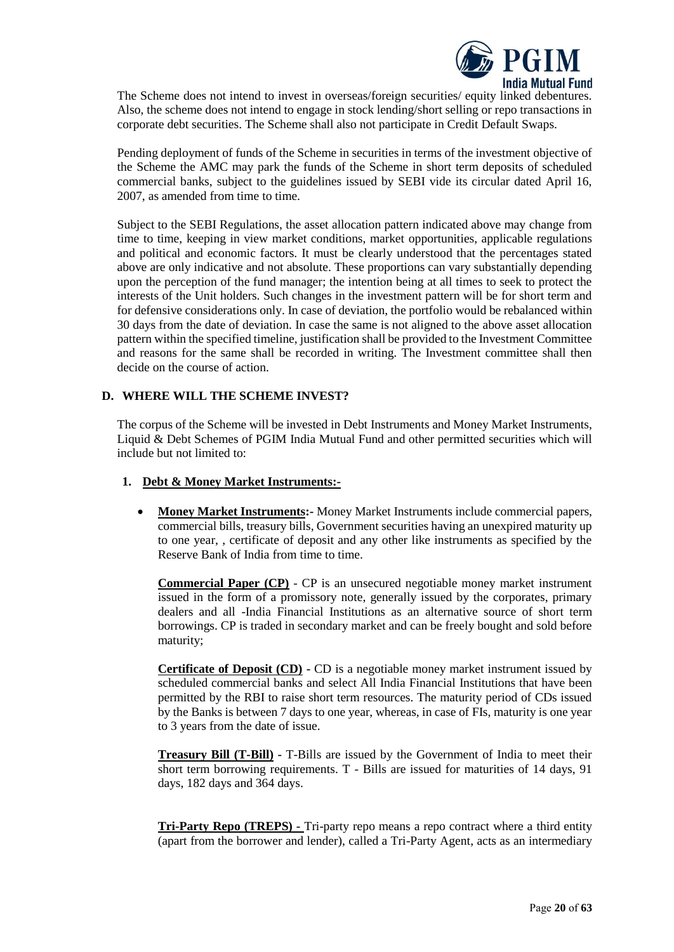

The Scheme does not intend to invest in overseas/foreign securities/ equity linked debentures. Also, the scheme does not intend to engage in stock lending/short selling or repo transactions in corporate debt securities. The Scheme shall also not participate in Credit Default Swaps.

Pending deployment of funds of the Scheme in securities in terms of the investment objective of the Scheme the AMC may park the funds of the Scheme in short term deposits of scheduled commercial banks, subject to the guidelines issued by SEBI vide its circular dated April 16, 2007, as amended from time to time.

Subject to the SEBI Regulations, the asset allocation pattern indicated above may change from time to time, keeping in view market conditions, market opportunities, applicable regulations and political and economic factors. It must be clearly understood that the percentages stated above are only indicative and not absolute. These proportions can vary substantially depending upon the perception of the fund manager; the intention being at all times to seek to protect the interests of the Unit holders. Such changes in the investment pattern will be for short term and for defensive considerations only. In case of deviation, the portfolio would be rebalanced within 30 days from the date of deviation. In case the same is not aligned to the above asset allocation pattern within the specified timeline, justification shall be provided to the Investment Committee and reasons for the same shall be recorded in writing. The Investment committee shall then decide on the course of action.

### <span id="page-19-0"></span>**D. WHERE WILL THE SCHEME INVEST?**

The corpus of the Scheme will be invested in Debt Instruments and Money Market Instruments, Liquid & Debt Schemes of PGIM India Mutual Fund and other permitted securities which will include but not limited to:

### **1. Debt & Money Market Instruments:-**

• **Money Market Instruments:-** Money Market Instruments include commercial papers, commercial bills, treasury bills, Government securities having an unexpired maturity up to one year, , certificate of deposit and any other like instruments as specified by the Reserve Bank of India from time to time.

**Commercial Paper (CP)** - CP is an unsecured negotiable money market instrument issued in the form of a promissory note, generally issued by the corporates, primary dealers and all -India Financial Institutions as an alternative source of short term borrowings. CP is traded in secondary market and can be freely bought and sold before maturity;

**Certificate of Deposit (CD) -** CD is a negotiable money market instrument issued by scheduled commercial banks and select All India Financial Institutions that have been permitted by the RBI to raise short term resources. The maturity period of CDs issued by the Banks is between 7 days to one year, whereas, in case of FIs, maturity is one year to 3 years from the date of issue.

**Treasury Bill (T-Bill) -** T-Bills are issued by the Government of India to meet their short term borrowing requirements. T - Bills are issued for maturities of 14 days, 91 days, 182 days and 364 days.

**Tri-Party Repo (TREPS) -** Tri-party repo means a repo contract where a third entity (apart from the borrower and lender), called a Tri-Party Agent, acts as an intermediary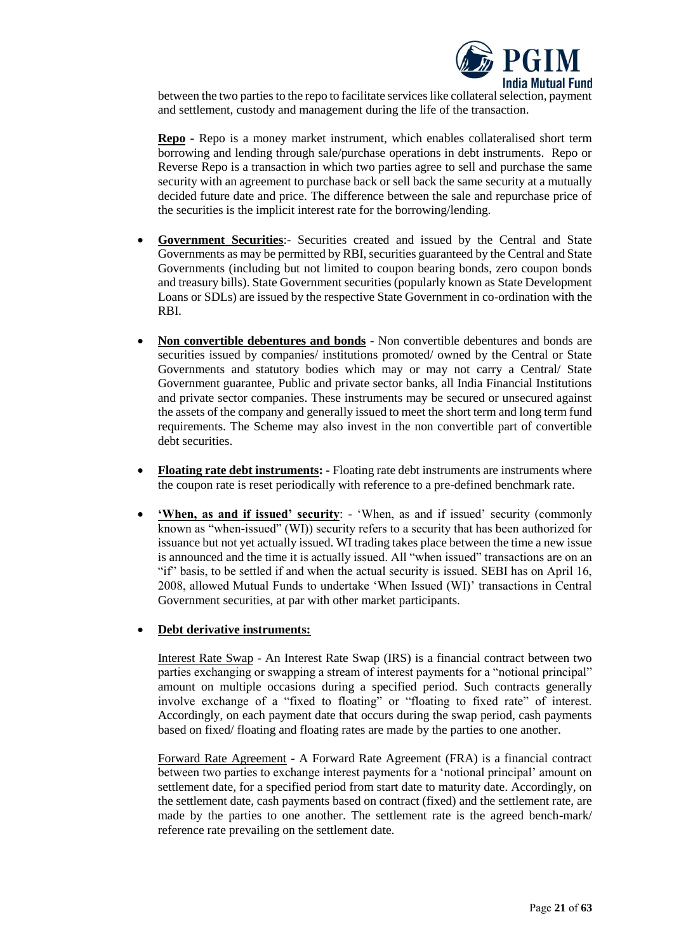

between the two parties to the repo to facilitate services like collateral selection, payment and settlement, custody and management during the life of the transaction.

**Repo -** Repo is a money market instrument, which enables collateralised short term borrowing and lending through sale/purchase operations in debt instruments. Repo or Reverse Repo is a transaction in which two parties agree to sell and purchase the same security with an agreement to purchase back or sell back the same security at a mutually decided future date and price. The difference between the sale and repurchase price of the securities is the implicit interest rate for the borrowing/lending.

- **Government Securities**:- Securities created and issued by the Central and State Governments as may be permitted by RBI, securities guaranteed by the Central and State Governments (including but not limited to coupon bearing bonds, zero coupon bonds and treasury bills). State Government securities (popularly known as State Development Loans or SDLs) are issued by the respective State Government in co-ordination with the RBI.
- **Non convertible debentures and bonds -** Non convertible debentures and bonds are securities issued by companies/ institutions promoted/ owned by the Central or State Governments and statutory bodies which may or may not carry a Central/ State Government guarantee, Public and private sector banks, all India Financial Institutions and private sector companies. These instruments may be secured or unsecured against the assets of the company and generally issued to meet the short term and long term fund requirements. The Scheme may also invest in the non convertible part of convertible debt securities.
- **Floating rate debt instruments: -** Floating rate debt instruments are instruments where the coupon rate is reset periodically with reference to a pre-defined benchmark rate.
- **'When, as and if issued' security**: 'When, as and if issued' security (commonly known as "when-issued" (WI)) security refers to a security that has been authorized for issuance but not yet actually issued. WI trading takes place between the time a new issue is announced and the time it is actually issued. All "when issued" transactions are on an "if" basis, to be settled if and when the actual security is issued. SEBI has on April 16, 2008, allowed Mutual Funds to undertake 'When Issued (WI)' transactions in Central Government securities, at par with other market participants.

### • **Debt derivative instruments:**

Interest Rate Swap - An Interest Rate Swap (IRS) is a financial contract between two parties exchanging or swapping a stream of interest payments for a "notional principal" amount on multiple occasions during a specified period. Such contracts generally involve exchange of a "fixed to floating" or "floating to fixed rate" of interest. Accordingly, on each payment date that occurs during the swap period, cash payments based on fixed/ floating and floating rates are made by the parties to one another.

Forward Rate Agreement - A Forward Rate Agreement (FRA) is a financial contract between two parties to exchange interest payments for a 'notional principal' amount on settlement date, for a specified period from start date to maturity date. Accordingly, on the settlement date, cash payments based on contract (fixed) and the settlement rate, are made by the parties to one another. The settlement rate is the agreed bench-mark/ reference rate prevailing on the settlement date.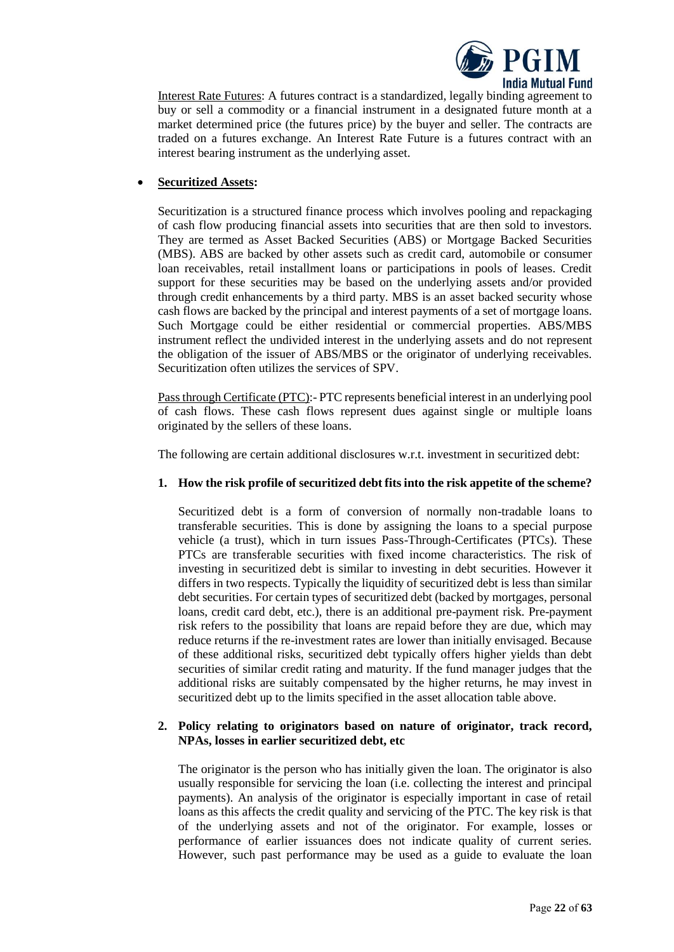

Interest Rate Futures: A futures contract is a standardized, legally binding agreement to buy or sell a commodity or a financial instrument in a designated future month at a market determined price (the futures price) by the buyer and seller. The contracts are traded on a futures exchange. An Interest Rate Future is a futures contract with an interest bearing instrument as the underlying asset.

# • **Securitized Assets:**

Securitization is a structured finance process which involves pooling and repackaging of cash flow producing financial assets into securities that are then sold to investors. They are termed as Asset Backed Securities (ABS) or Mortgage Backed Securities (MBS). ABS are backed by other assets such as credit card, automobile or consumer loan receivables, retail installment loans or participations in pools of leases. Credit support for these securities may be based on the underlying assets and/or provided through credit enhancements by a third party. MBS is an asset backed security whose cash flows are backed by the principal and interest payments of a set of mortgage loans. Such Mortgage could be either residential or commercial properties. ABS/MBS instrument reflect the undivided interest in the underlying assets and do not represent the obligation of the issuer of ABS/MBS or the originator of underlying receivables. Securitization often utilizes the services of SPV.

Pass through Certificate (PTC):- PTC represents beneficial interest in an underlying pool of cash flows. These cash flows represent dues against single or multiple loans originated by the sellers of these loans.

The following are certain additional disclosures w.r.t. investment in securitized debt:

### **1. How the risk profile of securitized debt fits into the risk appetite of the scheme?**

Securitized debt is a form of conversion of normally non-tradable loans to transferable securities. This is done by assigning the loans to a special purpose vehicle (a trust), which in turn issues Pass-Through-Certificates (PTCs). These PTCs are transferable securities with fixed income characteristics. The risk of investing in securitized debt is similar to investing in debt securities. However it differs in two respects. Typically the liquidity of securitized debt is less than similar debt securities. For certain types of securitized debt (backed by mortgages, personal loans, credit card debt, etc.), there is an additional pre-payment risk. Pre-payment risk refers to the possibility that loans are repaid before they are due, which may reduce returns if the re-investment rates are lower than initially envisaged. Because of these additional risks, securitized debt typically offers higher yields than debt securities of similar credit rating and maturity. If the fund manager judges that the additional risks are suitably compensated by the higher returns, he may invest in securitized debt up to the limits specified in the asset allocation table above.

#### **2. Policy relating to originators based on nature of originator, track record, NPAs, losses in earlier securitized debt, etc**

The originator is the person who has initially given the loan. The originator is also usually responsible for servicing the loan (i.e. collecting the interest and principal payments). An analysis of the originator is especially important in case of retail loans as this affects the credit quality and servicing of the PTC. The key risk is that of the underlying assets and not of the originator. For example, losses or performance of earlier issuances does not indicate quality of current series. However, such past performance may be used as a guide to evaluate the loan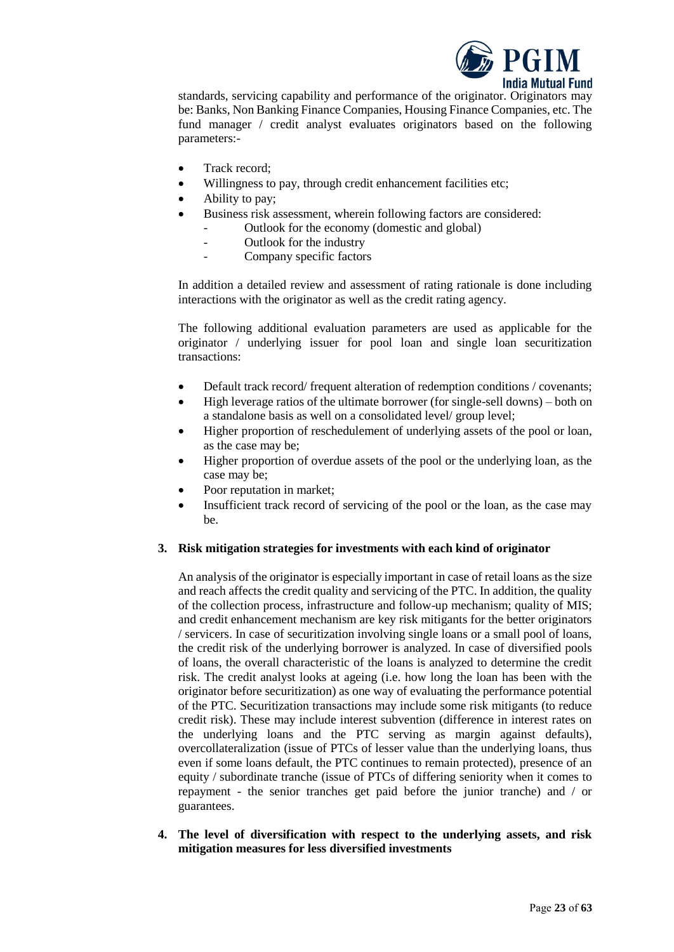

standards, servicing capability and performance of the originator. Originators may be: Banks, Non Banking Finance Companies, Housing Finance Companies, etc. The fund manager / credit analyst evaluates originators based on the following parameters:-

- Track record;
- Willingness to pay, through credit enhancement facilities etc;
- Ability to pay;
- Business risk assessment, wherein following factors are considered:
	- Outlook for the economy (domestic and global)
	- Outlook for the industry
	- Company specific factors

In addition a detailed review and assessment of rating rationale is done including interactions with the originator as well as the credit rating agency.

The following additional evaluation parameters are used as applicable for the originator / underlying issuer for pool loan and single loan securitization transactions:

- Default track record/ frequent alteration of redemption conditions / covenants;
- High leverage ratios of the ultimate borrower (for single-sell downs) both on a standalone basis as well on a consolidated level/ group level;
- Higher proportion of reschedulement of underlying assets of the pool or loan, as the case may be;
- Higher proportion of overdue assets of the pool or the underlying loan, as the case may be;
- Poor reputation in market;
- Insufficient track record of servicing of the pool or the loan, as the case may be.

### **3. Risk mitigation strategies for investments with each kind of originator**

An analysis of the originator is especially important in case of retail loans as the size and reach affects the credit quality and servicing of the PTC. In addition, the quality of the collection process, infrastructure and follow-up mechanism; quality of MIS; and credit enhancement mechanism are key risk mitigants for the better originators / servicers. In case of securitization involving single loans or a small pool of loans, the credit risk of the underlying borrower is analyzed. In case of diversified pools of loans, the overall characteristic of the loans is analyzed to determine the credit risk. The credit analyst looks at ageing (i.e. how long the loan has been with the originator before securitization) as one way of evaluating the performance potential of the PTC. Securitization transactions may include some risk mitigants (to reduce credit risk). These may include interest subvention (difference in interest rates on the underlying loans and the PTC serving as margin against defaults), overcollateralization (issue of PTCs of lesser value than the underlying loans, thus even if some loans default, the PTC continues to remain protected), presence of an equity / subordinate tranche (issue of PTCs of differing seniority when it comes to repayment - the senior tranches get paid before the junior tranche) and / or guarantees.

**4. The level of diversification with respect to the underlying assets, and risk mitigation measures for less diversified investments**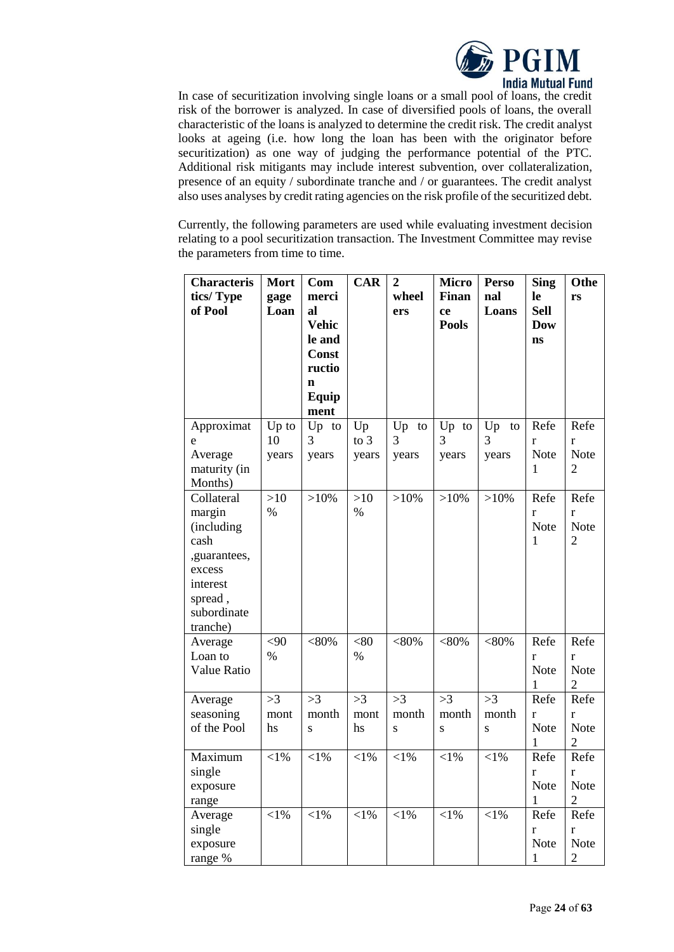

In case of securitization involving single loans or a small pool of loans, the credit risk of the borrower is analyzed. In case of diversified pools of loans, the overall characteristic of the loans is analyzed to determine the credit risk. The credit analyst looks at ageing (i.e. how long the loan has been with the originator before securitization) as one way of judging the performance potential of the PTC. Additional risk mitigants may include interest subvention, over collateralization, presence of an equity / subordinate tranche and / or guarantees. The credit analyst also uses analyses by credit rating agencies on the risk profile of the securitized debt.

Currently, the following parameters are used while evaluating investment decision relating to a pool securitization transaction. The Investment Committee may revise the parameters from time to time.

| <b>Characteris</b> | <b>Mort</b> | Com          | <b>CAR</b> | $\overline{2}$ | <b>Micro</b> | <b>Perso</b> | <b>Sing</b> | Othe           |
|--------------------|-------------|--------------|------------|----------------|--------------|--------------|-------------|----------------|
| tics/Type          | gage        | merci        |            | wheel          | Finan        | nal          | le          | rs             |
| of Pool            | Loan        | al           |            | ers            | ce           | Loans        | <b>Sell</b> |                |
|                    |             | <b>Vehic</b> |            |                | <b>Pools</b> |              | <b>Dow</b>  |                |
|                    |             | le and       |            |                |              |              | ns          |                |
|                    |             | Const        |            |                |              |              |             |                |
|                    |             | ructio       |            |                |              |              |             |                |
|                    |             | $\mathbf n$  |            |                |              |              |             |                |
|                    |             | Equip        |            |                |              |              |             |                |
|                    |             | ment         |            |                |              |              |             |                |
| Approximat         | Up to       | Up to        | Up         | Up<br>to       | Up to        | Up<br>to     | Refe        | Refe           |
| e                  | 10          | 3            | to $3$     | 3              | 3            | 3            | r           | r              |
| Average            | years       | years        | years      | years          | years        | years        | Note        | <b>Note</b>    |
| maturity (in       |             |              |            |                |              |              | 1           | $\overline{2}$ |
| Months)            |             |              |            |                |              |              |             |                |
| Collateral         | >10         | $>10\%$      | >10        | $>10\%$        | $>10\%$      | $>10\%$      | Refe        | Refe           |
| margin             | $\%$        |              | $\%$       |                |              |              | r           | r              |
| (including         |             |              |            |                |              |              | Note        | <b>Note</b>    |
| cash               |             |              |            |                |              |              | 1           | $\overline{2}$ |
| ,guarantees,       |             |              |            |                |              |              |             |                |
| excess             |             |              |            |                |              |              |             |                |
| interest           |             |              |            |                |              |              |             |                |
| spread,            |             |              |            |                |              |              |             |                |
| subordinate        |             |              |            |                |              |              |             |                |
| tranche)           |             |              |            |                |              |              |             |                |
| Average            | <90         | $< 80\%$     | <80        | $< 80\%$       | $< 80\%$     | $< 80\%$     | Refe        | Refe           |
| Loan to            | $\%$        |              | $\%$       |                |              |              | r           | r              |
| Value Ratio        |             |              |            |                |              |              | <b>Note</b> | <b>Note</b>    |
|                    |             |              |            |                |              |              | 1           | $\overline{2}$ |
| Average            | >3          | >3           | >3         | >3             | >3           | >3           | Refe        | Refe           |
| seasoning          | mont        | month        | mont       | month          | month        | month        | r           | r              |
| of the Pool        | hs          | S            | hs         | $\mathbf{s}$   | S            | S            | Note        | Note           |
|                    |             |              |            |                |              |              | 1           | $\overline{2}$ |
| Maximum            | $<$ 1%      | $<$ 1%       | $<$ l%     | $<$ l $%$      | $<$ l $%$    | $<$ 1%       | Refe        | Refe           |
| single             |             |              |            |                |              |              | r           | r              |
| exposure           |             |              |            |                |              |              | Note        | Note           |
| range              |             |              |            |                |              |              | 1           | $\overline{2}$ |
| Average            | $<$ 1%      | $<$ 1%       | $<$ 1%     | $<$ 1%         | $<$ 1%       | $<$ 1%       | Refe        | Refe           |
| single             |             |              |            |                |              |              | r           | r              |
| exposure           |             |              |            |                |              |              | Note        | <b>Note</b>    |
| range %            |             |              |            |                |              |              | 1           | $\overline{2}$ |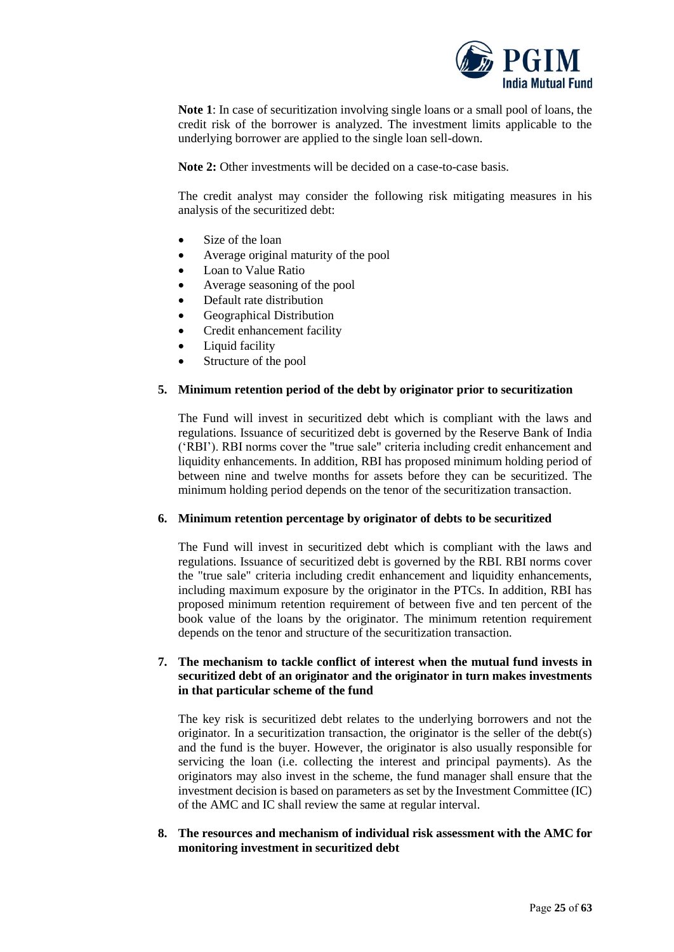

**Note 1**: In case of securitization involving single loans or a small pool of loans, the credit risk of the borrower is analyzed. The investment limits applicable to the underlying borrower are applied to the single loan sell-down.

**Note 2:** Other investments will be decided on a case-to-case basis.

The credit analyst may consider the following risk mitigating measures in his analysis of the securitized debt:

- Size of the loan
- Average original maturity of the pool
- Loan to Value Ratio
- Average seasoning of the pool
- Default rate distribution
- Geographical Distribution
- Credit enhancement facility
- Liquid facility
- Structure of the pool

#### **5. Minimum retention period of the debt by originator prior to securitization**

The Fund will invest in securitized debt which is compliant with the laws and regulations. Issuance of securitized debt is governed by the Reserve Bank of India ('RBI'). RBI norms cover the "true sale" criteria including credit enhancement and liquidity enhancements. In addition, RBI has proposed minimum holding period of between nine and twelve months for assets before they can be securitized. The minimum holding period depends on the tenor of the securitization transaction.

#### **6. Minimum retention percentage by originator of debts to be securitized**

The Fund will invest in securitized debt which is compliant with the laws and regulations. Issuance of securitized debt is governed by the RBI. RBI norms cover the "true sale" criteria including credit enhancement and liquidity enhancements, including maximum exposure by the originator in the PTCs. In addition, RBI has proposed minimum retention requirement of between five and ten percent of the book value of the loans by the originator. The minimum retention requirement depends on the tenor and structure of the securitization transaction.

### **7. The mechanism to tackle conflict of interest when the mutual fund invests in securitized debt of an originator and the originator in turn makes investments in that particular scheme of the fund**

The key risk is securitized debt relates to the underlying borrowers and not the originator. In a securitization transaction, the originator is the seller of the debt(s) and the fund is the buyer. However, the originator is also usually responsible for servicing the loan (i.e. collecting the interest and principal payments). As the originators may also invest in the scheme, the fund manager shall ensure that the investment decision is based on parameters as set by the Investment Committee (IC) of the AMC and IC shall review the same at regular interval.

### **8. The resources and mechanism of individual risk assessment with the AMC for monitoring investment in securitized debt**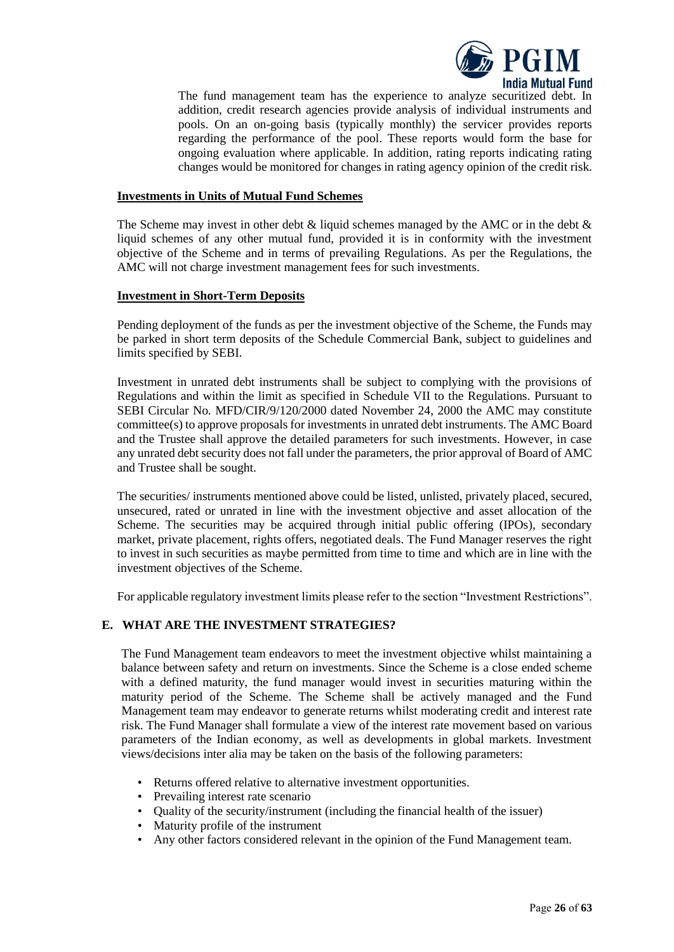

The fund management team has the experience to analyze securitized debt. In addition, credit research agencies provide analysis of individual instruments and pools. On an on-going basis (typically monthly) the servicer provides reports regarding the performance of the pool. These reports would form the base for ongoing evaluation where applicable. In addition, rating reports indicating rating changes would be monitored for changes in rating agency opinion of the credit risk.

#### **Investments in Units of Mutual Fund Schemes**

The Scheme may invest in other debt  $\&$  liquid schemes managed by the AMC or in the debt  $\&$ liquid schemes of any other mutual fund, provided it is in conformity with the investment objective of the Scheme and in terms of prevailing Regulations. As per the Regulations, the AMC will not charge investment management fees for such investments.

#### **Investment in Short-Term Deposits**

Pending deployment of the funds as per the investment objective of the Scheme, the Funds may be parked in short term deposits of the Schedule Commercial Bank, subject to guidelines and limits specified by SEBI.

Investment in unrated debt instruments shall be subject to complying with the provisions of Regulations and within the limit as specified in Schedule VII to the Regulations. Pursuant to SEBI Circular No. MFD/CIR/9/120/2000 dated November 24, 2000 the AMC may constitute committee(s) to approve proposals for investments in unrated debt instruments. The AMC Board and the Trustee shall approve the detailed parameters for such investments. However, in case any unrated debt security does not fall under the parameters, the prior approval of Board of AMC and Trustee shall be sought.

The securities/ instruments mentioned above could be listed, unlisted, privately placed, secured, unsecured, rated or unrated in line with the investment objective and asset allocation of the Scheme. The securities may be acquired through initial public offering (IPOs), secondary market, private placement, rights offers, negotiated deals. The Fund Manager reserves the right to invest in such securities as maybe permitted from time to time and which are in line with the investment objectives of the Scheme.

For applicable regulatory investment limits please refer to the section "Investment Restrictions".

### <span id="page-25-0"></span>**E. WHAT ARE THE INVESTMENT STRATEGIES?**

The Fund Management team endeavors to meet the investment objective whilst maintaining a balance between safety and return on investments. Since the Scheme is a close ended scheme with a defined maturity, the fund manager would invest in securities maturing within the maturity period of the Scheme. The Scheme shall be actively managed and the Fund Management team may endeavor to generate returns whilst moderating credit and interest rate risk. The Fund Manager shall formulate a view of the interest rate movement based on various parameters of the Indian economy, as well as developments in global markets. Investment views/decisions inter alia may be taken on the basis of the following parameters:

- Returns offered relative to alternative investment opportunities.
- Prevailing interest rate scenario
- Quality of the security/instrument (including the financial health of the issuer)
- Maturity profile of the instrument
- Any other factors considered relevant in the opinion of the Fund Management team.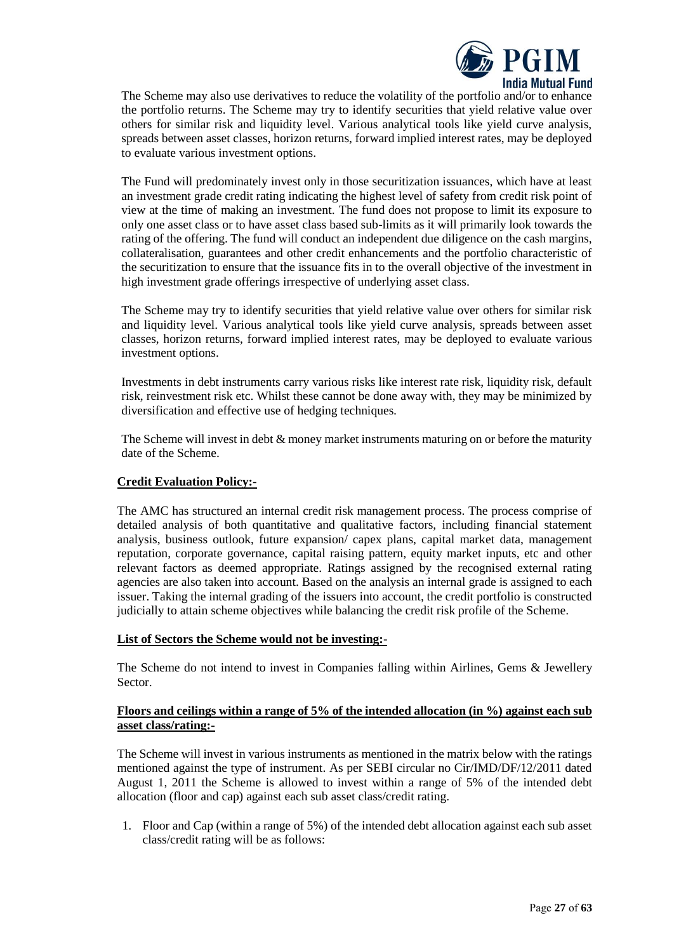

The Scheme may also use derivatives to reduce the volatility of the portfolio and/or to enhance the portfolio returns. The Scheme may try to identify securities that yield relative value over others for similar risk and liquidity level. Various analytical tools like yield curve analysis, spreads between asset classes, horizon returns, forward implied interest rates, may be deployed to evaluate various investment options.

The Fund will predominately invest only in those securitization issuances, which have at least an investment grade credit rating indicating the highest level of safety from credit risk point of view at the time of making an investment. The fund does not propose to limit its exposure to only one asset class or to have asset class based sub-limits as it will primarily look towards the rating of the offering. The fund will conduct an independent due diligence on the cash margins, collateralisation, guarantees and other credit enhancements and the portfolio characteristic of the securitization to ensure that the issuance fits in to the overall objective of the investment in high investment grade offerings irrespective of underlying asset class.

The Scheme may try to identify securities that yield relative value over others for similar risk and liquidity level. Various analytical tools like yield curve analysis, spreads between asset classes, horizon returns, forward implied interest rates, may be deployed to evaluate various investment options.

Investments in debt instruments carry various risks like interest rate risk, liquidity risk, default risk, reinvestment risk etc. Whilst these cannot be done away with, they may be minimized by diversification and effective use of hedging techniques.

The Scheme will invest in debt  $\&$  money market instruments maturing on or before the maturity date of the Scheme.

### **Credit Evaluation Policy:-**

The AMC has structured an internal credit risk management process. The process comprise of detailed analysis of both quantitative and qualitative factors, including financial statement analysis, business outlook, future expansion/ capex plans, capital market data, management reputation, corporate governance, capital raising pattern, equity market inputs, etc and other relevant factors as deemed appropriate. Ratings assigned by the recognised external rating agencies are also taken into account. Based on the analysis an internal grade is assigned to each issuer. Taking the internal grading of the issuers into account, the credit portfolio is constructed judicially to attain scheme objectives while balancing the credit risk profile of the Scheme.

#### **List of Sectors the Scheme would not be investing:-**

The Scheme do not intend to invest in Companies falling within Airlines, Gems & Jewellery Sector.

### **Floors and ceilings within a range of 5% of the intended allocation (in %) against each sub asset class/rating:-**

The Scheme will invest in various instruments as mentioned in the matrix below with the ratings mentioned against the type of instrument. As per SEBI circular no Cir/IMD/DF/12/2011 dated August 1, 2011 the Scheme is allowed to invest within a range of 5% of the intended debt allocation (floor and cap) against each sub asset class/credit rating.

1. Floor and Cap (within a range of 5%) of the intended debt allocation against each sub asset class/credit rating will be as follows: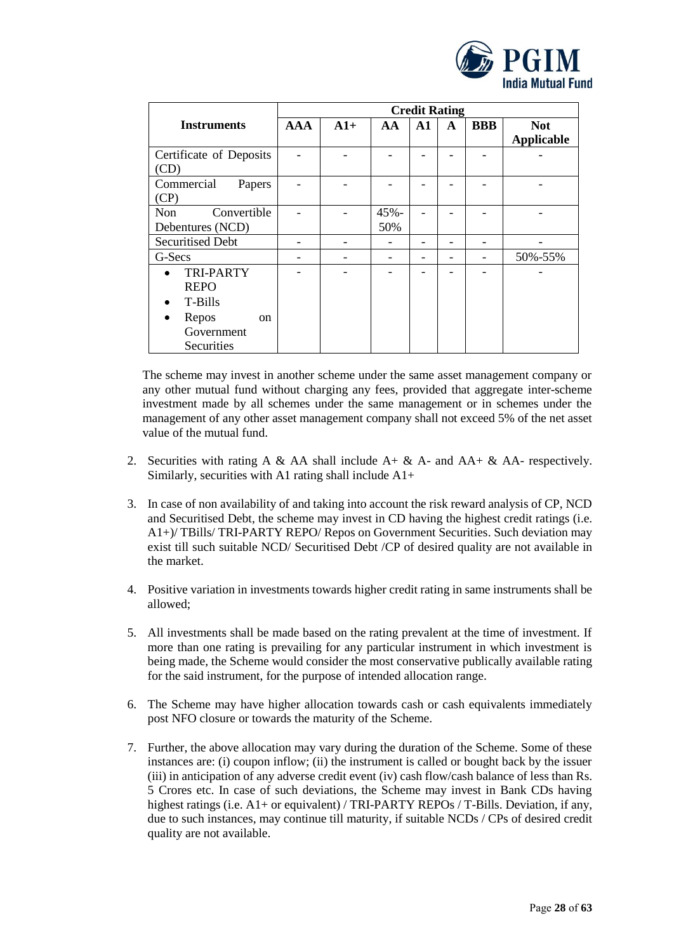

|                           |            |       |         |    | <b>Credit Rating</b> |            |                   |
|---------------------------|------------|-------|---------|----|----------------------|------------|-------------------|
| <b>Instruments</b>        | <b>AAA</b> | $A1+$ | AA      | A1 | A                    | <b>BBB</b> | <b>Not</b>        |
|                           |            |       |         |    |                      |            | <b>Applicable</b> |
| Certificate of Deposits   |            |       |         |    |                      |            |                   |
| (CD)                      |            |       |         |    |                      |            |                   |
| Commercial<br>Papers      |            |       |         |    |                      |            |                   |
| (CP)                      |            |       |         |    |                      |            |                   |
| <b>Non</b><br>Convertible |            |       | $45% -$ |    |                      |            |                   |
| Debentures (NCD)          |            |       | 50%     |    |                      |            |                   |
| <b>Securitised Debt</b>   |            |       |         |    |                      |            |                   |
| G-Secs                    |            |       |         |    |                      |            | 50%-55%           |
| <b>TRI-PARTY</b>          |            |       |         |    |                      |            |                   |
| <b>REPO</b>               |            |       |         |    |                      |            |                   |
| T-Bills                   |            |       |         |    |                      |            |                   |
| Repos<br><sub>on</sub>    |            |       |         |    |                      |            |                   |
| Government                |            |       |         |    |                      |            |                   |
| Securities                |            |       |         |    |                      |            |                   |

The scheme may invest in another scheme under the same asset management company or any other mutual fund without charging any fees, provided that aggregate inter-scheme investment made by all schemes under the same management or in schemes under the management of any other asset management company shall not exceed 5% of the net asset value of the mutual fund.

- 2. Securities with rating A & AA shall include  $A + \& A$  and  $AA + \& AA$  respectively. Similarly, securities with A1 rating shall include A1+
- 3. In case of non availability of and taking into account the risk reward analysis of CP, NCD and Securitised Debt, the scheme may invest in CD having the highest credit ratings (i.e. A1+)/ TBills/ TRI-PARTY REPO/ Repos on Government Securities. Such deviation may exist till such suitable NCD/ Securitised Debt /CP of desired quality are not available in the market.
- 4. Positive variation in investments towards higher credit rating in same instruments shall be allowed;
- 5. All investments shall be made based on the rating prevalent at the time of investment. If more than one rating is prevailing for any particular instrument in which investment is being made, the Scheme would consider the most conservative publically available rating for the said instrument, for the purpose of intended allocation range.
- 6. The Scheme may have higher allocation towards cash or cash equivalents immediately post NFO closure or towards the maturity of the Scheme.
- 7. Further, the above allocation may vary during the duration of the Scheme. Some of these instances are: (i) coupon inflow; (ii) the instrument is called or bought back by the issuer (iii) in anticipation of any adverse credit event (iv) cash flow/cash balance of less than Rs. 5 Crores etc. In case of such deviations, the Scheme may invest in Bank CDs having highest ratings (i.e. A1+ or equivalent) / TRI-PARTY REPOs / T-Bills. Deviation, if any, due to such instances, may continue till maturity, if suitable NCDs / CPs of desired credit quality are not available.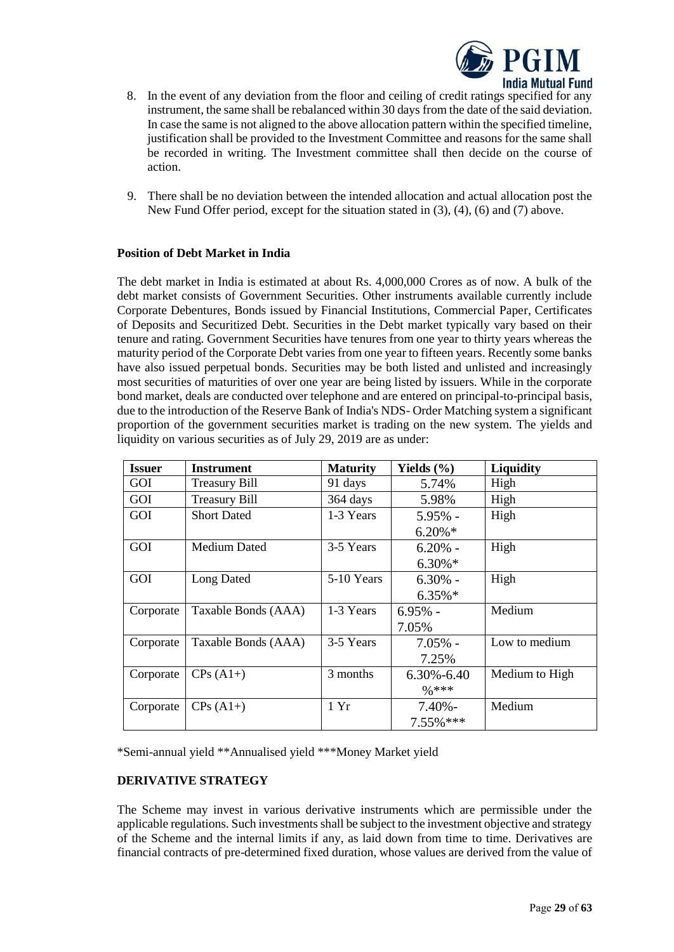

- 8. In the event of any deviation from the floor and ceiling of credit ratings specified for any instrument, the same shall be rebalanced within 30 days from the date of the said deviation. In case the same is not aligned to the above allocation pattern within the specified timeline, justification shall be provided to the Investment Committee and reasons for the same shall be recorded in writing. The Investment committee shall then decide on the course of action.
- 9. There shall be no deviation between the intended allocation and actual allocation post the New Fund Offer period, except for the situation stated in (3), (4), (6) and (7) above.

# **Position of Debt Market in India**

The debt market in India is estimated at about Rs. 4,000,000 Crores as of now. A bulk of the debt market consists of Government Securities. Other instruments available currently include Corporate Debentures, Bonds issued by Financial Institutions, Commercial Paper, Certificates of Deposits and Securitized Debt. Securities in the Debt market typically vary based on their tenure and rating. Government Securities have tenures from one year to thirty years whereas the maturity period of the Corporate Debt varies from one year to fifteen years. Recently some banks have also issued perpetual bonds. Securities may be both listed and unlisted and increasingly most securities of maturities of over one year are being listed by issuers. While in the corporate bond market, deals are conducted over telephone and are entered on principal-to-principal basis, due to the introduction of the Reserve Bank of India's NDS- Order Matching system a significant proportion of the government securities market is trading on the new system. The yields and liquidity on various securities as of July 29, 2019 are as under:

| <b>Issuer</b> | <b>Instrument</b>    | <b>Maturity</b> | Yields $(\% )$    | <b>Liquidity</b> |
|---------------|----------------------|-----------------|-------------------|------------------|
| GOI           | <b>Treasury Bill</b> | 91 days         | 5.74%             | High             |
| GOI           | <b>Treasury Bill</b> | 364 days        | 5.98%             | High             |
| GOI           | <b>Short Dated</b>   | 1-3 Years       | $5.95\%$ -        | High             |
|               |                      |                 | $6.20\%*$         |                  |
| GOI           | <b>Medium Dated</b>  | 3-5 Years       | $6.20\%$ -        | High             |
|               |                      |                 | $6.30\%*$         |                  |
| GOI           | Long Dated           | 5-10 Years      | $6.30\%$ -        | High             |
|               |                      |                 | $6.35\%$ *        |                  |
| Corporate     | Taxable Bonds (AAA)  | 1-3 Years       | $6.95%$ -         | Medium           |
|               |                      |                 | 7.05%             |                  |
| Corporate     | Taxable Bonds (AAA)  | 3-5 Years       | $7.05\%$ -        | Low to medium    |
|               |                      |                 | 7.25%             |                  |
| Corporate     | $CPs(A1+)$           | 3 months        | $6.30\% - 6.40$   | Medium to High   |
|               |                      |                 | $\frac{0}{0}$ *** |                  |
| Corporate     | $CPs(A1+)$           | 1 Yr            | $7.40\%$ -        | Medium           |
|               |                      |                 | 7.55% ***         |                  |

\*Semi-annual yield \*\*Annualised yield \*\*\*Money Market yield

### **DERIVATIVE STRATEGY**

The Scheme may invest in various derivative instruments which are permissible under the applicable regulations. Such investments shall be subject to the investment objective and strategy of the Scheme and the internal limits if any, as laid down from time to time. Derivatives are financial contracts of pre-determined fixed duration, whose values are derived from the value of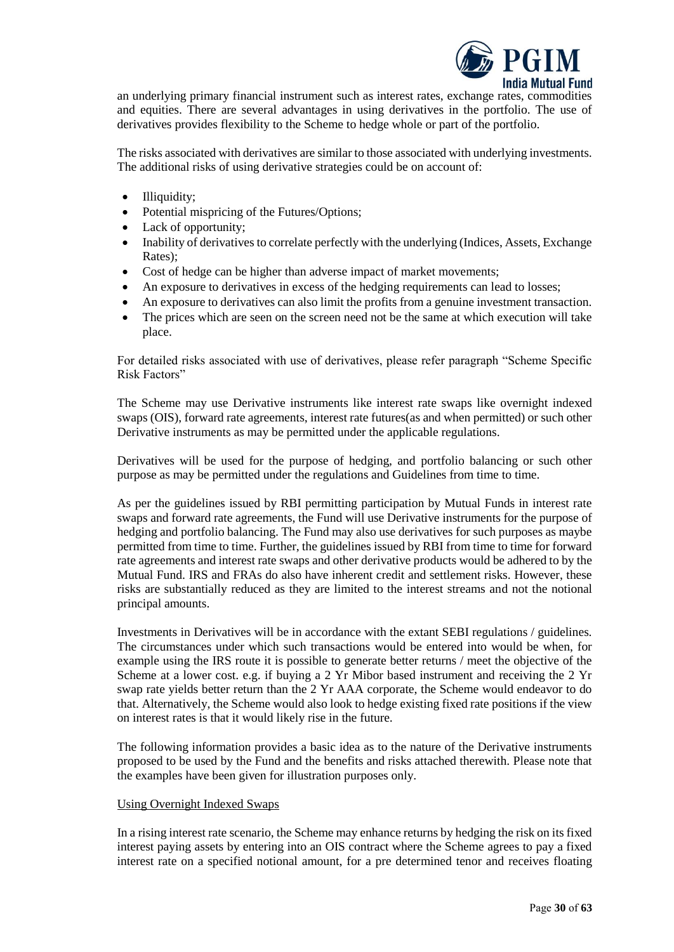

an underlying primary financial instrument such as interest rates, exchange rates, commodities and equities. There are several advantages in using derivatives in the portfolio. The use of derivatives provides flexibility to the Scheme to hedge whole or part of the portfolio.

The risks associated with derivatives are similar to those associated with underlying investments. The additional risks of using derivative strategies could be on account of:

- Illiquidity;
- Potential mispricing of the Futures/Options;
- Lack of opportunity;
- Inability of derivatives to correlate perfectly with the underlying (Indices, Assets, Exchange Rates);
- Cost of hedge can be higher than adverse impact of market movements;
- An exposure to derivatives in excess of the hedging requirements can lead to losses;
- An exposure to derivatives can also limit the profits from a genuine investment transaction.
- The prices which are seen on the screen need not be the same at which execution will take place.

For detailed risks associated with use of derivatives, please refer paragraph "Scheme Specific Risk Factors"

The Scheme may use Derivative instruments like interest rate swaps like overnight indexed swaps (OIS), forward rate agreements, interest rate futures(as and when permitted) or such other Derivative instruments as may be permitted under the applicable regulations.

Derivatives will be used for the purpose of hedging, and portfolio balancing or such other purpose as may be permitted under the regulations and Guidelines from time to time.

As per the guidelines issued by RBI permitting participation by Mutual Funds in interest rate swaps and forward rate agreements, the Fund will use Derivative instruments for the purpose of hedging and portfolio balancing. The Fund may also use derivatives for such purposes as maybe permitted from time to time. Further, the guidelines issued by RBI from time to time for forward rate agreements and interest rate swaps and other derivative products would be adhered to by the Mutual Fund. IRS and FRAs do also have inherent credit and settlement risks. However, these risks are substantially reduced as they are limited to the interest streams and not the notional principal amounts.

Investments in Derivatives will be in accordance with the extant SEBI regulations / guidelines. The circumstances under which such transactions would be entered into would be when, for example using the IRS route it is possible to generate better returns / meet the objective of the Scheme at a lower cost. e.g. if buying a 2 Yr Mibor based instrument and receiving the 2 Yr swap rate yields better return than the 2 Yr AAA corporate, the Scheme would endeavor to do that. Alternatively, the Scheme would also look to hedge existing fixed rate positions if the view on interest rates is that it would likely rise in the future.

The following information provides a basic idea as to the nature of the Derivative instruments proposed to be used by the Fund and the benefits and risks attached therewith. Please note that the examples have been given for illustration purposes only.

### Using Overnight Indexed Swaps

In a rising interest rate scenario, the Scheme may enhance returns by hedging the risk on its fixed interest paying assets by entering into an OIS contract where the Scheme agrees to pay a fixed interest rate on a specified notional amount, for a pre determined tenor and receives floating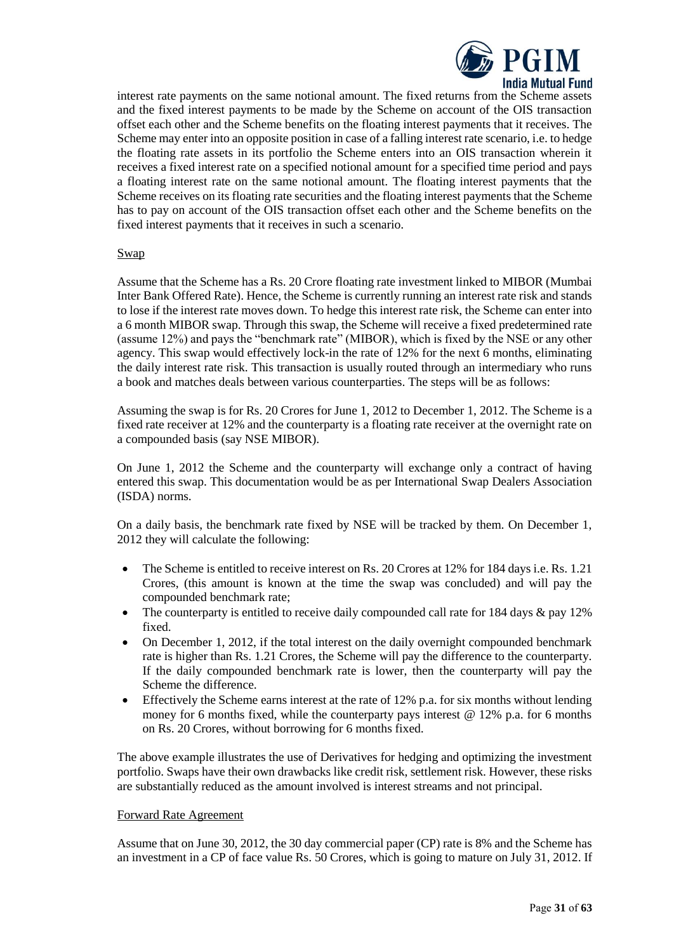

interest rate payments on the same notional amount. The fixed returns from the Scheme assets and the fixed interest payments to be made by the Scheme on account of the OIS transaction offset each other and the Scheme benefits on the floating interest payments that it receives. The Scheme may enter into an opposite position in case of a falling interest rate scenario, i.e. to hedge the floating rate assets in its portfolio the Scheme enters into an OIS transaction wherein it receives a fixed interest rate on a specified notional amount for a specified time period and pays a floating interest rate on the same notional amount. The floating interest payments that the Scheme receives on its floating rate securities and the floating interest payments that the Scheme has to pay on account of the OIS transaction offset each other and the Scheme benefits on the fixed interest payments that it receives in such a scenario.

#### Swap

Assume that the Scheme has a Rs. 20 Crore floating rate investment linked to MIBOR (Mumbai Inter Bank Offered Rate). Hence, the Scheme is currently running an interest rate risk and stands to lose if the interest rate moves down. To hedge this interest rate risk, the Scheme can enter into a 6 month MIBOR swap. Through this swap, the Scheme will receive a fixed predetermined rate (assume 12%) and pays the "benchmark rate" (MIBOR), which is fixed by the NSE or any other agency. This swap would effectively lock-in the rate of 12% for the next 6 months, eliminating the daily interest rate risk. This transaction is usually routed through an intermediary who runs a book and matches deals between various counterparties. The steps will be as follows:

Assuming the swap is for Rs. 20 Crores for June 1, 2012 to December 1, 2012. The Scheme is a fixed rate receiver at 12% and the counterparty is a floating rate receiver at the overnight rate on a compounded basis (say NSE MIBOR).

On June 1, 2012 the Scheme and the counterparty will exchange only a contract of having entered this swap. This documentation would be as per International Swap Dealers Association (ISDA) norms.

On a daily basis, the benchmark rate fixed by NSE will be tracked by them. On December 1, 2012 they will calculate the following:

- The Scheme is entitled to receive interest on Rs. 20 Crores at 12% for 184 days i.e. Rs. 1.21 Crores, (this amount is known at the time the swap was concluded) and will pay the compounded benchmark rate;
- The counterparty is entitled to receive daily compounded call rate for 184 days & pay 12% fixed.
- On December 1, 2012, if the total interest on the daily overnight compounded benchmark rate is higher than Rs. 1.21 Crores, the Scheme will pay the difference to the counterparty. If the daily compounded benchmark rate is lower, then the counterparty will pay the Scheme the difference.
- Effectively the Scheme earns interest at the rate of 12% p.a. for six months without lending money for 6 months fixed, while the counterparty pays interest @ 12% p.a. for 6 months on Rs. 20 Crores, without borrowing for 6 months fixed.

The above example illustrates the use of Derivatives for hedging and optimizing the investment portfolio. Swaps have their own drawbacks like credit risk, settlement risk. However, these risks are substantially reduced as the amount involved is interest streams and not principal.

#### Forward Rate Agreement

Assume that on June 30, 2012, the 30 day commercial paper (CP) rate is 8% and the Scheme has an investment in a CP of face value Rs. 50 Crores, which is going to mature on July 31, 2012. If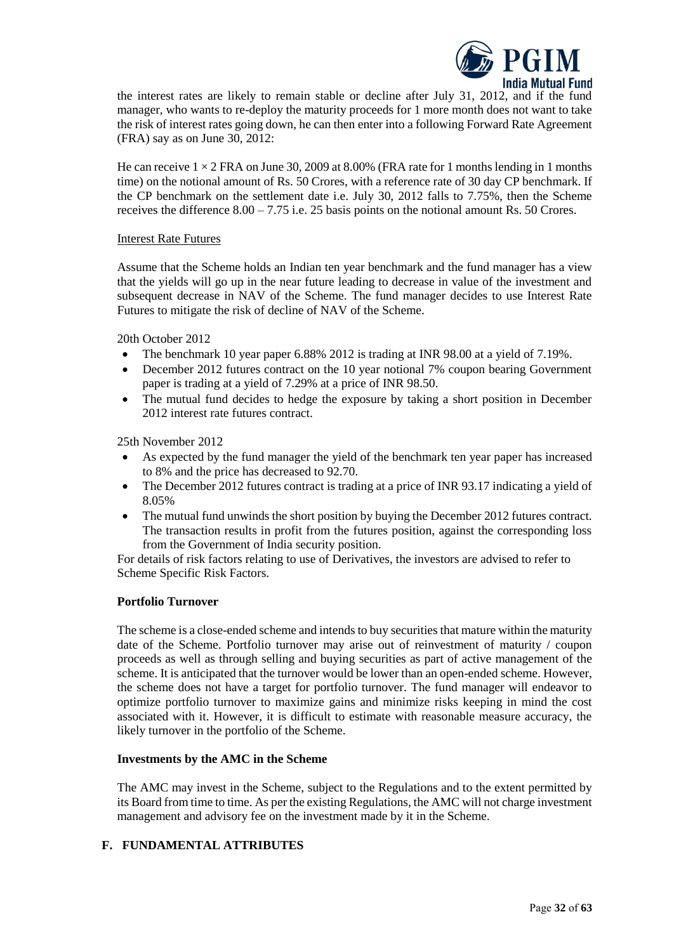

the interest rates are likely to remain stable or decline after July 31, 2012, and if the fund manager, who wants to re-deploy the maturity proceeds for 1 more month does not want to take the risk of interest rates going down, he can then enter into a following Forward Rate Agreement (FRA) say as on June 30, 2012:

He can receive  $1 \times 2$  FRA on June 30, 2009 at 8.00% (FRA rate for 1 months lending in 1 months time) on the notional amount of Rs. 50 Crores, with a reference rate of 30 day CP benchmark. If the CP benchmark on the settlement date i.e. July 30, 2012 falls to 7.75%, then the Scheme receives the difference 8.00 – 7.75 i.e. 25 basis points on the notional amount Rs. 50 Crores.

#### Interest Rate Futures

Assume that the Scheme holds an Indian ten year benchmark and the fund manager has a view that the yields will go up in the near future leading to decrease in value of the investment and subsequent decrease in NAV of the Scheme. The fund manager decides to use Interest Rate Futures to mitigate the risk of decline of NAV of the Scheme.

20th October 2012

- The benchmark 10 year paper 6.88% 2012 is trading at INR 98.00 at a yield of 7.19%.
- December 2012 futures contract on the 10 year notional 7% coupon bearing Government paper is trading at a yield of 7.29% at a price of INR 98.50.
- The mutual fund decides to hedge the exposure by taking a short position in December 2012 interest rate futures contract.

25th November 2012

- As expected by the fund manager the yield of the benchmark ten year paper has increased to 8% and the price has decreased to 92.70.
- The December 2012 futures contract is trading at a price of INR 93.17 indicating a yield of 8.05%
- The mutual fund unwinds the short position by buying the December 2012 futures contract. The transaction results in profit from the futures position, against the corresponding loss from the Government of India security position.

For details of risk factors relating to use of Derivatives, the investors are advised to refer to Scheme Specific Risk Factors.

### **Portfolio Turnover**

The scheme is a close-ended scheme and intends to buy securities that mature within the maturity date of the Scheme. Portfolio turnover may arise out of reinvestment of maturity / coupon proceeds as well as through selling and buying securities as part of active management of the scheme. It is anticipated that the turnover would be lower than an open-ended scheme. However, the scheme does not have a target for portfolio turnover. The fund manager will endeavor to optimize portfolio turnover to maximize gains and minimize risks keeping in mind the cost associated with it. However, it is difficult to estimate with reasonable measure accuracy, the likely turnover in the portfolio of the Scheme.

#### **Investments by the AMC in the Scheme**

The AMC may invest in the Scheme, subject to the Regulations and to the extent permitted by its Board from time to time. As per the existing Regulations, the AMC will not charge investment management and advisory fee on the investment made by it in the Scheme.

### <span id="page-31-0"></span>**F. FUNDAMENTAL ATTRIBUTES**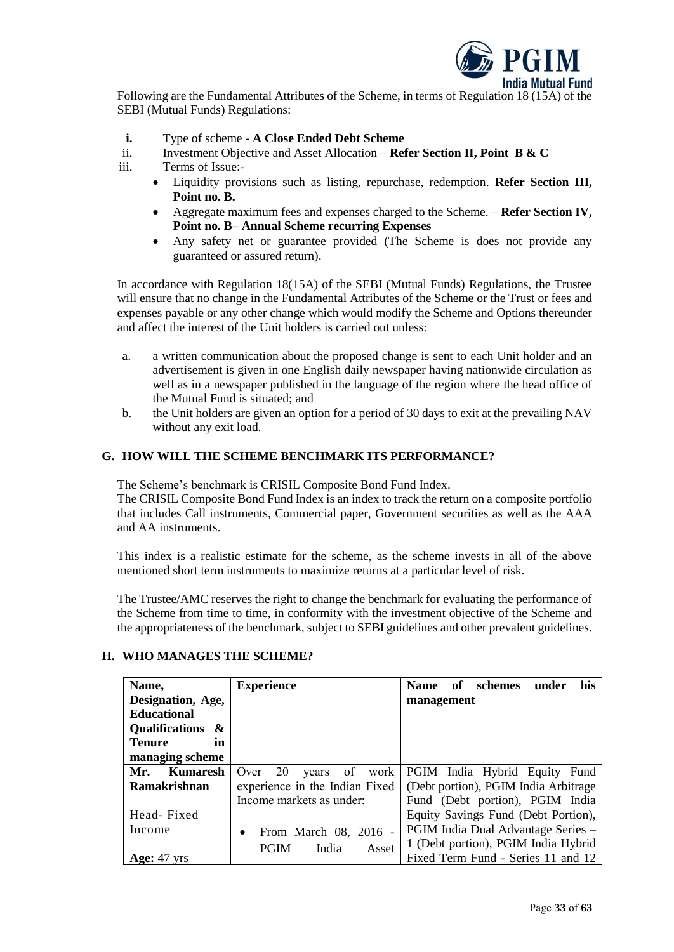

Following are the Fundamental Attributes of the Scheme, in terms of Regulation 18 (15A) of the SEBI (Mutual Funds) Regulations:

- **i.** Type of scheme **A Close Ended Debt Scheme**
- ii. Investment Objective and Asset Allocation **Refer Section II, Point B & C**
- iii. Terms of Issue:-
	- Liquidity provisions such as listing, repurchase, redemption. **Refer Section III, Point no. B.**
	- Aggregate maximum fees and expenses charged to the Scheme. **Refer Section IV, Point no. B– Annual Scheme recurring Expenses**
	- Any safety net or guarantee provided (The Scheme is does not provide any guaranteed or assured return).

In accordance with Regulation 18(15A) of the SEBI (Mutual Funds) Regulations, the Trustee will ensure that no change in the Fundamental Attributes of the Scheme or the Trust or fees and expenses payable or any other change which would modify the Scheme and Options thereunder and affect the interest of the Unit holders is carried out unless:

- a. a written communication about the proposed change is sent to each Unit holder and an advertisement is given in one English daily newspaper having nationwide circulation as well as in a newspaper published in the language of the region where the head office of the Mutual Fund is situated; and
- b. the Unit holders are given an option for a period of 30 days to exit at the prevailing NAV without any exit load.

### <span id="page-32-0"></span>**G. HOW WILL THE SCHEME BENCHMARK ITS PERFORMANCE?**

The Scheme's benchmark is CRISIL Composite Bond Fund Index.

The CRISIL Composite Bond Fund Index is an index to track the return on a composite portfolio that includes Call instruments, Commercial paper, Government securities as well as the AAA and AA instruments.

This index is a realistic estimate for the scheme, as the scheme invests in all of the above mentioned short term instruments to maximize returns at a particular level of risk.

The Trustee/AMC reserves the right to change the benchmark for evaluating the performance of the Scheme from time to time, in conformity with the investment objective of the Scheme and the appropriateness of the benchmark, subject to SEBI guidelines and other prevalent guidelines.

| Name,               | <b>Experience</b>                      | of<br>his<br>schemes<br>under<br><b>Name</b> |
|---------------------|----------------------------------------|----------------------------------------------|
| Designation, Age,   |                                        | management                                   |
| <b>Educational</b>  |                                        |                                              |
| Qualifications &    |                                        |                                              |
| <b>Tenure</b><br>in |                                        |                                              |
| managing scheme     |                                        |                                              |
| Mr.<br>Kumaresh     | <sup>20</sup><br>years of work<br>Over | PGIM India Hybrid Equity Fund                |
| Ramakrishnan        | experience in the Indian Fixed         | (Debt portion), PGIM India Arbitrage         |
|                     | Income markets as under:               | Fund (Debt portion), PGIM India              |
| Head-Fixed          |                                        | Equity Savings Fund (Debt Portion),          |
| Income              | From March 08, 2016 -                  | PGIM India Dual Advantage Series -           |
|                     | <b>PGIM</b><br>India<br>Asset          | 1 (Debt portion), PGIM India Hybrid          |
| Age: $47$ yrs       |                                        | Fixed Term Fund - Series 11 and 12           |

### <span id="page-32-1"></span>**H. WHO MANAGES THE SCHEME?**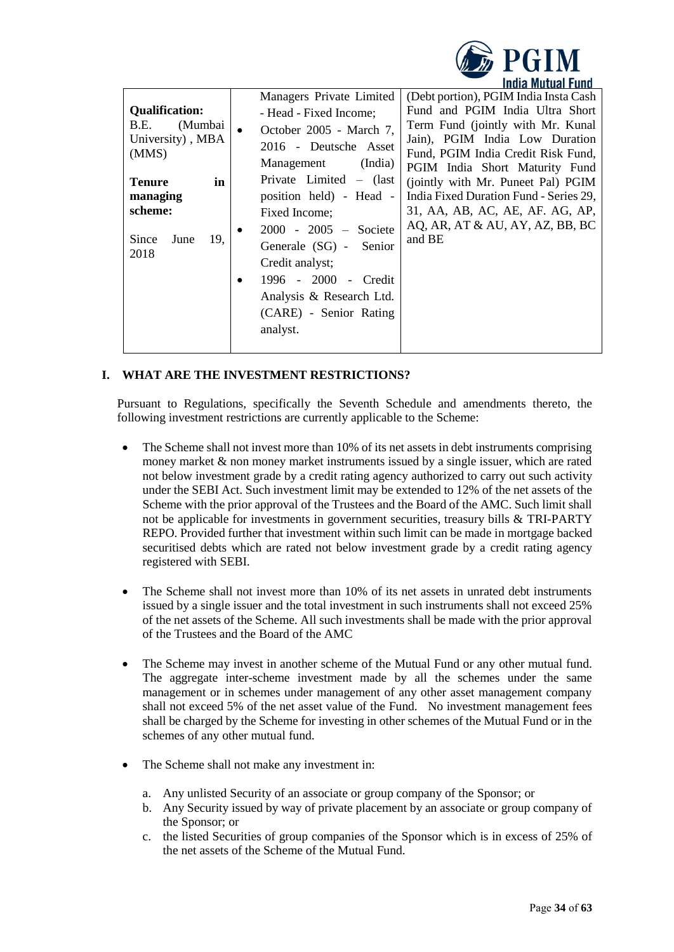

| Managers Private Limited<br>- Head - Fixed Income:<br>October 2005 - March 7,<br>2016 - Deutsche Asset                                                                                                                                               | (Debt portion), PGIM India Insta Cash<br>Fund and PGIM India Ultra Short<br>Term Fund (jointly with Mr. Kunal                                                                                                                                                          |
|------------------------------------------------------------------------------------------------------------------------------------------------------------------------------------------------------------------------------------------------------|------------------------------------------------------------------------------------------------------------------------------------------------------------------------------------------------------------------------------------------------------------------------|
|                                                                                                                                                                                                                                                      |                                                                                                                                                                                                                                                                        |
|                                                                                                                                                                                                                                                      |                                                                                                                                                                                                                                                                        |
| (India)<br>Management<br>Private Limited $-$ (last<br>position held) - Head -<br>Fixed Income;<br>$2000 - 2005 -$ Societe<br>Generale (SG) - Senior<br>Credit analyst;<br>1996 - 2000 - Credit<br>Analysis & Research Ltd.<br>(CARE) - Senior Rating | Jain), PGIM India Low Duration<br>Fund, PGIM India Credit Risk Fund,<br>PGIM India Short Maturity Fund<br>(jointly with Mr. Puneet Pal) PGIM<br>India Fixed Duration Fund - Series 29,<br>31, AA, AB, AC, AE, AF. AG, AP,<br>AQ, AR, AT & AU, AY, AZ, BB, BC<br>and BE |
|                                                                                                                                                                                                                                                      |                                                                                                                                                                                                                                                                        |
|                                                                                                                                                                                                                                                      | analyst.                                                                                                                                                                                                                                                               |

# <span id="page-33-0"></span>**I. WHAT ARE THE INVESTMENT RESTRICTIONS?**

Pursuant to Regulations, specifically the Seventh Schedule and amendments thereto, the following investment restrictions are currently applicable to the Scheme:

- The Scheme shall not invest more than 10% of its net assets in debt instruments comprising money market & non money market instruments issued by a single issuer, which are rated not below investment grade by a credit rating agency authorized to carry out such activity under the SEBI Act. Such investment limit may be extended to 12% of the net assets of the Scheme with the prior approval of the Trustees and the Board of the AMC. Such limit shall not be applicable for investments in government securities, treasury bills & TRI-PARTY REPO. Provided further that investment within such limit can be made in mortgage backed securitised debts which are rated not below investment grade by a credit rating agency registered with SEBI.
- The Scheme shall not invest more than 10% of its net assets in unrated debt instruments issued by a single issuer and the total investment in such instruments shall not exceed 25% of the net assets of the Scheme. All such investments shall be made with the prior approval of the Trustees and the Board of the AMC
- The Scheme may invest in another scheme of the Mutual Fund or any other mutual fund. The aggregate inter-scheme investment made by all the schemes under the same management or in schemes under management of any other asset management company shall not exceed 5% of the net asset value of the Fund. No investment management fees shall be charged by the Scheme for investing in other schemes of the Mutual Fund or in the schemes of any other mutual fund.
- The Scheme shall not make any investment in:
	- a. Any unlisted Security of an associate or group company of the Sponsor; or
	- b. Any Security issued by way of private placement by an associate or group company of the Sponsor; or
	- c. the listed Securities of group companies of the Sponsor which is in excess of 25% of the net assets of the Scheme of the Mutual Fund.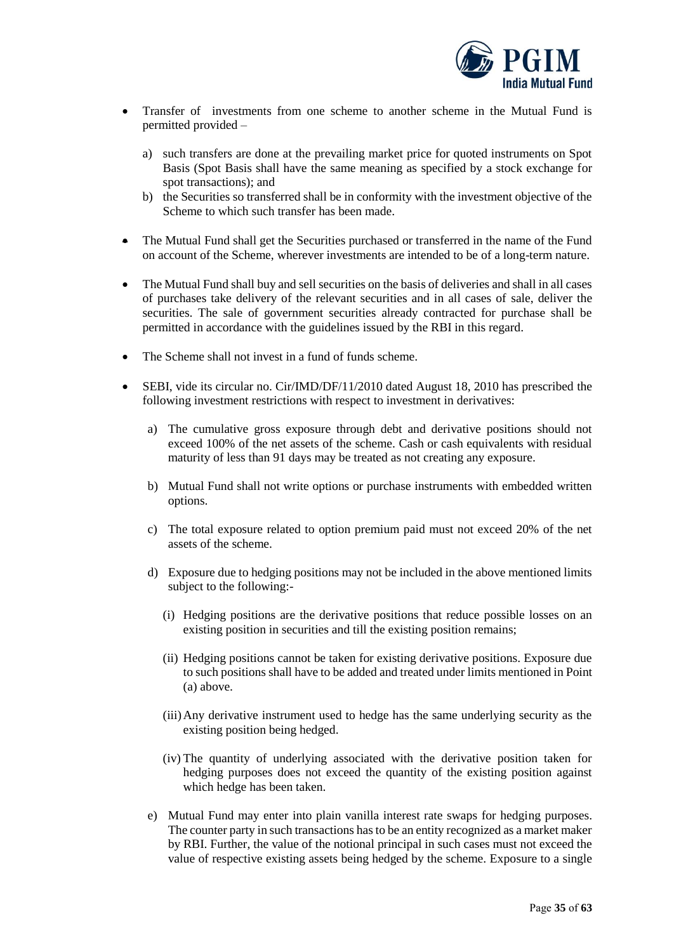

- Transfer of investments from one scheme to another scheme in the Mutual Fund is permitted provided –
	- a) such transfers are done at the prevailing market price for quoted instruments on Spot Basis (Spot Basis shall have the same meaning as specified by a stock exchange for spot transactions); and
	- b) the Securities so transferred shall be in conformity with the investment objective of the Scheme to which such transfer has been made.
- The Mutual Fund shall get the Securities purchased or transferred in the name of the Fund on account of the Scheme, wherever investments are intended to be of a long-term nature.
- The Mutual Fund shall buy and sell securities on the basis of deliveries and shall in all cases of purchases take delivery of the relevant securities and in all cases of sale, deliver the securities. The sale of government securities already contracted for purchase shall be permitted in accordance with the guidelines issued by the RBI in this regard.
- The Scheme shall not invest in a fund of funds scheme.
- SEBI, vide its circular no. Cir/IMD/DF/11/2010 dated August 18, 2010 has prescribed the following investment restrictions with respect to investment in derivatives:
	- a) The cumulative gross exposure through debt and derivative positions should not exceed 100% of the net assets of the scheme. Cash or cash equivalents with residual maturity of less than 91 days may be treated as not creating any exposure.
	- b) Mutual Fund shall not write options or purchase instruments with embedded written options.
	- c) The total exposure related to option premium paid must not exceed 20% of the net assets of the scheme.
	- d) Exposure due to hedging positions may not be included in the above mentioned limits subject to the following:-
		- (i) Hedging positions are the derivative positions that reduce possible losses on an existing position in securities and till the existing position remains;
		- (ii) Hedging positions cannot be taken for existing derivative positions. Exposure due to such positions shall have to be added and treated under limits mentioned in Point (a) above.
		- (iii)Any derivative instrument used to hedge has the same underlying security as the existing position being hedged.
		- (iv) The quantity of underlying associated with the derivative position taken for hedging purposes does not exceed the quantity of the existing position against which hedge has been taken.
	- e) Mutual Fund may enter into plain vanilla interest rate swaps for hedging purposes. The counter party in such transactions has to be an entity recognized as a market maker by RBI. Further, the value of the notional principal in such cases must not exceed the value of respective existing assets being hedged by the scheme. Exposure to a single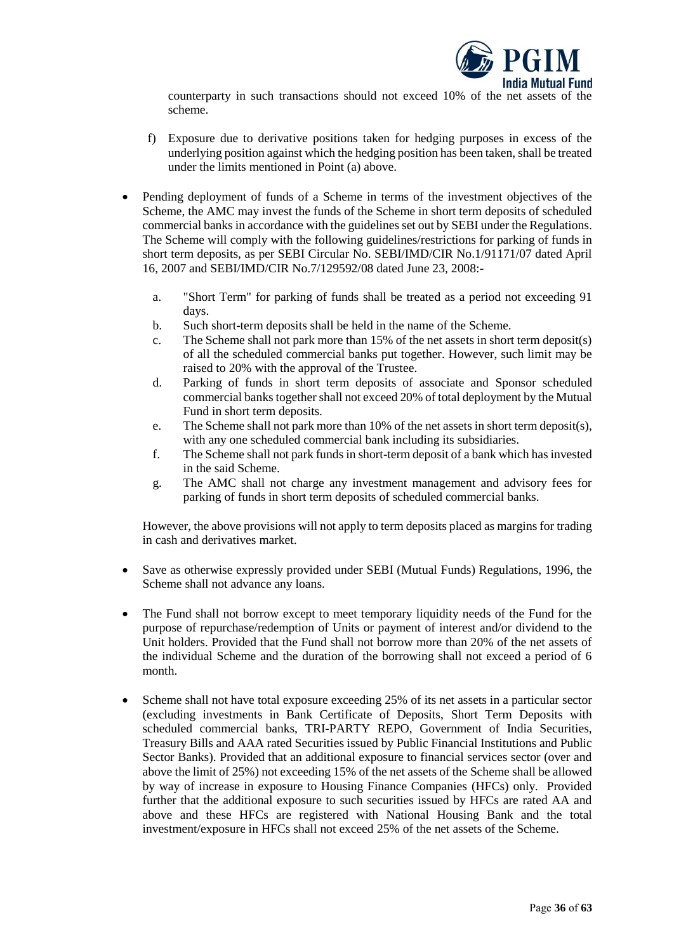

counterparty in such transactions should not exceed 10% of the net assets of the scheme.

- f) Exposure due to derivative positions taken for hedging purposes in excess of the underlying position against which the hedging position has been taken, shall be treated under the limits mentioned in Point (a) above.
- Pending deployment of funds of a Scheme in terms of the investment objectives of the Scheme, the AMC may invest the funds of the Scheme in short term deposits of scheduled commercial banks in accordance with the guidelines set out by SEBI under the Regulations. The Scheme will comply with the following guidelines/restrictions for parking of funds in short term deposits, as per SEBI Circular No. SEBI/IMD/CIR No.1/91171/07 dated April 16, 2007 and SEBI/IMD/CIR No.7/129592/08 dated June 23, 2008:
	- a. "Short Term" for parking of funds shall be treated as a period not exceeding 91 days.
	- b. Such short-term deposits shall be held in the name of the Scheme.
	- c. The Scheme shall not park more than 15% of the net assets in short term deposit(s) of all the scheduled commercial banks put together. However, such limit may be raised to 20% with the approval of the Trustee.
	- d. Parking of funds in short term deposits of associate and Sponsor scheduled commercial banks together shall not exceed 20% of total deployment by the Mutual Fund in short term deposits.
	- e. The Scheme shall not park more than 10% of the net assets in short term deposit(s), with any one scheduled commercial bank including its subsidiaries.
	- f. The Scheme shall not park funds in short-term deposit of a bank which has invested in the said Scheme.
	- g. The AMC shall not charge any investment management and advisory fees for parking of funds in short term deposits of scheduled commercial banks.

However, the above provisions will not apply to term deposits placed as margins for trading in cash and derivatives market.

- Save as otherwise expressly provided under SEBI (Mutual Funds) Regulations, 1996, the Scheme shall not advance any loans.
- The Fund shall not borrow except to meet temporary liquidity needs of the Fund for the purpose of repurchase/redemption of Units or payment of interest and/or dividend to the Unit holders. Provided that the Fund shall not borrow more than 20% of the net assets of the individual Scheme and the duration of the borrowing shall not exceed a period of 6 month.
- Scheme shall not have total exposure exceeding 25% of its net assets in a particular sector (excluding investments in Bank Certificate of Deposits, Short Term Deposits with scheduled commercial banks, TRI-PARTY REPO, Government of India Securities, Treasury Bills and AAA rated Securities issued by Public Financial Institutions and Public Sector Banks). Provided that an additional exposure to financial services sector (over and above the limit of 25%) not exceeding 15% of the net assets of the Scheme shall be allowed by way of increase in exposure to Housing Finance Companies (HFCs) only. Provided further that the additional exposure to such securities issued by HFCs are rated AA and above and these HFCs are registered with National Housing Bank and the total investment/exposure in HFCs shall not exceed 25% of the net assets of the Scheme.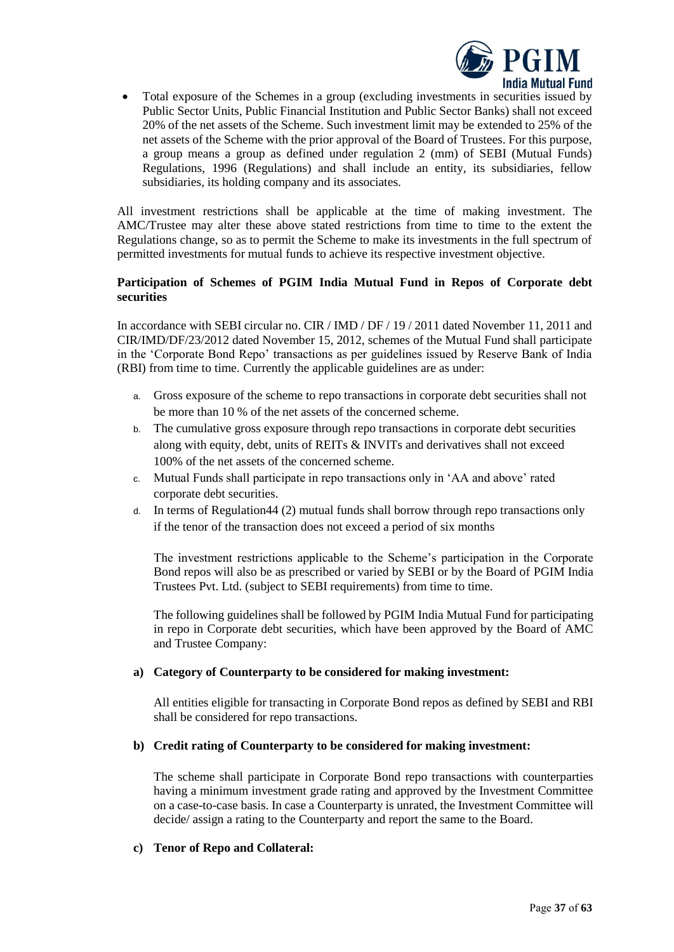

• Total exposure of the Schemes in a group (excluding investments in securities issued by Public Sector Units, Public Financial Institution and Public Sector Banks) shall not exceed 20% of the net assets of the Scheme. Such investment limit may be extended to 25% of the net assets of the Scheme with the prior approval of the Board of Trustees. For this purpose, a group means a group as defined under regulation 2 (mm) of SEBI (Mutual Funds) Regulations, 1996 (Regulations) and shall include an entity, its subsidiaries, fellow subsidiaries, its holding company and its associates.

All investment restrictions shall be applicable at the time of making investment. The AMC/Trustee may alter these above stated restrictions from time to time to the extent the Regulations change, so as to permit the Scheme to make its investments in the full spectrum of permitted investments for mutual funds to achieve its respective investment objective.

### **Participation of Schemes of PGIM India Mutual Fund in Repos of Corporate debt securities**

In accordance with SEBI circular no. CIR / IMD / DF / 19 / 2011 dated November 11, 2011 and CIR/IMD/DF/23/2012 dated November 15, 2012, schemes of the Mutual Fund shall participate in the 'Corporate Bond Repo' transactions as per guidelines issued by Reserve Bank of India (RBI) from time to time. Currently the applicable guidelines are as under:

- a. Gross exposure of the scheme to repo transactions in corporate debt securities shall not be more than 10 % of the net assets of the concerned scheme.
- b. The cumulative gross exposure through repo transactions in corporate debt securities along with equity, debt, units of REITs & INVITs and derivatives shall not exceed 100% of the net assets of the concerned scheme.
- c. Mutual Funds shall participate in repo transactions only in 'AA and above' rated corporate debt securities.
- d. In terms of Regulation44 (2) mutual funds shall borrow through repo transactions only if the tenor of the transaction does not exceed a period of six months

The investment restrictions applicable to the Scheme's participation in the Corporate Bond repos will also be as prescribed or varied by SEBI or by the Board of PGIM India Trustees Pvt. Ltd. (subject to SEBI requirements) from time to time.

The following guidelines shall be followed by PGIM India Mutual Fund for participating in repo in Corporate debt securities, which have been approved by the Board of AMC and Trustee Company:

### **a) Category of Counterparty to be considered for making investment:**

All entities eligible for transacting in Corporate Bond repos as defined by SEBI and RBI shall be considered for repo transactions.

### **b) Credit rating of Counterparty to be considered for making investment:**

The scheme shall participate in Corporate Bond repo transactions with counterparties having a minimum investment grade rating and approved by the Investment Committee on a case-to-case basis. In case a Counterparty is unrated, the Investment Committee will decide/ assign a rating to the Counterparty and report the same to the Board.

### **c) Tenor of Repo and Collateral:**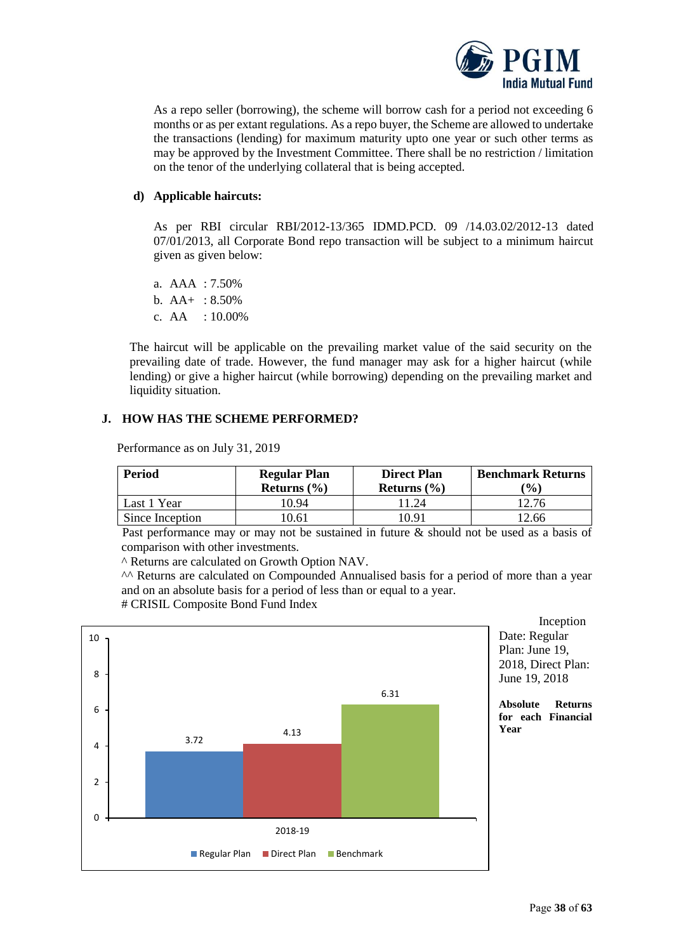

As a repo seller (borrowing), the scheme will borrow cash for a period not exceeding 6 months or as per extant regulations. As a repo buyer, the Scheme are allowed to undertake the transactions (lending) for maximum maturity upto one year or such other terms as may be approved by the Investment Committee. There shall be no restriction / limitation on the tenor of the underlying collateral that is being accepted.

### **d) Applicable haircuts:**

As per RBI circular RBI/2012-13/365 IDMD.PCD. 09 /14.03.02/2012-13 dated 07/01/2013, all Corporate Bond repo transaction will be subject to a minimum haircut given as given below:

- a. AAA : 7.50%
- b.  $AA+$  : 8.50%
- c. AA : 10.00%

The haircut will be applicable on the prevailing market value of the said security on the prevailing date of trade. However, the fund manager may ask for a higher haircut (while lending) or give a higher haircut (while borrowing) depending on the prevailing market and liquidity situation.

# <span id="page-37-0"></span>**J. HOW HAS THE SCHEME PERFORMED?**

| <b>Period</b>   | <b>Regular Plan</b><br>Returns $(\% )$ | <b>Direct Plan</b><br>Returns $(\% )$ | <b>Benchmark Returns</b><br>$($ %) |
|-----------------|----------------------------------------|---------------------------------------|------------------------------------|
| Last 1 Year     | 10.94                                  | 1.24                                  | 12.76                              |
| Since Inception | 10.61                                  | '0.91                                 | 12.66                              |

Performance as on July 31, 2019

Past performance may or may not be sustained in future & should not be used as a basis of comparison with other investments.

^ Returns are calculated on Growth Option NAV.

^^ Returns are calculated on Compounded Annualised basis for a period of more than a year and on an absolute basis for a period of less than or equal to a year. # CRISIL Composite Bond Fund Index

3.72 4.13 6.31  $\Omega$ 2 4 6 8 10 2018-19 Regular Plan Direct Plan Benchmark

Inception Date: Regular Plan: June 19, 2018, Direct Plan: June 19, 2018

**Absolute Returns for each Financial Year**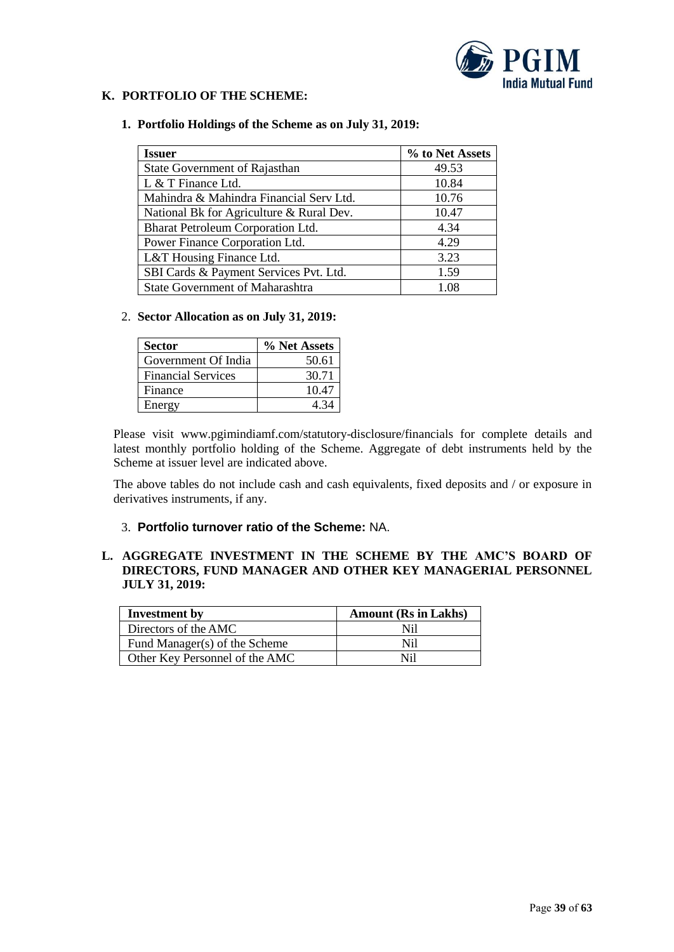

# <span id="page-38-0"></span>**K. PORTFOLIO OF THE SCHEME:**

#### **1. Portfolio Holdings of the Scheme as on July 31, 2019:**

| <b>Issuer</b>                            | % to Net Assets |
|------------------------------------------|-----------------|
| State Government of Rajasthan            | 49.53           |
| L & T Finance Ltd.                       | 10.84           |
| Mahindra & Mahindra Financial Serv Ltd.  | 10.76           |
| National Bk for Agriculture & Rural Dev. | 10.47           |
| Bharat Petroleum Corporation Ltd.        | 4.34            |
| Power Finance Corporation Ltd.           | 4.29            |
| L&T Housing Finance Ltd.                 | 3.23            |
| SBI Cards & Payment Services Pvt. Ltd.   | 1.59            |
| State Government of Maharashtra          | 1.08            |

### 2. **Sector Allocation as on July 31, 2019:**

| <b>Sector</b>             | % Net Assets |
|---------------------------|--------------|
| Government Of India       | 50.61        |
| <b>Financial Services</b> | 30.71        |
| Finance                   | 10.47        |
| Energy                    | A 34         |

Please visit www.pgimindiamf.com/statutory-disclosure/financials for complete details and latest monthly portfolio holding of the Scheme. Aggregate of debt instruments held by the Scheme at issuer level are indicated above.

The above tables do not include cash and cash equivalents, fixed deposits and / or exposure in derivatives instruments, if any.

### 3. **Portfolio turnover ratio of the Scheme:** NA.

# <span id="page-38-1"></span>**L. AGGREGATE INVESTMENT IN THE SCHEME BY THE AMC'S BOARD OF DIRECTORS, FUND MANAGER AND OTHER KEY MANAGERIAL PERSONNEL JULY 31, 2019:**

| Investment by                  | <b>Amount (Rs in Lakhs)</b> |
|--------------------------------|-----------------------------|
| Directors of the AMC           | Nil                         |
| Fund Manager(s) of the Scheme  | Ni1                         |
| Other Key Personnel of the AMC | Ni1                         |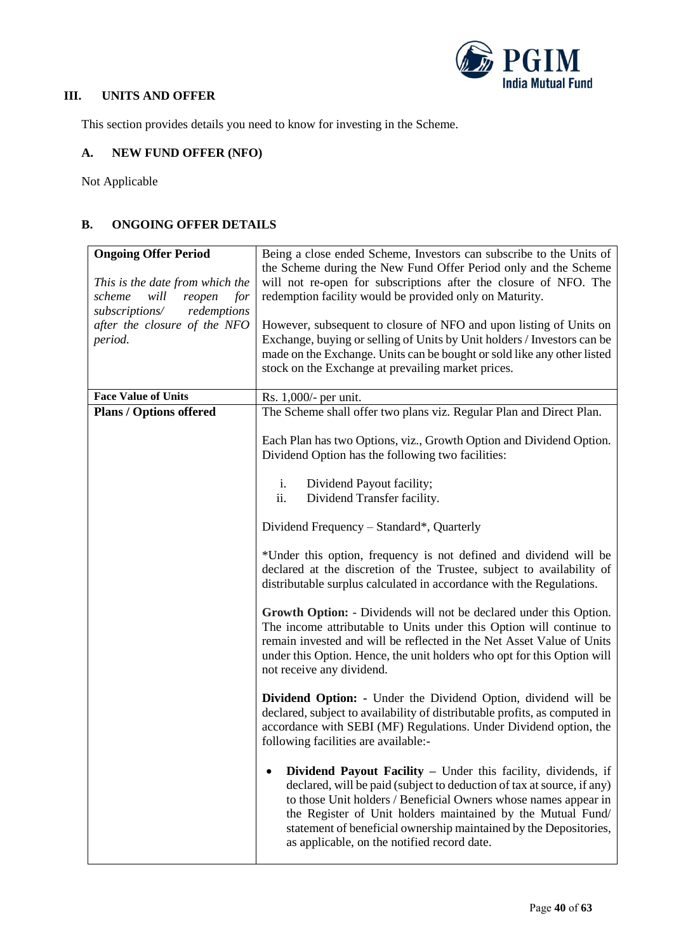

# <span id="page-39-0"></span>**III. UNITS AND OFFER**

This section provides details you need to know for investing in the Scheme.

# <span id="page-39-1"></span>**A. NEW FUND OFFER (NFO)**

Not Applicable

# <span id="page-39-2"></span>**B. ONGOING OFFER DETAILS**

| <b>Ongoing Offer Period</b><br>This is the date from which the<br>scheme<br>will<br>reopen<br>for | Being a close ended Scheme, Investors can subscribe to the Units of<br>the Scheme during the New Fund Offer Period only and the Scheme<br>will not re-open for subscriptions after the closure of NFO. The<br>redemption facility would be provided only on Maturity.                                                                                                                         |  |
|---------------------------------------------------------------------------------------------------|-----------------------------------------------------------------------------------------------------------------------------------------------------------------------------------------------------------------------------------------------------------------------------------------------------------------------------------------------------------------------------------------------|--|
| redemptions<br>subscriptions/<br>after the closure of the NFO<br>period.                          | However, subsequent to closure of NFO and upon listing of Units on<br>Exchange, buying or selling of Units by Unit holders / Investors can be<br>made on the Exchange. Units can be bought or sold like any other listed<br>stock on the Exchange at prevailing market prices.                                                                                                                |  |
| <b>Face Value of Units</b>                                                                        | Rs. 1,000/- per unit.                                                                                                                                                                                                                                                                                                                                                                         |  |
| <b>Plans / Options offered</b>                                                                    | The Scheme shall offer two plans viz. Regular Plan and Direct Plan.                                                                                                                                                                                                                                                                                                                           |  |
|                                                                                                   | Each Plan has two Options, viz., Growth Option and Dividend Option.<br>Dividend Option has the following two facilities:                                                                                                                                                                                                                                                                      |  |
|                                                                                                   | i.<br>Dividend Payout facility;<br>ii.<br>Dividend Transfer facility.                                                                                                                                                                                                                                                                                                                         |  |
|                                                                                                   | Dividend Frequency – Standard*, Quarterly                                                                                                                                                                                                                                                                                                                                                     |  |
|                                                                                                   | *Under this option, frequency is not defined and dividend will be<br>declared at the discretion of the Trustee, subject to availability of<br>distributable surplus calculated in accordance with the Regulations.                                                                                                                                                                            |  |
|                                                                                                   | Growth Option: - Dividends will not be declared under this Option.<br>The income attributable to Units under this Option will continue to<br>remain invested and will be reflected in the Net Asset Value of Units<br>under this Option. Hence, the unit holders who opt for this Option will<br>not receive any dividend.                                                                    |  |
|                                                                                                   | <b>Dividend Option:</b> - Under the Dividend Option, dividend will be<br>declared, subject to availability of distributable profits, as computed in<br>accordance with SEBI (MF) Regulations. Under Dividend option, the<br>following facilities are available:-                                                                                                                              |  |
|                                                                                                   | Dividend Payout Facility - Under this facility, dividends, if<br>declared, will be paid (subject to deduction of tax at source, if any)<br>to those Unit holders / Beneficial Owners whose names appear in<br>the Register of Unit holders maintained by the Mutual Fund/<br>statement of beneficial ownership maintained by the Depositories,<br>as applicable, on the notified record date. |  |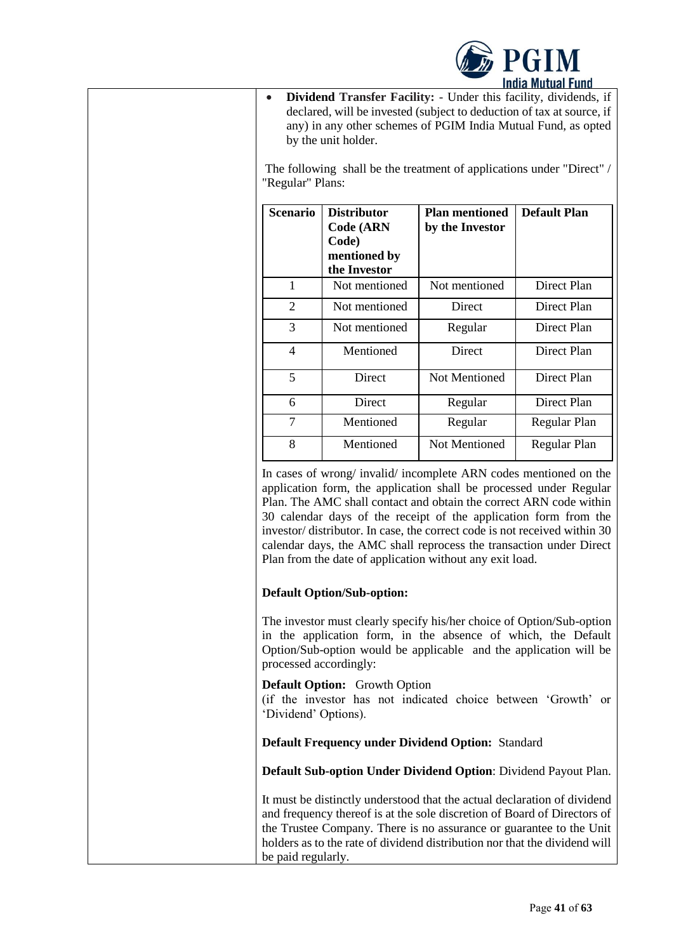

• **Dividend Transfer Facility: -** Under this facility, dividends, if declared, will be invested (subject to deduction of tax at source, if any) in any other schemes of PGIM India Mutual Fund, as opted by the unit holder.

The following shall be the treatment of applications under "Direct" / "Regular" Plans:

| <b>Scenario</b> | <b>Distributor</b><br><b>Code (ARN</b><br>Code)<br>mentioned by<br>the Investor | <b>Plan mentioned</b><br>by the Investor | <b>Default Plan</b> |
|-----------------|---------------------------------------------------------------------------------|------------------------------------------|---------------------|
| 1               | Not mentioned                                                                   | Not mentioned                            | Direct Plan         |
| 2               | Not mentioned                                                                   | Direct                                   | Direct Plan         |
| 3               | Not mentioned                                                                   | Regular                                  | Direct Plan         |
| 4               | Mentioned                                                                       | Direct                                   | Direct Plan         |
| 5               | Direct                                                                          | Not Mentioned                            | Direct Plan         |
| 6               | Direct                                                                          | Regular                                  | Direct Plan         |
| $\overline{7}$  | Mentioned                                                                       | Regular                                  | Regular Plan        |
| 8               | Mentioned                                                                       | Not Mentioned                            | Regular Plan        |

In cases of wrong/ invalid/ incomplete ARN codes mentioned on the application form, the application shall be processed under Regular Plan. The AMC shall contact and obtain the correct ARN code within 30 calendar days of the receipt of the application form from the investor/ distributor. In case, the correct code is not received within 30 calendar days, the AMC shall reprocess the transaction under Direct Plan from the date of application without any exit load.

# **Default Option/Sub-option:**

The investor must clearly specify his/her choice of Option/Sub-option in the application form, in the absence of which, the Default Option/Sub-option would be applicable and the application will be processed accordingly:

**Default Option:** Growth Option

(if the investor has not indicated choice between 'Growth' or 'Dividend' Options).

# **Default Frequency under Dividend Option:** Standard

**Default Sub-option Under Dividend Option**: Dividend Payout Plan.

It must be distinctly understood that the actual declaration of dividend and frequency thereof is at the sole discretion of Board of Directors of the Trustee Company. There is no assurance or guarantee to the Unit holders as to the rate of dividend distribution nor that the dividend will be paid regularly.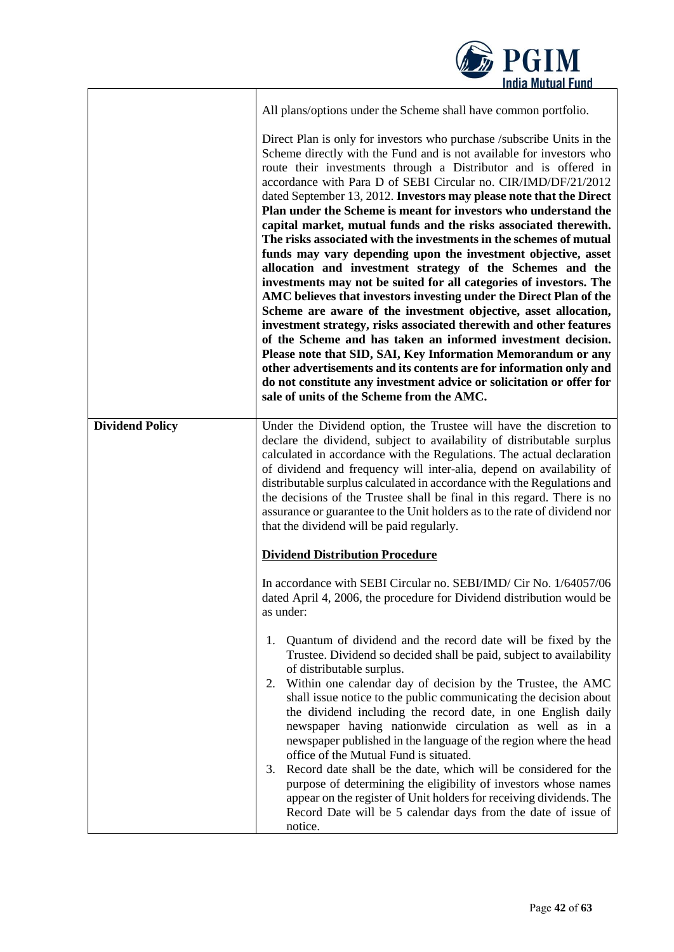|                        | <b>DESPECTM</b><br><b>India Mutual Fund</b>                                                                                                                                                                                                                                                                                                                                                                                                                                                                                                                                                                                                                                                                                                                                                                                                                                                                                                                                                                                                                                                                                                                                                                                                                                                                           |
|------------------------|-----------------------------------------------------------------------------------------------------------------------------------------------------------------------------------------------------------------------------------------------------------------------------------------------------------------------------------------------------------------------------------------------------------------------------------------------------------------------------------------------------------------------------------------------------------------------------------------------------------------------------------------------------------------------------------------------------------------------------------------------------------------------------------------------------------------------------------------------------------------------------------------------------------------------------------------------------------------------------------------------------------------------------------------------------------------------------------------------------------------------------------------------------------------------------------------------------------------------------------------------------------------------------------------------------------------------|
|                        | All plans/options under the Scheme shall have common portfolio.                                                                                                                                                                                                                                                                                                                                                                                                                                                                                                                                                                                                                                                                                                                                                                                                                                                                                                                                                                                                                                                                                                                                                                                                                                                       |
|                        | Direct Plan is only for investors who purchase /subscribe Units in the<br>Scheme directly with the Fund and is not available for investors who<br>route their investments through a Distributor and is offered in<br>accordance with Para D of SEBI Circular no. CIR/IMD/DF/21/2012<br>dated September 13, 2012. Investors may please note that the Direct<br>Plan under the Scheme is meant for investors who understand the<br>capital market, mutual funds and the risks associated therewith.<br>The risks associated with the investments in the schemes of mutual<br>funds may vary depending upon the investment objective, asset<br>allocation and investment strategy of the Schemes and the<br>investments may not be suited for all categories of investors. The<br>AMC believes that investors investing under the Direct Plan of the<br>Scheme are aware of the investment objective, asset allocation,<br>investment strategy, risks associated therewith and other features<br>of the Scheme and has taken an informed investment decision.<br>Please note that SID, SAI, Key Information Memorandum or any<br>other advertisements and its contents are for information only and<br>do not constitute any investment advice or solicitation or offer for<br>sale of units of the Scheme from the AMC. |
| <b>Dividend Policy</b> | Under the Dividend option, the Trustee will have the discretion to<br>declare the dividend, subject to availability of distributable surplus<br>calculated in accordance with the Regulations. The actual declaration<br>of dividend and frequency will inter-alia, depend on availability of<br>distributable surplus calculated in accordance with the Regulations and<br>the decisions of the Trustee shall be final in this regard. There is no<br>assurance or guarantee to the Unit holders as to the rate of dividend nor<br>that the dividend will be paid regularly.                                                                                                                                                                                                                                                                                                                                                                                                                                                                                                                                                                                                                                                                                                                                         |
|                        | <b>Dividend Distribution Procedure</b>                                                                                                                                                                                                                                                                                                                                                                                                                                                                                                                                                                                                                                                                                                                                                                                                                                                                                                                                                                                                                                                                                                                                                                                                                                                                                |
|                        | In accordance with SEBI Circular no. SEBI/IMD/ Cir No. 1/64057/06<br>dated April 4, 2006, the procedure for Dividend distribution would be<br>as under:                                                                                                                                                                                                                                                                                                                                                                                                                                                                                                                                                                                                                                                                                                                                                                                                                                                                                                                                                                                                                                                                                                                                                               |
|                        | Quantum of dividend and the record date will be fixed by the<br>1.<br>Trustee. Dividend so decided shall be paid, subject to availability<br>of distributable surplus.<br>Within one calendar day of decision by the Trustee, the AMC<br>2.<br>shall issue notice to the public communicating the decision about<br>the dividend including the record date, in one English daily<br>newspaper having nationwide circulation as well as in a<br>newspaper published in the language of the region where the head<br>office of the Mutual Fund is situated.<br>Record date shall be the date, which will be considered for the<br>3.<br>purpose of determining the eligibility of investors whose names<br>appear on the register of Unit holders for receiving dividends. The<br>Record Date will be 5 calendar days from the date of issue of<br>notice.                                                                                                                                                                                                                                                                                                                                                                                                                                                              |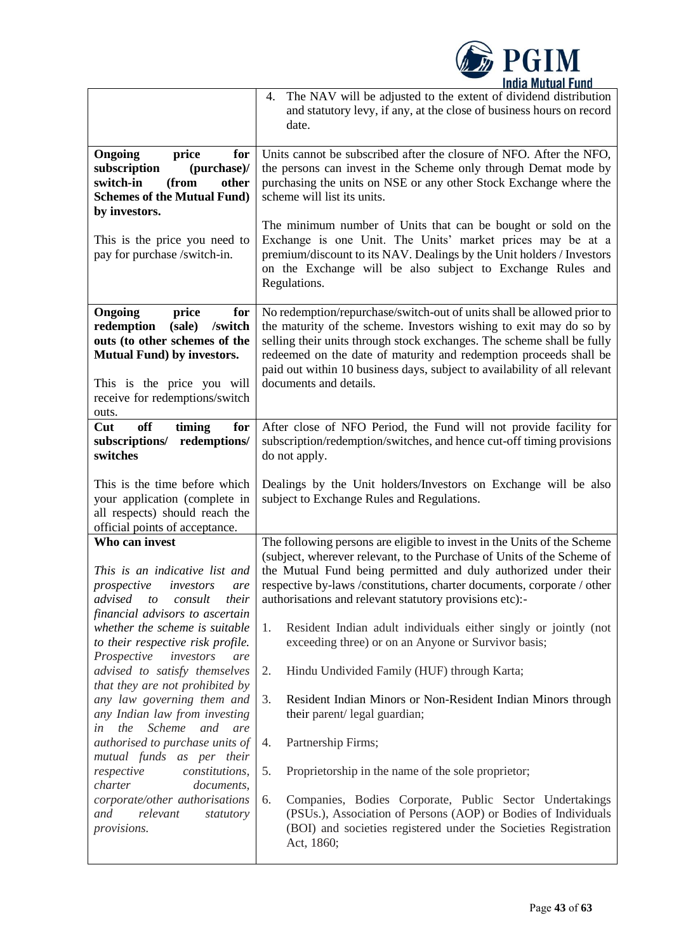

|                                                                                                                                                                                                               | 4. The NAV will be adjusted to the extent of dividend distribution<br>and statutory levy, if any, at the close of business hours on record<br>date.                                                                                                                                                                                                                                                                                                                                                                              |  |  |  |
|---------------------------------------------------------------------------------------------------------------------------------------------------------------------------------------------------------------|----------------------------------------------------------------------------------------------------------------------------------------------------------------------------------------------------------------------------------------------------------------------------------------------------------------------------------------------------------------------------------------------------------------------------------------------------------------------------------------------------------------------------------|--|--|--|
| Ongoing<br>price<br>for<br>subscription<br>(purchase)/<br>switch-in<br>(from<br>other<br><b>Schemes of the Mutual Fund)</b><br>by investors.<br>This is the price you need to<br>pay for purchase /switch-in. | Units cannot be subscribed after the closure of NFO. After the NFO,<br>the persons can invest in the Scheme only through Demat mode by<br>purchasing the units on NSE or any other Stock Exchange where the<br>scheme will list its units.<br>The minimum number of Units that can be bought or sold on the<br>Exchange is one Unit. The Units' market prices may be at a<br>premium/discount to its NAV. Dealings by the Unit holders / Investors<br>on the Exchange will be also subject to Exchange Rules and<br>Regulations. |  |  |  |
| Ongoing<br>price<br>for<br>/switch<br>redemption<br>(sale)<br>outs (to other schemes of the<br><b>Mutual Fund</b> ) by investors.<br>This is the price you will<br>receive for redemptions/switch<br>outs.    | No redemption/repurchase/switch-out of units shall be allowed prior to<br>the maturity of the scheme. Investors wishing to exit may do so by<br>selling their units through stock exchanges. The scheme shall be fully<br>redeemed on the date of maturity and redemption proceeds shall be<br>paid out within 10 business days, subject to availability of all relevant<br>documents and details.                                                                                                                               |  |  |  |
| off<br>Cut<br>timing<br>for<br>subscriptions/<br>redemptions/<br>switches                                                                                                                                     | After close of NFO Period, the Fund will not provide facility for<br>subscription/redemption/switches, and hence cut-off timing provisions<br>do not apply.                                                                                                                                                                                                                                                                                                                                                                      |  |  |  |
| This is the time before which<br>your application (complete in<br>all respects) should reach the<br>official points of acceptance.                                                                            | Dealings by the Unit holders/Investors on Exchange will be also<br>subject to Exchange Rules and Regulations.                                                                                                                                                                                                                                                                                                                                                                                                                    |  |  |  |
| Who can invest<br>This is an indicative list and<br>prospective<br>investors<br>are<br>advised to consult<br>their<br>financial advisors to ascertain<br>whether the scheme is suitable                       | The following persons are eligible to invest in the Units of the Scheme<br>(subject, wherever relevant, to the Purchase of Units of the Scheme of<br>the Mutual Fund being permitted and duly authorized under their<br>respective by-laws /constitutions, charter documents, corporate / other<br>authorisations and relevant statutory provisions etc):-<br>Resident Indian adult individuals either singly or jointly (not<br>1.                                                                                              |  |  |  |
| to their respective risk profile.<br>Prospective<br>investors<br>are<br>advised to satisfy themselves<br>that they are not prohibited by                                                                      | exceeding three) or on an Anyone or Survivor basis;<br>Hindu Undivided Family (HUF) through Karta;<br>2.                                                                                                                                                                                                                                                                                                                                                                                                                         |  |  |  |
| any law governing them and<br>any Indian law from investing<br>the Scheme and are<br>in                                                                                                                       | Resident Indian Minors or Non-Resident Indian Minors through<br>3.<br>their parent/ legal guardian;                                                                                                                                                                                                                                                                                                                                                                                                                              |  |  |  |
| authorised to purchase units of<br>mutual funds as per their<br>respective<br>constitutions,                                                                                                                  | Partnership Firms;<br>4.<br>5.<br>Proprietorship in the name of the sole proprietor;                                                                                                                                                                                                                                                                                                                                                                                                                                             |  |  |  |
| charter<br>documents,<br>corporate/other authorisations<br>and<br>relevant<br>statutory<br>provisions.                                                                                                        | Companies, Bodies Corporate, Public Sector Undertakings<br>6.<br>(PSUs.), Association of Persons (AOP) or Bodies of Individuals<br>(BOI) and societies registered under the Societies Registration<br>Act, 1860;                                                                                                                                                                                                                                                                                                                 |  |  |  |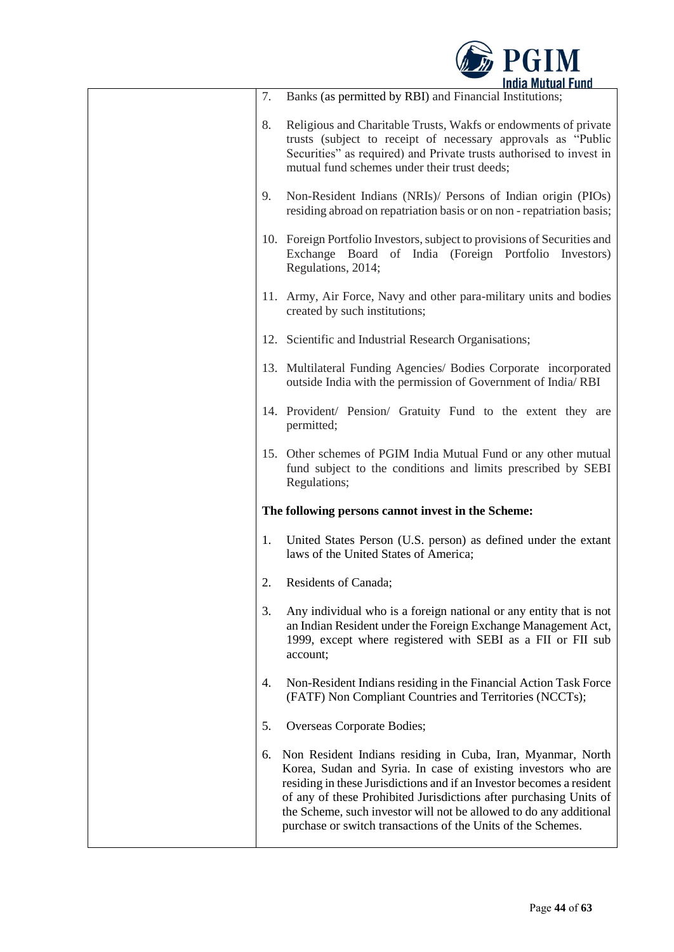

| 7. | Banks (as permitted by RBI) and Financial Institutions;                                                                                                                                                                                                                                                                                                                                                           |
|----|-------------------------------------------------------------------------------------------------------------------------------------------------------------------------------------------------------------------------------------------------------------------------------------------------------------------------------------------------------------------------------------------------------------------|
| 8. | Religious and Charitable Trusts, Wakfs or endowments of private<br>trusts (subject to receipt of necessary approvals as "Public<br>Securities" as required) and Private trusts authorised to invest in<br>mutual fund schemes under their trust deeds;                                                                                                                                                            |
| 9. | Non-Resident Indians (NRIs)/ Persons of Indian origin (PIOs)<br>residing abroad on repatriation basis or on non - repatriation basis;                                                                                                                                                                                                                                                                             |
|    | 10. Foreign Portfolio Investors, subject to provisions of Securities and<br>Exchange Board of India (Foreign Portfolio Investors)<br>Regulations, 2014;                                                                                                                                                                                                                                                           |
|    | 11. Army, Air Force, Navy and other para-military units and bodies<br>created by such institutions;                                                                                                                                                                                                                                                                                                               |
|    | 12. Scientific and Industrial Research Organisations;                                                                                                                                                                                                                                                                                                                                                             |
|    | 13. Multilateral Funding Agencies/ Bodies Corporate incorporated<br>outside India with the permission of Government of India/RBI                                                                                                                                                                                                                                                                                  |
|    | 14. Provident/ Pension/ Gratuity Fund to the extent they are<br>permitted;                                                                                                                                                                                                                                                                                                                                        |
|    | 15. Other schemes of PGIM India Mutual Fund or any other mutual<br>fund subject to the conditions and limits prescribed by SEBI<br>Regulations;                                                                                                                                                                                                                                                                   |
|    | The following persons cannot invest in the Scheme:                                                                                                                                                                                                                                                                                                                                                                |
| 1. | United States Person (U.S. person) as defined under the extant<br>laws of the United States of America;                                                                                                                                                                                                                                                                                                           |
| 2. | Residents of Canada;                                                                                                                                                                                                                                                                                                                                                                                              |
| 3. | Any individual who is a foreign national or any entity that is not<br>an Indian Resident under the Foreign Exchange Management Act,<br>1999, except where registered with SEBI as a FII or FII sub<br>account;                                                                                                                                                                                                    |
| 4. | Non-Resident Indians residing in the Financial Action Task Force<br>(FATF) Non Compliant Countries and Territories (NCCTs);                                                                                                                                                                                                                                                                                       |
| 5. | Overseas Corporate Bodies;                                                                                                                                                                                                                                                                                                                                                                                        |
| 6. | Non Resident Indians residing in Cuba, Iran, Myanmar, North<br>Korea, Sudan and Syria. In case of existing investors who are<br>residing in these Jurisdictions and if an Investor becomes a resident<br>of any of these Prohibited Jurisdictions after purchasing Units of<br>the Scheme, such investor will not be allowed to do any additional<br>purchase or switch transactions of the Units of the Schemes. |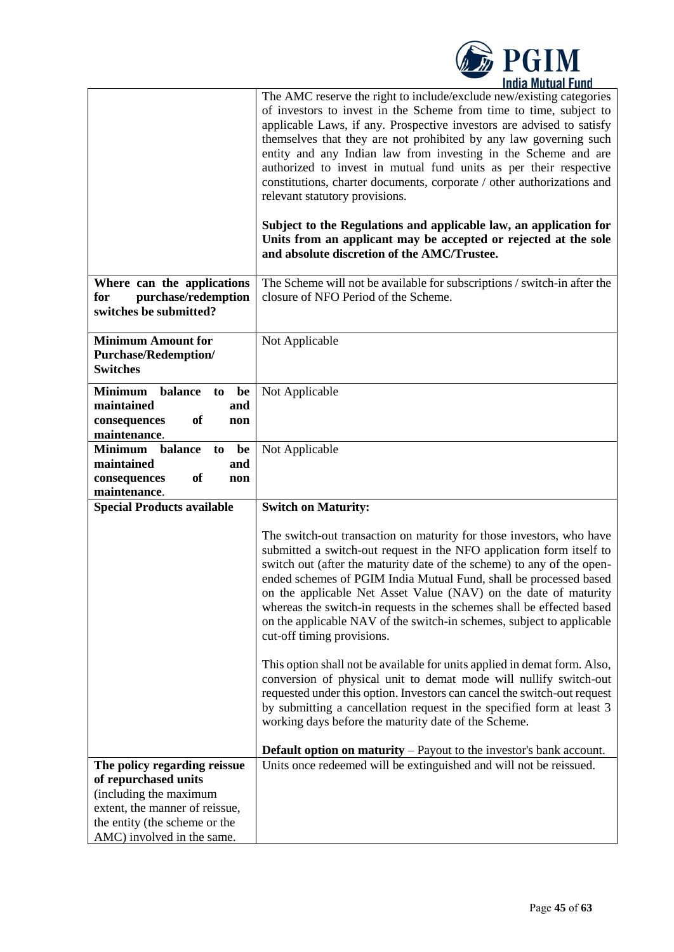|                                                                                                                                                                                 | <b>E</b> PGIM<br><b>India Mutual Fund</b>                                                                                                                                                                                                                                                                                                                                                                                                                                                                                                                                                                                                                                                                                          |
|---------------------------------------------------------------------------------------------------------------------------------------------------------------------------------|------------------------------------------------------------------------------------------------------------------------------------------------------------------------------------------------------------------------------------------------------------------------------------------------------------------------------------------------------------------------------------------------------------------------------------------------------------------------------------------------------------------------------------------------------------------------------------------------------------------------------------------------------------------------------------------------------------------------------------|
|                                                                                                                                                                                 | The AMC reserve the right to include/exclude new/existing categories<br>of investors to invest in the Scheme from time to time, subject to<br>applicable Laws, if any. Prospective investors are advised to satisfy<br>themselves that they are not prohibited by any law governing such<br>entity and any Indian law from investing in the Scheme and are<br>authorized to invest in mutual fund units as per their respective<br>constitutions, charter documents, corporate / other authorizations and<br>relevant statutory provisions.<br>Subject to the Regulations and applicable law, an application for<br>Units from an applicant may be accepted or rejected at the sole<br>and absolute discretion of the AMC/Trustee. |
| Where can the applications<br>purchase/redemption<br>for<br>switches be submitted?                                                                                              | The Scheme will not be available for subscriptions / switch-in after the<br>closure of NFO Period of the Scheme.                                                                                                                                                                                                                                                                                                                                                                                                                                                                                                                                                                                                                   |
| <b>Minimum Amount for</b><br><b>Purchase/Redemption/</b><br><b>Switches</b>                                                                                                     | Not Applicable                                                                                                                                                                                                                                                                                                                                                                                                                                                                                                                                                                                                                                                                                                                     |
| <b>Minimum</b><br>balance<br>be<br>to<br>maintained<br>and<br>of<br>consequences<br>non<br>maintenance.                                                                         | Not Applicable                                                                                                                                                                                                                                                                                                                                                                                                                                                                                                                                                                                                                                                                                                                     |
| <b>Minimum</b><br>balance<br>be<br>to<br>maintained<br>and<br>of<br>consequences<br>non<br>maintenance.                                                                         | Not Applicable                                                                                                                                                                                                                                                                                                                                                                                                                                                                                                                                                                                                                                                                                                                     |
| <b>Special Products available</b>                                                                                                                                               | <b>Switch on Maturity:</b>                                                                                                                                                                                                                                                                                                                                                                                                                                                                                                                                                                                                                                                                                                         |
|                                                                                                                                                                                 | The switch-out transaction on maturity for those investors, who have<br>submitted a switch-out request in the NFO application form itself to<br>switch out (after the maturity date of the scheme) to any of the open-<br>ended schemes of PGIM India Mutual Fund, shall be processed based<br>on the applicable Net Asset Value (NAV) on the date of maturity<br>whereas the switch-in requests in the schemes shall be effected based<br>on the applicable NAV of the switch-in schemes, subject to applicable<br>cut-off timing provisions.                                                                                                                                                                                     |
|                                                                                                                                                                                 | This option shall not be available for units applied in demat form. Also,<br>conversion of physical unit to demat mode will nullify switch-out<br>requested under this option. Investors can cancel the switch-out request<br>by submitting a cancellation request in the specified form at least 3<br>working days before the maturity date of the Scheme.                                                                                                                                                                                                                                                                                                                                                                        |
|                                                                                                                                                                                 | <b>Default option on maturity</b> $-$ Payout to the investor's bank account.                                                                                                                                                                                                                                                                                                                                                                                                                                                                                                                                                                                                                                                       |
| The policy regarding reissue<br>of repurchased units<br>(including the maximum<br>extent, the manner of reissue,<br>the entity (the scheme or the<br>AMC) involved in the same. | Units once redeemed will be extinguished and will not be reissued.                                                                                                                                                                                                                                                                                                                                                                                                                                                                                                                                                                                                                                                                 |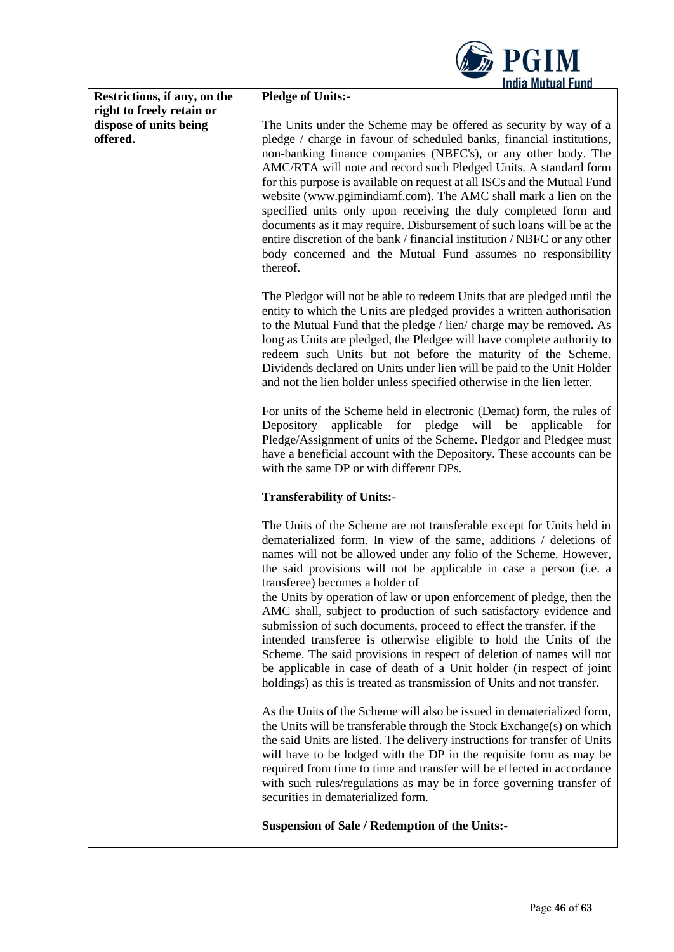|                              | <b>E</b> PGIM<br><b>India Mutual Fund</b>                                  |
|------------------------------|----------------------------------------------------------------------------|
| Restrictions, if any, on the | <b>Pledge of Units:-</b>                                                   |
|                              |                                                                            |
| right to freely retain or    |                                                                            |
| dispose of units being       | The Units under the Scheme may be offered as security by way of a          |
| offered.                     | pledge / charge in favour of scheduled banks, financial institutions,      |
|                              | non-banking finance companies (NBFC's), or any other body. The             |
|                              | AMC/RTA will note and record such Pledged Units. A standard form           |
|                              | for this purpose is available on request at all ISCs and the Mutual Fund   |
|                              | website (www.pgimindiamf.com). The AMC shall mark a lien on the            |
|                              | specified units only upon receiving the duly completed form and            |
|                              | documents as it may require. Disbursement of such loans will be at the     |
|                              | entire discretion of the bank / financial institution / NBFC or any other  |
|                              | body concerned and the Mutual Fund assumes no responsibility               |
|                              | thereof.                                                                   |
|                              | The Pledgor will not be able to redeem Units that are pledged until the    |
|                              | entity to which the Units are pledged provides a written authorisation     |
|                              | to the Mutual Fund that the pledge / lien/ charge may be removed. As       |
|                              | long as Units are pledged, the Pledgee will have complete authority to     |
|                              | redeem such Units but not before the maturity of the Scheme.               |
|                              | Dividends declared on Units under lien will be paid to the Unit Holder     |
|                              | and not the lien holder unless specified otherwise in the lien letter.     |
|                              | For units of the Scheme held in electronic (Demat) form, the rules of      |
|                              | applicable for pledge<br>Depository<br>will<br>be<br>applicable<br>for     |
|                              | Pledge/Assignment of units of the Scheme. Pledgor and Pledgee must         |
|                              | have a beneficial account with the Depository. These accounts can be       |
|                              | with the same DP or with different DPs.                                    |
|                              | <b>Transferability of Units:-</b>                                          |
|                              |                                                                            |
|                              | The Units of the Scheme are not transferable except for Units held in      |
|                              | dematerialized form. In view of the same, additions / deletions of         |
|                              | names will not be allowed under any folio of the Scheme. However,          |
|                              | the said provisions will not be applicable in case a person (i.e. a        |
|                              | transferee) becomes a holder of                                            |
|                              | the Units by operation of law or upon enforcement of pledge, then the      |
|                              | AMC shall, subject to production of such satisfactory evidence and         |
|                              | submission of such documents, proceed to effect the transfer, if the       |
|                              | intended transferee is otherwise eligible to hold the Units of the         |
|                              | Scheme. The said provisions in respect of deletion of names will not       |
|                              | be applicable in case of death of a Unit holder (in respect of joint       |
|                              | holdings) as this is treated as transmission of Units and not transfer.    |
|                              | As the Units of the Scheme will also be issued in dematerialized form,     |
|                              | the Units will be transferable through the Stock Exchange(s) on which      |
|                              | the said Units are listed. The delivery instructions for transfer of Units |
|                              | will have to be lodged with the DP in the requisite form as may be         |
|                              | required from time to time and transfer will be effected in accordance     |
|                              | with such rules/regulations as may be in force governing transfer of       |
|                              | securities in dematerialized form.                                         |
|                              |                                                                            |
|                              | <b>Suspension of Sale / Redemption of the Units:-</b>                      |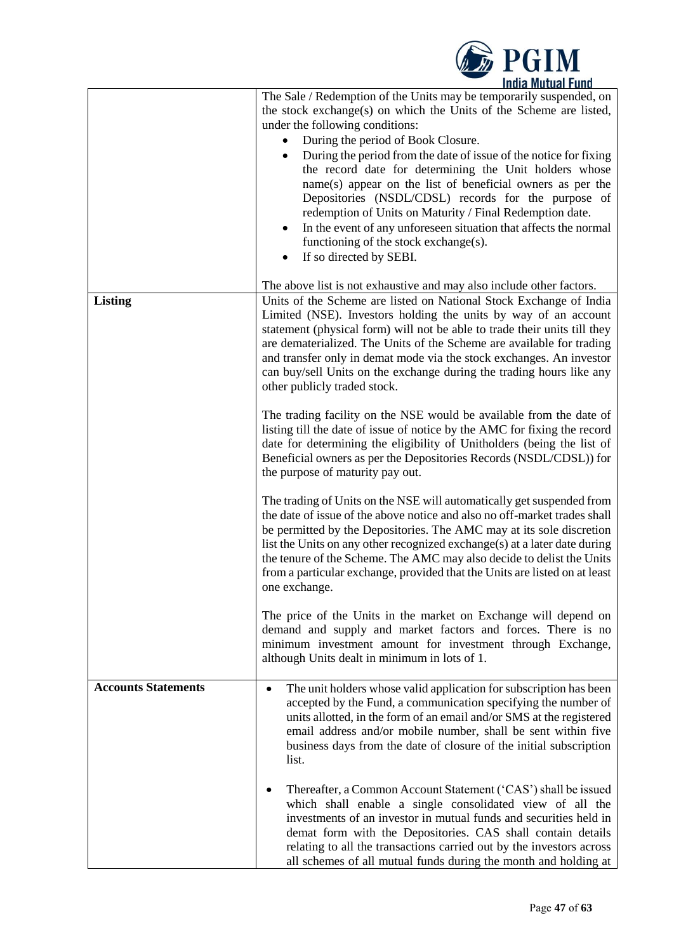

|                            | The Sale / Redemption of the Units may be temporarily suspended, on<br>the stock exchange(s) on which the Units of the Scheme are listed,<br>under the following conditions:<br>During the period of Book Closure.<br>$\bullet$<br>During the period from the date of issue of the notice for fixing<br>$\bullet$<br>the record date for determining the Unit holders whose<br>name(s) appear on the list of beneficial owners as per the<br>Depositories (NSDL/CDSL) records for the purpose of<br>redemption of Units on Maturity / Final Redemption date.<br>In the event of any unforeseen situation that affects the normal<br>$\bullet$<br>functioning of the stock exchange(s). |
|----------------------------|----------------------------------------------------------------------------------------------------------------------------------------------------------------------------------------------------------------------------------------------------------------------------------------------------------------------------------------------------------------------------------------------------------------------------------------------------------------------------------------------------------------------------------------------------------------------------------------------------------------------------------------------------------------------------------------|
|                            | If so directed by SEBI.                                                                                                                                                                                                                                                                                                                                                                                                                                                                                                                                                                                                                                                                |
| <b>Listing</b>             | The above list is not exhaustive and may also include other factors.<br>Units of the Scheme are listed on National Stock Exchange of India<br>Limited (NSE). Investors holding the units by way of an account<br>statement (physical form) will not be able to trade their units till they<br>are dematerialized. The Units of the Scheme are available for trading<br>and transfer only in demat mode via the stock exchanges. An investor<br>can buy/sell Units on the exchange during the trading hours like any<br>other publicly traded stock.                                                                                                                                    |
|                            | The trading facility on the NSE would be available from the date of<br>listing till the date of issue of notice by the AMC for fixing the record<br>date for determining the eligibility of Unitholders (being the list of<br>Beneficial owners as per the Depositories Records (NSDL/CDSL)) for<br>the purpose of maturity pay out.                                                                                                                                                                                                                                                                                                                                                   |
|                            | The trading of Units on the NSE will automatically get suspended from<br>the date of issue of the above notice and also no off-market trades shall<br>be permitted by the Depositories. The AMC may at its sole discretion<br>list the Units on any other recognized exchange(s) at a later date during<br>the tenure of the Scheme. The AMC may also decide to delist the Units<br>from a particular exchange, provided that the Units are listed on at least<br>one exchange.                                                                                                                                                                                                        |
|                            | The price of the Units in the market on Exchange will depend on<br>demand and supply and market factors and forces. There is no<br>minimum investment amount for investment through Exchange,<br>although Units dealt in minimum in lots of 1.                                                                                                                                                                                                                                                                                                                                                                                                                                         |
| <b>Accounts Statements</b> | The unit holders whose valid application for subscription has been<br>$\bullet$<br>accepted by the Fund, a communication specifying the number of<br>units allotted, in the form of an email and/or SMS at the registered<br>email address and/or mobile number, shall be sent within five<br>business days from the date of closure of the initial subscription<br>list.                                                                                                                                                                                                                                                                                                              |
|                            | Thereafter, a Common Account Statement ('CAS') shall be issued<br>which shall enable a single consolidated view of all the<br>investments of an investor in mutual funds and securities held in<br>demat form with the Depositories. CAS shall contain details<br>relating to all the transactions carried out by the investors across<br>all schemes of all mutual funds during the month and holding at                                                                                                                                                                                                                                                                              |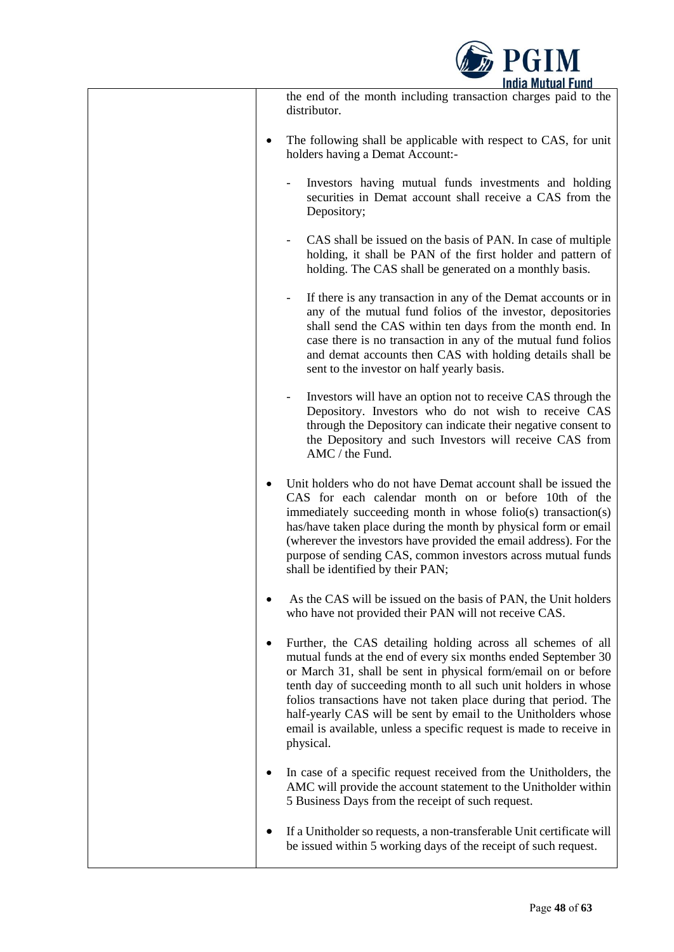

| the end of the month including transaction charges paid to the<br>distributor.                                                                                                                                                                                                                                                                                                                                                                                                                     |
|----------------------------------------------------------------------------------------------------------------------------------------------------------------------------------------------------------------------------------------------------------------------------------------------------------------------------------------------------------------------------------------------------------------------------------------------------------------------------------------------------|
| The following shall be applicable with respect to CAS, for unit<br>holders having a Demat Account:-                                                                                                                                                                                                                                                                                                                                                                                                |
| Investors having mutual funds investments and holding<br>securities in Demat account shall receive a CAS from the<br>Depository;                                                                                                                                                                                                                                                                                                                                                                   |
| CAS shall be issued on the basis of PAN. In case of multiple<br>$\overline{\phantom{a}}$<br>holding, it shall be PAN of the first holder and pattern of<br>holding. The CAS shall be generated on a monthly basis.                                                                                                                                                                                                                                                                                 |
| If there is any transaction in any of the Demat accounts or in<br>any of the mutual fund folios of the investor, depositories<br>shall send the CAS within ten days from the month end. In<br>case there is no transaction in any of the mutual fund folios<br>and demat accounts then CAS with holding details shall be<br>sent to the investor on half yearly basis.                                                                                                                             |
| Investors will have an option not to receive CAS through the<br>Depository. Investors who do not wish to receive CAS<br>through the Depository can indicate their negative consent to<br>the Depository and such Investors will receive CAS from<br>AMC / the Fund.                                                                                                                                                                                                                                |
| Unit holders who do not have Demat account shall be issued the<br>CAS for each calendar month on or before 10th of the<br>immediately succeeding month in whose folio(s) transaction(s)<br>has/have taken place during the month by physical form or email<br>(wherever the investors have provided the email address). For the<br>purpose of sending CAS, common investors across mutual funds<br>shall be identified by their PAN;                                                               |
| As the CAS will be issued on the basis of PAN, the Unit holders<br>who have not provided their PAN will not receive CAS.                                                                                                                                                                                                                                                                                                                                                                           |
| Further, the CAS detailing holding across all schemes of all<br>٠<br>mutual funds at the end of every six months ended September 30<br>or March 31, shall be sent in physical form/email on or before<br>tenth day of succeeding month to all such unit holders in whose<br>folios transactions have not taken place during that period. The<br>half-yearly CAS will be sent by email to the Unitholders whose<br>email is available, unless a specific request is made to receive in<br>physical. |
| In case of a specific request received from the Unitholders, the<br>AMC will provide the account statement to the Unitholder within<br>5 Business Days from the receipt of such request.                                                                                                                                                                                                                                                                                                           |
| If a Unitholder so requests, a non-transferable Unit certificate will<br>be issued within 5 working days of the receipt of such request.                                                                                                                                                                                                                                                                                                                                                           |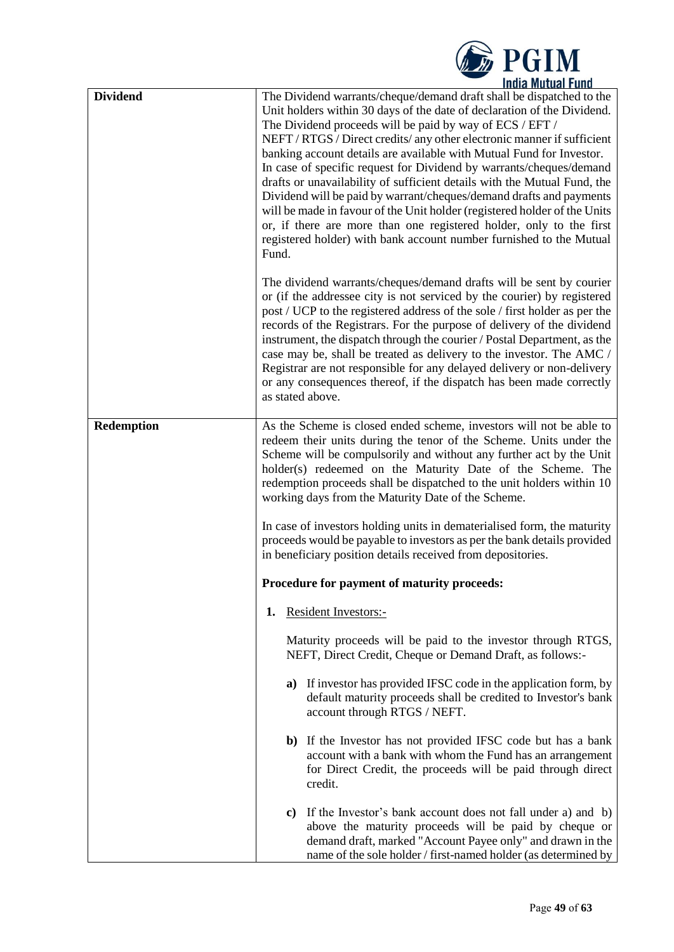

| <b>Dividend</b> | The Dividend warrants/cheque/demand draft shall be dispatched to the<br>Unit holders within 30 days of the date of declaration of the Dividend.<br>The Dividend proceeds will be paid by way of ECS / EFT /<br>NEFT / RTGS / Direct credits/ any other electronic manner if sufficient<br>banking account details are available with Mutual Fund for Investor.<br>In case of specific request for Dividend by warrants/cheques/demand<br>drafts or unavailability of sufficient details with the Mutual Fund, the<br>Dividend will be paid by warrant/cheques/demand drafts and payments<br>will be made in favour of the Unit holder (registered holder of the Units<br>or, if there are more than one registered holder, only to the first<br>registered holder) with bank account number furnished to the Mutual<br>Fund. |  |  |  |  |
|-----------------|------------------------------------------------------------------------------------------------------------------------------------------------------------------------------------------------------------------------------------------------------------------------------------------------------------------------------------------------------------------------------------------------------------------------------------------------------------------------------------------------------------------------------------------------------------------------------------------------------------------------------------------------------------------------------------------------------------------------------------------------------------------------------------------------------------------------------|--|--|--|--|
|                 | The dividend warrants/cheques/demand drafts will be sent by courier<br>or (if the addressee city is not serviced by the courier) by registered<br>post / UCP to the registered address of the sole / first holder as per the<br>records of the Registrars. For the purpose of delivery of the dividend<br>instrument, the dispatch through the courier / Postal Department, as the<br>case may be, shall be treated as delivery to the investor. The AMC /<br>Registrar are not responsible for any delayed delivery or non-delivery<br>or any consequences thereof, if the dispatch has been made correctly<br>as stated above.                                                                                                                                                                                             |  |  |  |  |
| Redemption      | As the Scheme is closed ended scheme, investors will not be able to<br>redeem their units during the tenor of the Scheme. Units under the<br>Scheme will be compulsorily and without any further act by the Unit<br>holder(s) redeemed on the Maturity Date of the Scheme. The<br>redemption proceeds shall be dispatched to the unit holders within 10<br>working days from the Maturity Date of the Scheme.<br>In case of investors holding units in dematerialised form, the maturity                                                                                                                                                                                                                                                                                                                                     |  |  |  |  |
|                 | proceeds would be payable to investors as per the bank details provided<br>in beneficiary position details received from depositories.                                                                                                                                                                                                                                                                                                                                                                                                                                                                                                                                                                                                                                                                                       |  |  |  |  |
|                 | Procedure for payment of maturity proceeds:                                                                                                                                                                                                                                                                                                                                                                                                                                                                                                                                                                                                                                                                                                                                                                                  |  |  |  |  |
|                 | <b>Resident Investors:-</b><br>1.                                                                                                                                                                                                                                                                                                                                                                                                                                                                                                                                                                                                                                                                                                                                                                                            |  |  |  |  |
|                 | Maturity proceeds will be paid to the investor through RTGS,<br>NEFT, Direct Credit, Cheque or Demand Draft, as follows:-                                                                                                                                                                                                                                                                                                                                                                                                                                                                                                                                                                                                                                                                                                    |  |  |  |  |
|                 | a) If investor has provided IFSC code in the application form, by<br>default maturity proceeds shall be credited to Investor's bank<br>account through RTGS / NEFT.                                                                                                                                                                                                                                                                                                                                                                                                                                                                                                                                                                                                                                                          |  |  |  |  |
|                 | b) If the Investor has not provided IFSC code but has a bank<br>account with a bank with whom the Fund has an arrangement<br>for Direct Credit, the proceeds will be paid through direct<br>credit.                                                                                                                                                                                                                                                                                                                                                                                                                                                                                                                                                                                                                          |  |  |  |  |
|                 | c) If the Investor's bank account does not fall under a) and b)<br>above the maturity proceeds will be paid by cheque or<br>demand draft, marked "Account Payee only" and drawn in the<br>name of the sole holder / first-named holder (as determined by                                                                                                                                                                                                                                                                                                                                                                                                                                                                                                                                                                     |  |  |  |  |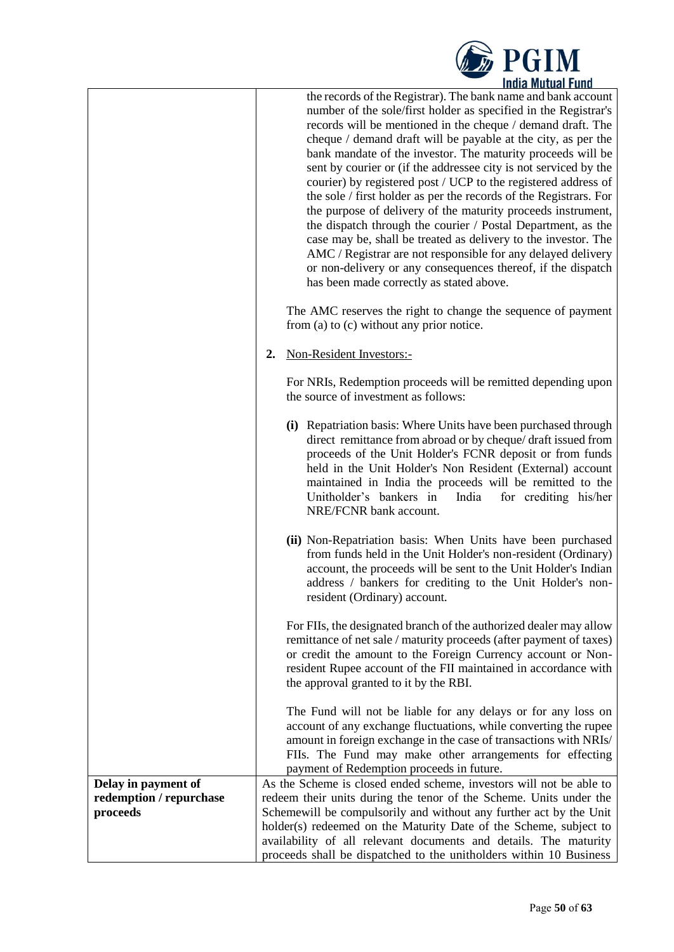

|                         | THUIA MULUAI FUIIU                                                                                                               |  |  |  |  |
|-------------------------|----------------------------------------------------------------------------------------------------------------------------------|--|--|--|--|
|                         | the records of the Registrar). The bank name and bank account<br>number of the sole/first holder as specified in the Registrar's |  |  |  |  |
|                         |                                                                                                                                  |  |  |  |  |
|                         | records will be mentioned in the cheque / demand draft. The                                                                      |  |  |  |  |
|                         | cheque / demand draft will be payable at the city, as per the                                                                    |  |  |  |  |
|                         | bank mandate of the investor. The maturity proceeds will be                                                                      |  |  |  |  |
|                         | sent by courier or (if the addressee city is not serviced by the                                                                 |  |  |  |  |
|                         | courier) by registered post / UCP to the registered address of                                                                   |  |  |  |  |
|                         | the sole / first holder as per the records of the Registrars. For                                                                |  |  |  |  |
|                         | the purpose of delivery of the maturity proceeds instrument,                                                                     |  |  |  |  |
|                         | the dispatch through the courier / Postal Department, as the                                                                     |  |  |  |  |
|                         | case may be, shall be treated as delivery to the investor. The                                                                   |  |  |  |  |
|                         | AMC / Registrar are not responsible for any delayed delivery                                                                     |  |  |  |  |
|                         | or non-delivery or any consequences thereof, if the dispatch                                                                     |  |  |  |  |
|                         | has been made correctly as stated above.                                                                                         |  |  |  |  |
|                         | The AMC reserves the right to change the sequence of payment                                                                     |  |  |  |  |
|                         | from (a) to (c) without any prior notice.                                                                                        |  |  |  |  |
|                         | Non-Resident Investors:-<br>2.                                                                                                   |  |  |  |  |
|                         | For NRIs, Redemption proceeds will be remitted depending upon                                                                    |  |  |  |  |
|                         | the source of investment as follows:                                                                                             |  |  |  |  |
|                         | (i) Repatriation basis: Where Units have been purchased through                                                                  |  |  |  |  |
|                         | direct remittance from abroad or by cheque/ draft issued from                                                                    |  |  |  |  |
|                         | proceeds of the Unit Holder's FCNR deposit or from funds                                                                         |  |  |  |  |
|                         | held in the Unit Holder's Non Resident (External) account                                                                        |  |  |  |  |
|                         | maintained in India the proceeds will be remitted to the                                                                         |  |  |  |  |
|                         | Unitholder's bankers in<br>India<br>for crediting his/her                                                                        |  |  |  |  |
|                         | NRE/FCNR bank account.                                                                                                           |  |  |  |  |
|                         | (ii) Non-Repatriation basis: When Units have been purchased                                                                      |  |  |  |  |
|                         | from funds held in the Unit Holder's non-resident (Ordinary)                                                                     |  |  |  |  |
|                         | account, the proceeds will be sent to the Unit Holder's Indian                                                                   |  |  |  |  |
|                         | address / bankers for crediting to the Unit Holder's non-                                                                        |  |  |  |  |
|                         | resident (Ordinary) account.                                                                                                     |  |  |  |  |
|                         | For FIIs, the designated branch of the authorized dealer may allow                                                               |  |  |  |  |
|                         | remittance of net sale / maturity proceeds (after payment of taxes)                                                              |  |  |  |  |
|                         | or credit the amount to the Foreign Currency account or Non-                                                                     |  |  |  |  |
|                         | resident Rupee account of the FII maintained in accordance with                                                                  |  |  |  |  |
|                         | the approval granted to it by the RBI.                                                                                           |  |  |  |  |
|                         | The Fund will not be liable for any delays or for any loss on                                                                    |  |  |  |  |
|                         | account of any exchange fluctuations, while converting the rupee                                                                 |  |  |  |  |
|                         | amount in foreign exchange in the case of transactions with NRIs/                                                                |  |  |  |  |
|                         | FIIs. The Fund may make other arrangements for effecting                                                                         |  |  |  |  |
|                         | payment of Redemption proceeds in future.                                                                                        |  |  |  |  |
| Delay in payment of     | As the Scheme is closed ended scheme, investors will not be able to                                                              |  |  |  |  |
| redemption / repurchase | redeem their units during the tenor of the Scheme. Units under the                                                               |  |  |  |  |
| proceeds                | Schemewill be compulsorily and without any further act by the Unit                                                               |  |  |  |  |
|                         | holder(s) redeemed on the Maturity Date of the Scheme, subject to                                                                |  |  |  |  |
|                         | availability of all relevant documents and details. The maturity                                                                 |  |  |  |  |
|                         | proceeds shall be dispatched to the unitholders within 10 Business                                                               |  |  |  |  |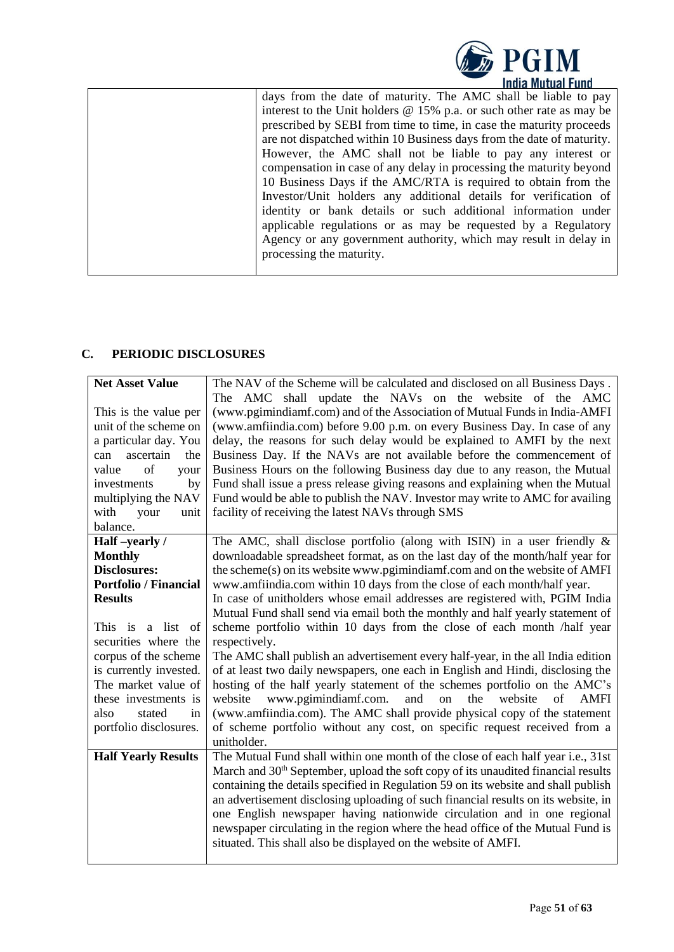

# <span id="page-50-0"></span>**C. PERIODIC DISCLOSURES**

| <b>Net Asset Value</b>       | The NAV of the Scheme will be calculated and disclosed on all Business Days.                  |
|------------------------------|-----------------------------------------------------------------------------------------------|
|                              | The AMC shall update the NAVs on the website of the AMC                                       |
| This is the value per        | (www.pgimindiamf.com) and of the Association of Mutual Funds in India-AMFI                    |
| unit of the scheme on        | (www.amfiindia.com) before 9.00 p.m. on every Business Day. In case of any                    |
| a particular day. You        | delay, the reasons for such delay would be explained to AMFI by the next                      |
| ascertain<br>the<br>can      | Business Day. If the NAVs are not available before the commencement of                        |
| of<br>value<br>your          | Business Hours on the following Business day due to any reason, the Mutual                    |
| investments<br>by            | Fund shall issue a press release giving reasons and explaining when the Mutual                |
| multiplying the NAV          | Fund would be able to publish the NAV. Investor may write to AMC for availing                 |
| with<br>your<br>unit         | facility of receiving the latest NAVs through SMS                                             |
| balance.                     |                                                                                               |
| Half-yearly /                | The AMC, shall disclose portfolio (along with ISIN) in a user friendly $\&$                   |
| <b>Monthly</b>               | downloadable spreadsheet format, as on the last day of the month/half year for                |
| <b>Disclosures:</b>          | the scheme(s) on its website www.pgimindiamf.com and on the website of AMFI                   |
| <b>Portfolio / Financial</b> | www.amfiindia.com within 10 days from the close of each month/half year.                      |
| <b>Results</b>               | In case of unitholders whose email addresses are registered with, PGIM India                  |
|                              | Mutual Fund shall send via email both the monthly and half yearly statement of                |
| This is a list of            | scheme portfolio within 10 days from the close of each month /half year                       |
| securities where the         | respectively.                                                                                 |
| corpus of the scheme         | The AMC shall publish an advertisement every half-year, in the all India edition              |
| is currently invested.       | of at least two daily newspapers, one each in English and Hindi, disclosing the               |
| The market value of          | hosting of the half yearly statement of the schemes portfolio on the AMC's                    |
| these investments is         | the<br>www.pgimindiamf.com.<br>and<br>website<br>of<br>website<br>on<br><b>AMFI</b>           |
| also<br>stated<br>in         | (www.amfiindia.com). The AMC shall provide physical copy of the statement                     |
| portfolio disclosures.       | of scheme portfolio without any cost, on specific request received from a                     |
|                              | unitholder.                                                                                   |
| <b>Half Yearly Results</b>   | The Mutual Fund shall within one month of the close of each half year i.e., 31st              |
|                              | March and 30 <sup>th</sup> September, upload the soft copy of its unaudited financial results |
|                              | containing the details specified in Regulation 59 on its website and shall publish            |
|                              | an advertisement disclosing uploading of such financial results on its website, in            |
|                              | one English newspaper having nationwide circulation and in one regional                       |
|                              | newspaper circulating in the region where the head office of the Mutual Fund is               |
|                              | situated. This shall also be displayed on the website of AMFI.                                |
|                              |                                                                                               |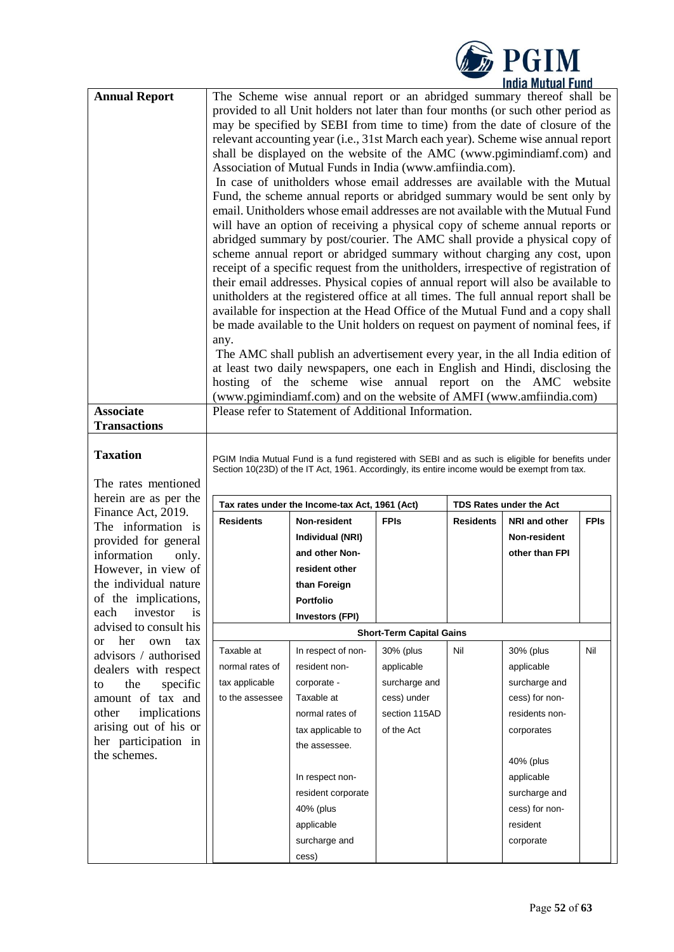|                                                                 |                              |                                                                                                                                                                                                                                                                                                                                                                                                                                                                                                                                                                                                                                                                                                                                                                                                                                                                                                                                                                                                                                                                                                                                                                                                                                                                                                                                                                                                                                                                                                                                                                                                                                                                                                              |                                 |                  | <b>DESCRIM</b><br><b>India Mutual Fund</b> |             |  |
|-----------------------------------------------------------------|------------------------------|--------------------------------------------------------------------------------------------------------------------------------------------------------------------------------------------------------------------------------------------------------------------------------------------------------------------------------------------------------------------------------------------------------------------------------------------------------------------------------------------------------------------------------------------------------------------------------------------------------------------------------------------------------------------------------------------------------------------------------------------------------------------------------------------------------------------------------------------------------------------------------------------------------------------------------------------------------------------------------------------------------------------------------------------------------------------------------------------------------------------------------------------------------------------------------------------------------------------------------------------------------------------------------------------------------------------------------------------------------------------------------------------------------------------------------------------------------------------------------------------------------------------------------------------------------------------------------------------------------------------------------------------------------------------------------------------------------------|---------------------------------|------------------|--------------------------------------------|-------------|--|
| <b>Annual Report</b>                                            | any.                         | The Scheme wise annual report or an abridged summary thereof shall be<br>provided to all Unit holders not later than four months (or such other period as<br>may be specified by SEBI from time to time) from the date of closure of the<br>relevant accounting year (i.e., 31st March each year). Scheme wise annual report<br>shall be displayed on the website of the AMC (www.pgimindiamf.com) and<br>Association of Mutual Funds in India (www.amfiindia.com).<br>In case of unitholders whose email addresses are available with the Mutual<br>Fund, the scheme annual reports or abridged summary would be sent only by<br>email. Unitholders whose email addresses are not available with the Mutual Fund<br>will have an option of receiving a physical copy of scheme annual reports or<br>abridged summary by post/courier. The AMC shall provide a physical copy of<br>scheme annual report or abridged summary without charging any cost, upon<br>receipt of a specific request from the unitholders, irrespective of registration of<br>their email addresses. Physical copies of annual report will also be available to<br>unitholders at the registered office at all times. The full annual report shall be<br>available for inspection at the Head Office of the Mutual Fund and a copy shall<br>be made available to the Unit holders on request on payment of nominal fees, if<br>The AMC shall publish an advertisement every year, in the all India edition of<br>at least two daily newspapers, one each in English and Hindi, disclosing the<br>hosting of the scheme wise annual report on the AMC website<br>(www.pgimindiamf.com) and on the website of AMFI (www.amfiindia.com) |                                 |                  |                                            |             |  |
| <b>Associate</b>                                                |                              | Please refer to Statement of Additional Information.                                                                                                                                                                                                                                                                                                                                                                                                                                                                                                                                                                                                                                                                                                                                                                                                                                                                                                                                                                                                                                                                                                                                                                                                                                                                                                                                                                                                                                                                                                                                                                                                                                                         |                                 |                  |                                            |             |  |
| <b>Transactions</b>                                             |                              |                                                                                                                                                                                                                                                                                                                                                                                                                                                                                                                                                                                                                                                                                                                                                                                                                                                                                                                                                                                                                                                                                                                                                                                                                                                                                                                                                                                                                                                                                                                                                                                                                                                                                                              |                                 |                  |                                            |             |  |
| <b>Taxation</b><br>The rates mentioned<br>herein are as per the |                              | PGIM India Mutual Fund is a fund registered with SEBI and as such is eligible for benefits under<br>Section 10(23D) of the IT Act, 1961. Accordingly, its entire income would be exempt from tax.                                                                                                                                                                                                                                                                                                                                                                                                                                                                                                                                                                                                                                                                                                                                                                                                                                                                                                                                                                                                                                                                                                                                                                                                                                                                                                                                                                                                                                                                                                            |                                 |                  |                                            |             |  |
| Finance Act, 2019.                                              |                              | Tax rates under the Income-tax Act, 1961 (Act)                                                                                                                                                                                                                                                                                                                                                                                                                                                                                                                                                                                                                                                                                                                                                                                                                                                                                                                                                                                                                                                                                                                                                                                                                                                                                                                                                                                                                                                                                                                                                                                                                                                               |                                 |                  | <b>TDS Rates under the Act</b>             |             |  |
| The information is                                              | <b>Residents</b>             | Non-resident                                                                                                                                                                                                                                                                                                                                                                                                                                                                                                                                                                                                                                                                                                                                                                                                                                                                                                                                                                                                                                                                                                                                                                                                                                                                                                                                                                                                                                                                                                                                                                                                                                                                                                 | <b>FPIs</b>                     | <b>Residents</b> | NRI and other                              | <b>FPIs</b> |  |
| provided for general                                            |                              | Individual (NRI)                                                                                                                                                                                                                                                                                                                                                                                                                                                                                                                                                                                                                                                                                                                                                                                                                                                                                                                                                                                                                                                                                                                                                                                                                                                                                                                                                                                                                                                                                                                                                                                                                                                                                             |                                 |                  | Non-resident                               |             |  |
| information<br>only.                                            |                              | and other Non-                                                                                                                                                                                                                                                                                                                                                                                                                                                                                                                                                                                                                                                                                                                                                                                                                                                                                                                                                                                                                                                                                                                                                                                                                                                                                                                                                                                                                                                                                                                                                                                                                                                                                               |                                 |                  | other than FPI                             |             |  |
| However, in view of                                             |                              | resident other                                                                                                                                                                                                                                                                                                                                                                                                                                                                                                                                                                                                                                                                                                                                                                                                                                                                                                                                                                                                                                                                                                                                                                                                                                                                                                                                                                                                                                                                                                                                                                                                                                                                                               |                                 |                  |                                            |             |  |
| the individual nature                                           |                              | than Foreign                                                                                                                                                                                                                                                                                                                                                                                                                                                                                                                                                                                                                                                                                                                                                                                                                                                                                                                                                                                                                                                                                                                                                                                                                                                                                                                                                                                                                                                                                                                                                                                                                                                                                                 |                                 |                  |                                            |             |  |
| of the implications,<br>each<br>investor                        |                              | <b>Portfolio</b>                                                                                                                                                                                                                                                                                                                                                                                                                                                                                                                                                                                                                                                                                                                                                                                                                                                                                                                                                                                                                                                                                                                                                                                                                                                                                                                                                                                                                                                                                                                                                                                                                                                                                             |                                 |                  |                                            |             |  |
| advised to consult his                                          | is<br><b>Investors (FPI)</b> |                                                                                                                                                                                                                                                                                                                                                                                                                                                                                                                                                                                                                                                                                                                                                                                                                                                                                                                                                                                                                                                                                                                                                                                                                                                                                                                                                                                                                                                                                                                                                                                                                                                                                                              |                                 |                  |                                            |             |  |
| her<br>own<br>tax<br><sub>or</sub>                              |                              |                                                                                                                                                                                                                                                                                                                                                                                                                                                                                                                                                                                                                                                                                                                                                                                                                                                                                                                                                                                                                                                                                                                                                                                                                                                                                                                                                                                                                                                                                                                                                                                                                                                                                                              | <b>Short-Term Capital Gains</b> |                  |                                            |             |  |
| advisors / authorised                                           | Taxable at                   | In respect of non-                                                                                                                                                                                                                                                                                                                                                                                                                                                                                                                                                                                                                                                                                                                                                                                                                                                                                                                                                                                                                                                                                                                                                                                                                                                                                                                                                                                                                                                                                                                                                                                                                                                                                           | 30% (plus                       | Nil              | 30% (plus                                  | Nil         |  |
| dealers with respect                                            | normal rates of              | resident non-                                                                                                                                                                                                                                                                                                                                                                                                                                                                                                                                                                                                                                                                                                                                                                                                                                                                                                                                                                                                                                                                                                                                                                                                                                                                                                                                                                                                                                                                                                                                                                                                                                                                                                | applicable                      |                  | applicable                                 |             |  |
| the<br>specific<br>to                                           | tax applicable               | corporate -                                                                                                                                                                                                                                                                                                                                                                                                                                                                                                                                                                                                                                                                                                                                                                                                                                                                                                                                                                                                                                                                                                                                                                                                                                                                                                                                                                                                                                                                                                                                                                                                                                                                                                  | surcharge and                   |                  | surcharge and                              |             |  |
| amount of tax and                                               | to the assessee              | Taxable at                                                                                                                                                                                                                                                                                                                                                                                                                                                                                                                                                                                                                                                                                                                                                                                                                                                                                                                                                                                                                                                                                                                                                                                                                                                                                                                                                                                                                                                                                                                                                                                                                                                                                                   | cess) under                     |                  | cess) for non-                             |             |  |
| implications<br>other                                           |                              | normal rates of                                                                                                                                                                                                                                                                                                                                                                                                                                                                                                                                                                                                                                                                                                                                                                                                                                                                                                                                                                                                                                                                                                                                                                                                                                                                                                                                                                                                                                                                                                                                                                                                                                                                                              | section 115AD                   |                  | residents non-                             |             |  |
| arising out of his or<br>her participation in                   |                              | tax applicable to                                                                                                                                                                                                                                                                                                                                                                                                                                                                                                                                                                                                                                                                                                                                                                                                                                                                                                                                                                                                                                                                                                                                                                                                                                                                                                                                                                                                                                                                                                                                                                                                                                                                                            | of the Act                      |                  | corporates                                 |             |  |
| the schemes.                                                    |                              | the assessee.                                                                                                                                                                                                                                                                                                                                                                                                                                                                                                                                                                                                                                                                                                                                                                                                                                                                                                                                                                                                                                                                                                                                                                                                                                                                                                                                                                                                                                                                                                                                                                                                                                                                                                |                                 |                  |                                            |             |  |
|                                                                 |                              |                                                                                                                                                                                                                                                                                                                                                                                                                                                                                                                                                                                                                                                                                                                                                                                                                                                                                                                                                                                                                                                                                                                                                                                                                                                                                                                                                                                                                                                                                                                                                                                                                                                                                                              |                                 |                  | 40% (plus                                  |             |  |
|                                                                 |                              | In respect non-                                                                                                                                                                                                                                                                                                                                                                                                                                                                                                                                                                                                                                                                                                                                                                                                                                                                                                                                                                                                                                                                                                                                                                                                                                                                                                                                                                                                                                                                                                                                                                                                                                                                                              |                                 |                  | applicable                                 |             |  |
|                                                                 |                              | resident corporate                                                                                                                                                                                                                                                                                                                                                                                                                                                                                                                                                                                                                                                                                                                                                                                                                                                                                                                                                                                                                                                                                                                                                                                                                                                                                                                                                                                                                                                                                                                                                                                                                                                                                           |                                 |                  | surcharge and                              |             |  |
|                                                                 |                              | 40% (plus                                                                                                                                                                                                                                                                                                                                                                                                                                                                                                                                                                                                                                                                                                                                                                                                                                                                                                                                                                                                                                                                                                                                                                                                                                                                                                                                                                                                                                                                                                                                                                                                                                                                                                    |                                 |                  | cess) for non-                             |             |  |
|                                                                 |                              | applicable                                                                                                                                                                                                                                                                                                                                                                                                                                                                                                                                                                                                                                                                                                                                                                                                                                                                                                                                                                                                                                                                                                                                                                                                                                                                                                                                                                                                                                                                                                                                                                                                                                                                                                   |                                 |                  | resident                                   |             |  |
|                                                                 |                              | surcharge and                                                                                                                                                                                                                                                                                                                                                                                                                                                                                                                                                                                                                                                                                                                                                                                                                                                                                                                                                                                                                                                                                                                                                                                                                                                                                                                                                                                                                                                                                                                                                                                                                                                                                                |                                 |                  | corporate                                  |             |  |
|                                                                 |                              | cess)                                                                                                                                                                                                                                                                                                                                                                                                                                                                                                                                                                                                                                                                                                                                                                                                                                                                                                                                                                                                                                                                                                                                                                                                                                                                                                                                                                                                                                                                                                                                                                                                                                                                                                        |                                 |                  |                                            |             |  |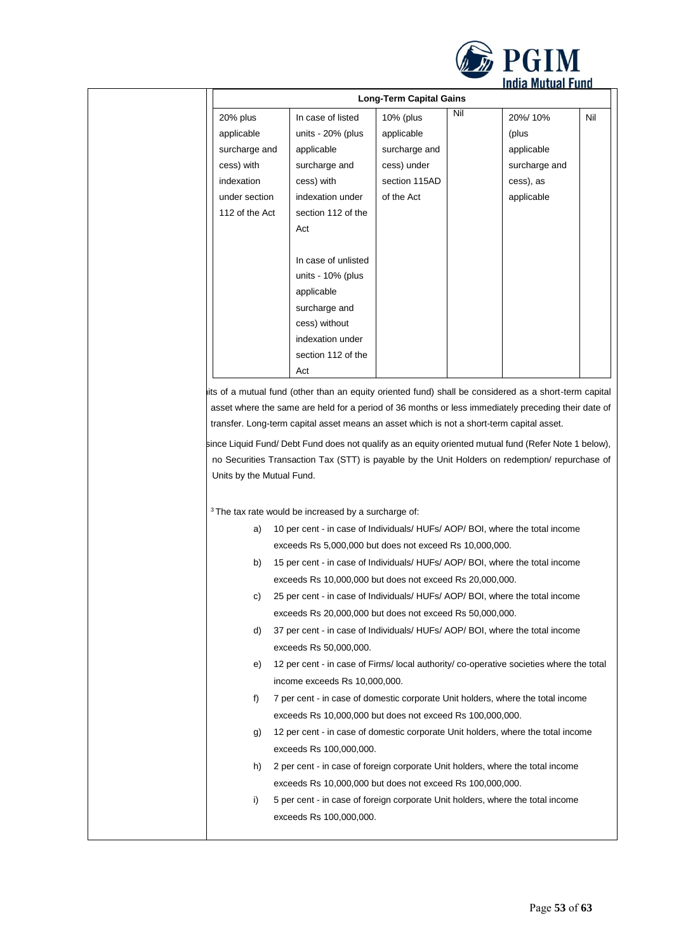

| <b>Long-Term Capital Gains</b> |                      |               |     |               |     |
|--------------------------------|----------------------|---------------|-----|---------------|-----|
| 20% plus                       | In case of listed    | 10% (plus     | Nil | 20%/10%       | Nil |
| applicable                     | units - 20% (plus    | applicable    |     | (plus         |     |
| surcharge and                  | applicable           | surcharge and |     | applicable    |     |
| cess) with                     | surcharge and        | cess) under   |     | surcharge and |     |
| indexation                     | cess) with           | section 115AD |     | cess), as     |     |
| under section                  | indexation under     | of the Act    |     | applicable    |     |
| 112 of the Act                 | section 112 of the   |               |     |               |     |
|                                | Act                  |               |     |               |     |
|                                |                      |               |     |               |     |
|                                | In case of unlisted  |               |     |               |     |
|                                | units - $10\%$ (plus |               |     |               |     |
|                                | applicable           |               |     |               |     |
|                                | surcharge and        |               |     |               |     |
|                                | cess) without        |               |     |               |     |
|                                | indexation under     |               |     |               |     |
|                                | section 112 of the   |               |     |               |     |
|                                | Act                  |               |     |               |     |

its of a mutual fund (other than an equity oriented fund) shall be considered as a short-term capital asset where the same are held for a period of 36 months or less immediately preceding their date of transfer. Long-term capital asset means an asset which is not a short-term capital asset.

since Liquid Fund/ Debt Fund does not qualify as an equity oriented mutual fund (Refer Note 1 below), no Securities Transaction Tax (STT) is payable by the Unit Holders on redemption/ repurchase of Units by the Mutual Fund.

 $3$  The tax rate would be increased by a surcharge of:

| a) | 10 per cent - in case of Individuals/ HUFs/ AOP/ BOI, where the total income            |
|----|-----------------------------------------------------------------------------------------|
|    | exceeds Rs 5,000,000 but does not exceed Rs 10,000,000.                                 |
| b) | 15 per cent - in case of Individuals/ HUFs/ AOP/ BOI, where the total income            |
|    | exceeds Rs 10,000,000 but does not exceed Rs 20,000,000.                                |
| C) | 25 per cent - in case of Individuals/ HUFs/ AOP/ BOI, where the total income            |
|    | exceeds Rs 20,000,000 but does not exceed Rs 50,000,000.                                |
| d) | 37 per cent - in case of Individuals/ HUFs/ AOP/ BOI, where the total income            |
|    | exceeds Rs 50,000,000.                                                                  |
| e) | 12 per cent - in case of Firms/ local authority/ co-operative societies where the total |
|    | income exceeds Rs 10,000,000.                                                           |
| f  | 7 per cent - in case of domestic corporate Unit holders, where the total income         |
|    | exceeds Rs 10,000,000 but does not exceed Rs 100,000,000.                               |
| g) | 12 per cent - in case of domestic corporate Unit holders, where the total income        |
|    | exceeds Rs 100,000,000.                                                                 |
| h) | 2 per cent - in case of foreign corporate Unit holders, where the total income          |
|    | exceeds Rs 10,000,000 but does not exceed Rs 100,000,000.                               |
| i) | 5 per cent - in case of foreign corporate Unit holders, where the total income          |
|    | exceeds Rs 100,000,000.                                                                 |
|    |                                                                                         |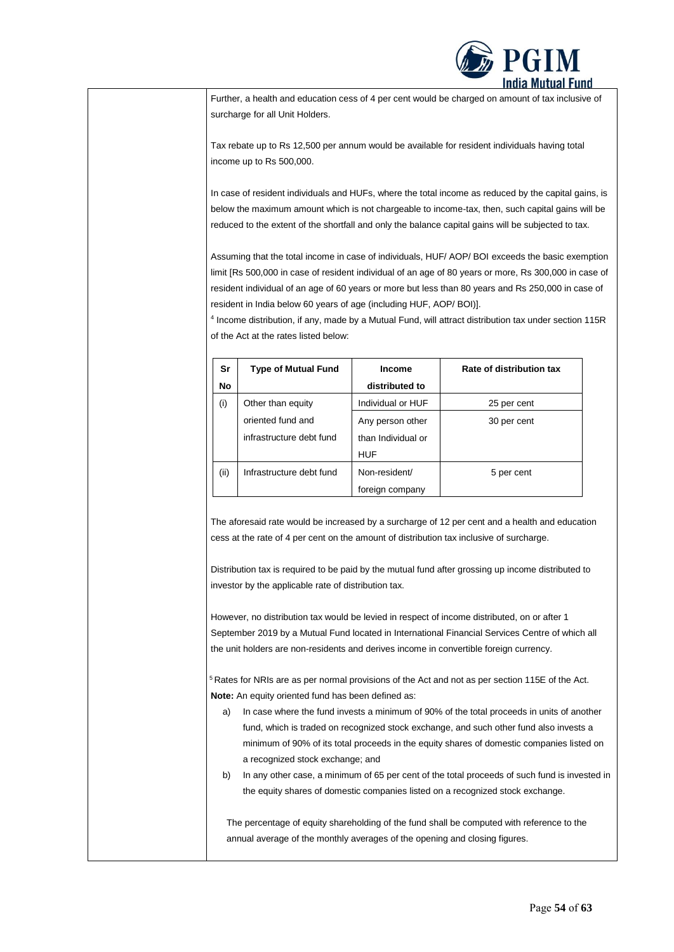

Further, a health and education cess of 4 per cent would be charged on amount of tax inclusive of surcharge for all Unit Holders.

Tax rebate up to Rs 12,500 per annum would be available for resident individuals having total income up to Rs 500,000.

In case of resident individuals and HUFs, where the total income as reduced by the capital gains, is below the maximum amount which is not chargeable to income-tax, then, such capital gains will be reduced to the extent of the shortfall and only the balance capital gains will be subjected to tax.

Assuming that the total income in case of individuals, HUF/ AOP/ BOI exceeds the basic exemption limit [Rs 500,000 in case of resident individual of an age of 80 years or more, Rs 300,000 in case of resident individual of an age of 60 years or more but less than 80 years and Rs 250,000 in case of resident in India below 60 years of age (including HUF, AOP/ BOI)].

4 Income distribution, if any, made by a Mutual Fund, will attract distribution tax under section 115R of the Act at the rates listed below:

| Sr        | <b>Type of Mutual Fund</b> | <b>Income</b>      | Rate of distribution tax |
|-----------|----------------------------|--------------------|--------------------------|
| <b>No</b> |                            | distributed to     |                          |
| (i)       | Other than equity          | Individual or HUF  | 25 per cent              |
|           | oriented fund and          | Any person other   | 30 per cent              |
|           | infrastructure debt fund   | than Individual or |                          |
|           |                            | <b>HUF</b>         |                          |
| (i)       | Infrastructure debt fund   | Non-resident/      | 5 per cent               |
|           |                            | foreign company    |                          |

The aforesaid rate would be increased by a surcharge of 12 per cent and a health and education cess at the rate of 4 per cent on the amount of distribution tax inclusive of surcharge.

Distribution tax is required to be paid by the mutual fund after grossing up income distributed to investor by the applicable rate of distribution tax.

However, no distribution tax would be levied in respect of income distributed, on or after 1 September 2019 by a Mutual Fund located in International Financial Services Centre of which all the unit holders are non-residents and derives income in convertible foreign currency.

 $5$ Rates for NRIs are as per normal provisions of the Act and not as per section 115E of the Act. **Note:** An equity oriented fund has been defined as:

- a) In case where the fund invests a minimum of 90% of the total proceeds in units of another fund, which is traded on recognized stock exchange, and such other fund also invests a minimum of 90% of its total proceeds in the equity shares of domestic companies listed on a recognized stock exchange; and
- b) In any other case, a minimum of 65 per cent of the total proceeds of such fund is invested in the equity shares of domestic companies listed on a recognized stock exchange.

The percentage of equity shareholding of the fund shall be computed with reference to the annual average of the monthly averages of the opening and closing figures.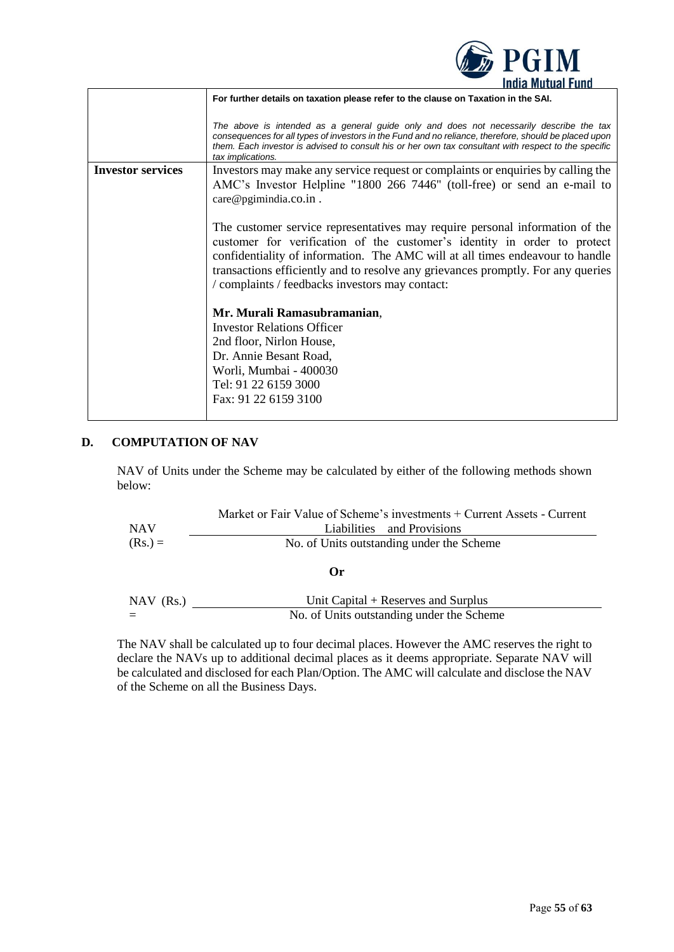|                          | <i><b>WAZINE JE CALENDE</b></i>                                                                                                                                                                                                                                                                                                                                                  |
|--------------------------|----------------------------------------------------------------------------------------------------------------------------------------------------------------------------------------------------------------------------------------------------------------------------------------------------------------------------------------------------------------------------------|
|                          | <b>India Mutual Fund</b>                                                                                                                                                                                                                                                                                                                                                         |
|                          | For further details on taxation please refer to the clause on Taxation in the SAI.                                                                                                                                                                                                                                                                                               |
|                          | The above is intended as a general guide only and does not necessarily describe the tax<br>consequences for all types of investors in the Fund and no reliance, therefore, should be placed upon<br>them. Each investor is advised to consult his or her own tax consultant with respect to the specific<br>tax implications.                                                    |
| <b>Investor services</b> | Investors may make any service request or complaints or enquiries by calling the                                                                                                                                                                                                                                                                                                 |
|                          | AMC's Investor Helpline "1800 266 7446" (toll-free) or send an e-mail to                                                                                                                                                                                                                                                                                                         |
|                          | care@pgimindia.co.in.                                                                                                                                                                                                                                                                                                                                                            |
|                          |                                                                                                                                                                                                                                                                                                                                                                                  |
|                          | The customer service representatives may require personal information of the<br>customer for verification of the customer's identity in order to protect<br>confidentiality of information. The AMC will at all times endeavour to handle<br>transactions efficiently and to resolve any grievances promptly. For any queries<br>/ complaints / feedbacks investors may contact: |
|                          | Mr. Murali Ramasubramanian,                                                                                                                                                                                                                                                                                                                                                      |
|                          | <b>Investor Relations Officer</b>                                                                                                                                                                                                                                                                                                                                                |
|                          | 2nd floor, Nirlon House,                                                                                                                                                                                                                                                                                                                                                         |
|                          | Dr. Annie Besant Road,                                                                                                                                                                                                                                                                                                                                                           |
|                          | Worli, Mumbai - 400030                                                                                                                                                                                                                                                                                                                                                           |
|                          |                                                                                                                                                                                                                                                                                                                                                                                  |
|                          | Tel: 91 22 6159 3000                                                                                                                                                                                                                                                                                                                                                             |
|                          | Fax: 91 22 6159 3100                                                                                                                                                                                                                                                                                                                                                             |
|                          |                                                                                                                                                                                                                                                                                                                                                                                  |

 $\mathbb{R}$  **PGIM** 

# <span id="page-54-0"></span>**D. COMPUTATION OF NAV**

NAV of Units under the Scheme may be calculated by either of the following methods shown below:

| <b>NAV</b>  | Market or Fair Value of Scheme's investments + Current Assets - Current<br>Liabilities and Provisions |  |
|-------------|-------------------------------------------------------------------------------------------------------|--|
| $(Rs.) =$   | No. of Units outstanding under the Scheme                                                             |  |
|             | Or                                                                                                    |  |
| $NAV$ (Rs.) | Unit Capital + Reserves and Surplus                                                                   |  |
|             | No. of Units outstanding under the Scheme                                                             |  |

The NAV shall be calculated up to four decimal places. However the AMC reserves the right to declare the NAVs up to additional decimal places as it deems appropriate. Separate NAV will be calculated and disclosed for each Plan/Option. The AMC will calculate and disclose the NAV of the Scheme on all the Business Days.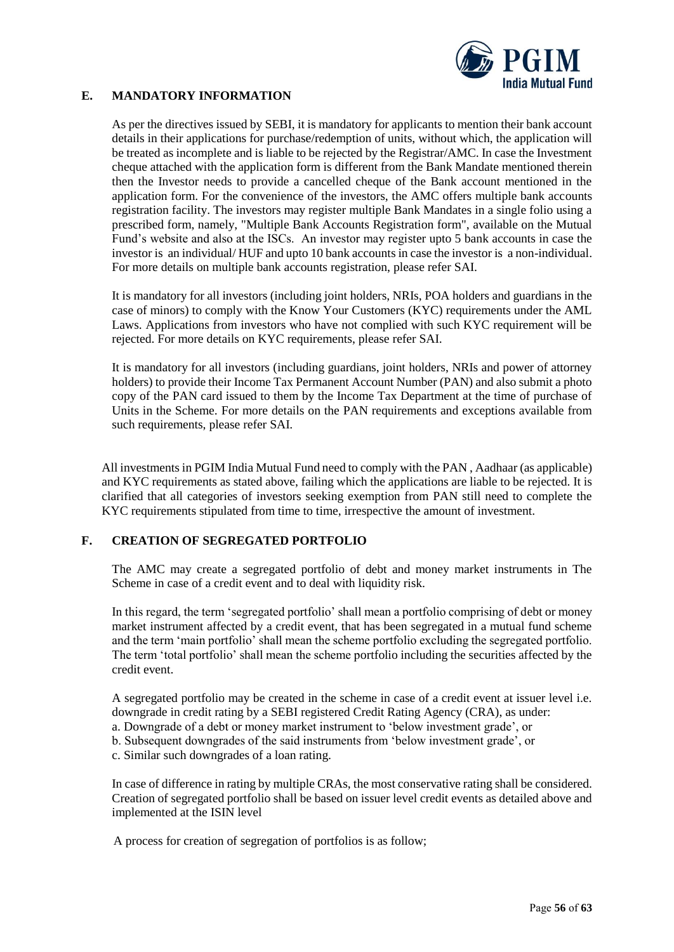

## <span id="page-55-0"></span>**E. MANDATORY INFORMATION**

As per the directives issued by SEBI, it is mandatory for applicants to mention their bank account details in their applications for purchase/redemption of units, without which, the application will be treated as incomplete and is liable to be rejected by the Registrar/AMC. In case the Investment cheque attached with the application form is different from the Bank Mandate mentioned therein then the Investor needs to provide a cancelled cheque of the Bank account mentioned in the application form. For the convenience of the investors, the AMC offers multiple bank accounts registration facility. The investors may register multiple Bank Mandates in a single folio using a prescribed form, namely, "Multiple Bank Accounts Registration form", available on the Mutual Fund's website and also at the ISCs. An investor may register upto 5 bank accounts in case the investor is an individual/ HUF and upto 10 bank accounts in case the investor is a non-individual. For more details on multiple bank accounts registration, please refer SAI.

It is mandatory for all investors (including joint holders, NRIs, POA holders and guardians in the case of minors) to comply with the Know Your Customers (KYC) requirements under the AML Laws. Applications from investors who have not complied with such KYC requirement will be rejected. For more details on KYC requirements, please refer SAI.

It is mandatory for all investors (including guardians, joint holders, NRIs and power of attorney holders) to provide their Income Tax Permanent Account Number (PAN) and also submit a photo copy of the PAN card issued to them by the Income Tax Department at the time of purchase of Units in the Scheme. For more details on the PAN requirements and exceptions available from such requirements, please refer SAI.

All investments in PGIM India Mutual Fund need to comply with the PAN , Aadhaar (as applicable) and KYC requirements as stated above, failing which the applications are liable to be rejected. It is clarified that all categories of investors seeking exemption from PAN still need to complete the KYC requirements stipulated from time to time, irrespective the amount of investment.

### <span id="page-55-1"></span>**F. CREATION OF SEGREGATED PORTFOLIO**

The AMC may create a segregated portfolio of debt and money market instruments in The Scheme in case of a credit event and to deal with liquidity risk.

In this regard, the term 'segregated portfolio' shall mean a portfolio comprising of debt or money market instrument affected by a credit event, that has been segregated in a mutual fund scheme and the term 'main portfolio' shall mean the scheme portfolio excluding the segregated portfolio. The term 'total portfolio' shall mean the scheme portfolio including the securities affected by the credit event.

A segregated portfolio may be created in the scheme in case of a credit event at issuer level i.e. downgrade in credit rating by a SEBI registered Credit Rating Agency (CRA), as under: a. Downgrade of a debt or money market instrument to 'below investment grade', or

- b. Subsequent downgrades of the said instruments from 'below investment grade', or
- c. Similar such downgrades of a loan rating.

In case of difference in rating by multiple CRAs, the most conservative rating shall be considered. Creation of segregated portfolio shall be based on issuer level credit events as detailed above and implemented at the ISIN level

A process for creation of segregation of portfolios is as follow;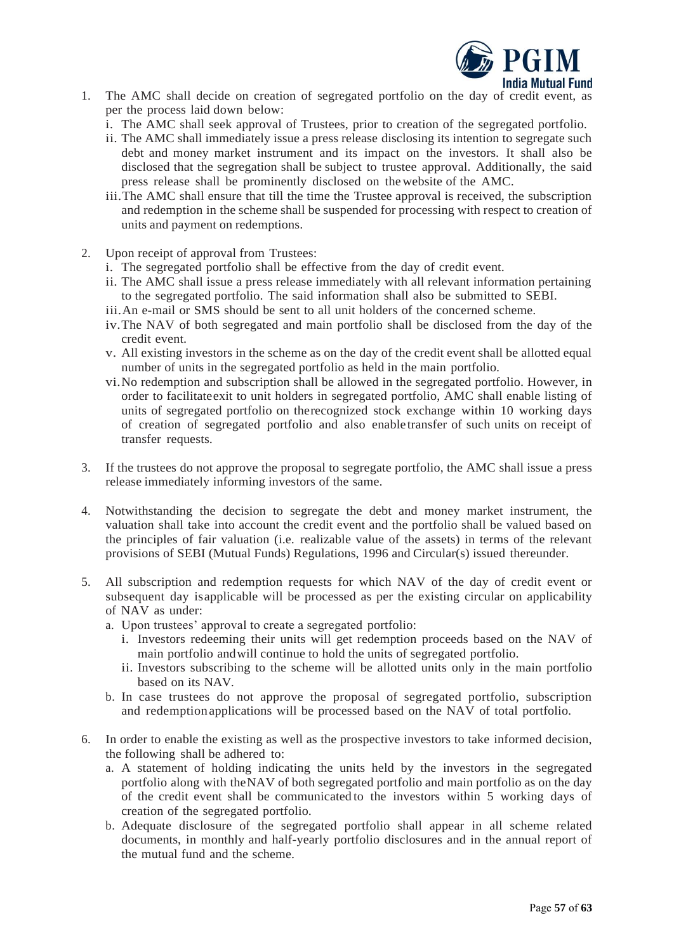

- 1. The AMC shall decide on creation of segregated portfolio on the day of credit event, as per the process laid down below:
	- i. The AMC shall seek approval of Trustees, prior to creation of the segregated portfolio.
	- ii. The AMC shall immediately issue a press release disclosing its intention to segregate such debt and money market instrument and its impact on the investors. It shall also be disclosed that the segregation shall be subject to trustee approval. Additionally, the said press release shall be prominently disclosed on thewebsite of the AMC.
	- iii.The AMC shall ensure that till the time the Trustee approval is received, the subscription and redemption in the scheme shall be suspended for processing with respect to creation of units and payment on redemptions.
- 2. Upon receipt of approval from Trustees:
	- i. The segregated portfolio shall be effective from the day of credit event.
	- ii. The AMC shall issue a press release immediately with all relevant information pertaining to the segregated portfolio. The said information shall also be submitted to SEBI.
	- iii.An e-mail or SMS should be sent to all unit holders of the concerned scheme.
	- iv.The NAV of both segregated and main portfolio shall be disclosed from the day of the credit event.
	- v. All existing investors in the scheme as on the day of the credit event shall be allotted equal number of units in the segregated portfolio as held in the main portfolio.
	- vi.No redemption and subscription shall be allowed in the segregated portfolio. However, in order to facilitateexit to unit holders in segregated portfolio, AMC shall enable listing of units of segregated portfolio on therecognized stock exchange within 10 working days of creation of segregated portfolio and also enable transfer of such units on receipt of transfer requests.
- 3. If the trustees do not approve the proposal to segregate portfolio, the AMC shall issue a press release immediately informing investors of the same.
- 4. Notwithstanding the decision to segregate the debt and money market instrument, the valuation shall take into account the credit event and the portfolio shall be valued based on the principles of fair valuation (i.e. realizable value of the assets) in terms of the relevant provisions of SEBI (Mutual Funds) Regulations, 1996 and Circular(s) issued thereunder.
- 5. All subscription and redemption requests for which NAV of the day of credit event or subsequent day isapplicable will be processed as per the existing circular on applicability of NAV as under:
	- a. Upon trustees' approval to create a segregated portfolio:
		- i. Investors redeeming their units will get redemption proceeds based on the NAV of main portfolio andwill continue to hold the units of segregated portfolio.
		- ii. Investors subscribing to the scheme will be allotted units only in the main portfolio based on its NAV.
	- b. In case trustees do not approve the proposal of segregated portfolio, subscription and redemption applications will be processed based on the NAV of total portfolio.
- 6. In order to enable the existing as well as the prospective investors to take informed decision, the following shall be adhered to:
	- a. A statement of holding indicating the units held by the investors in the segregated portfolio along with theNAV of both segregated portfolio and main portfolio as on the day of the credit event shall be communicated to the investors within 5 working days of creation of the segregated portfolio.
	- b. Adequate disclosure of the segregated portfolio shall appear in all scheme related documents, in monthly and half-yearly portfolio disclosures and in the annual report of the mutual fund and the scheme.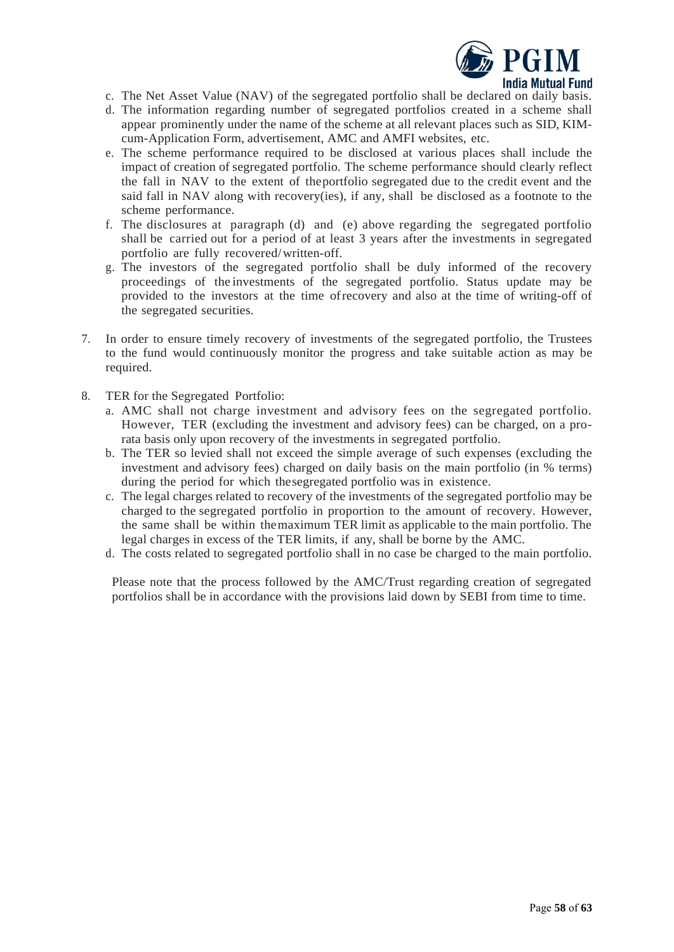

- c. The Net Asset Value (NAV) of the segregated portfolio shall be declared on daily basis.
- d. The information regarding number of segregated portfolios created in a scheme shall appear prominently under the name of the scheme at all relevant places such as SID, KIMcum-Application Form, advertisement, AMC and AMFI websites, etc.
- e. The scheme performance required to be disclosed at various places shall include the impact of creation of segregated portfolio. The scheme performance should clearly reflect the fall in NAV to the extent of theportfolio segregated due to the credit event and the said fall in NAV along with recovery(ies), if any, shall be disclosed as a footnote to the scheme performance.
- f. The disclosures at paragraph (d) and (e) above regarding the segregated portfolio shall be carried out for a period of at least 3 years after the investments in segregated portfolio are fully recovered/written-off.
- g. The investors of the segregated portfolio shall be duly informed of the recovery proceedings of the investments of the segregated portfolio. Status update may be provided to the investors at the time ofrecovery and also at the time of writing-off of the segregated securities.
- 7. In order to ensure timely recovery of investments of the segregated portfolio, the Trustees to the fund would continuously monitor the progress and take suitable action as may be required.
- 8. TER for the Segregated Portfolio:
	- a. AMC shall not charge investment and advisory fees on the segregated portfolio. However, TER (excluding the investment and advisory fees) can be charged, on a prorata basis only upon recovery of the investments in segregated portfolio.
	- b. The TER so levied shall not exceed the simple average of such expenses (excluding the investment and advisory fees) charged on daily basis on the main portfolio (in % terms) during the period for which thesegregated portfolio was in existence.
	- c. The legal charges related to recovery of the investments of the segregated portfolio may be charged to the segregated portfolio in proportion to the amount of recovery. However, the same shall be within themaximum TER limit as applicable to the main portfolio. The legal charges in excess of the TER limits, if any, shall be borne by the AMC.
	- d. The costs related to segregated portfolio shall in no case be charged to the main portfolio.

Please note that the process followed by the AMC/Trust regarding creation of segregated portfolios shall be in accordance with the provisions laid down by SEBI from time to time.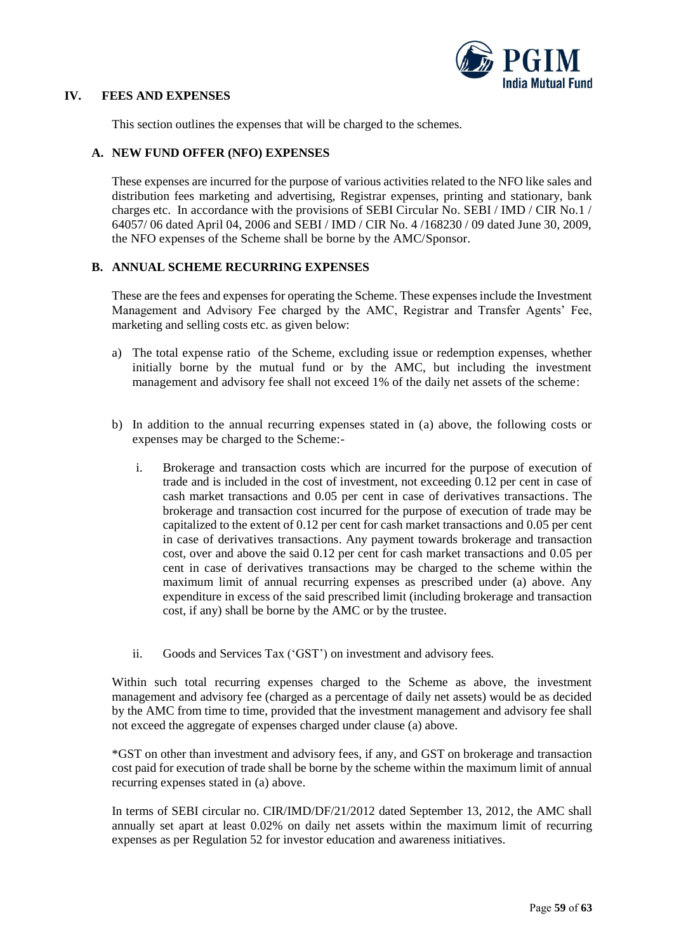

#### <span id="page-58-0"></span>**IV. FEES AND EXPENSES**

This section outlines the expenses that will be charged to the schemes.

### <span id="page-58-1"></span>**A. NEW FUND OFFER (NFO) EXPENSES**

These expenses are incurred for the purpose of various activities related to the NFO like sales and distribution fees marketing and advertising, Registrar expenses, printing and stationary, bank charges etc. In accordance with the provisions of SEBI Circular No. SEBI / IMD / CIR No.1 / 64057/ 06 dated April 04, 2006 and SEBI / IMD / CIR No. 4 /168230 / 09 dated June 30, 2009, the NFO expenses of the Scheme shall be borne by the AMC/Sponsor.

### <span id="page-58-2"></span>**B. ANNUAL SCHEME RECURRING EXPENSES**

These are the fees and expenses for operating the Scheme. These expenses include the Investment Management and Advisory Fee charged by the AMC, Registrar and Transfer Agents' Fee, marketing and selling costs etc. as given below:

- a) The total expense ratio of the Scheme, excluding issue or redemption expenses, whether initially borne by the mutual fund or by the AMC, but including the investment management and advisory fee shall not exceed 1% of the daily net assets of the scheme:
- b) In addition to the annual recurring expenses stated in (a) above, the following costs or expenses may be charged to the Scheme:
	- i. Brokerage and transaction costs which are incurred for the purpose of execution of trade and is included in the cost of investment, not exceeding 0.12 per cent in case of cash market transactions and 0.05 per cent in case of derivatives transactions. The brokerage and transaction cost incurred for the purpose of execution of trade may be capitalized to the extent of 0.12 per cent for cash market transactions and 0.05 per cent in case of derivatives transactions. Any payment towards brokerage and transaction cost, over and above the said 0.12 per cent for cash market transactions and 0.05 per cent in case of derivatives transactions may be charged to the scheme within the maximum limit of annual recurring expenses as prescribed under (a) above. Any expenditure in excess of the said prescribed limit (including brokerage and transaction cost, if any) shall be borne by the AMC or by the trustee.
	- ii. Goods and Services Tax ('GST') on investment and advisory fees.

Within such total recurring expenses charged to the Scheme as above, the investment management and advisory fee (charged as a percentage of daily net assets) would be as decided by the AMC from time to time, provided that the investment management and advisory fee shall not exceed the aggregate of expenses charged under clause (a) above.

\*GST on other than investment and advisory fees, if any, and GST on brokerage and transaction cost paid for execution of trade shall be borne by the scheme within the maximum limit of annual recurring expenses stated in (a) above.

In terms of SEBI circular no. CIR/IMD/DF/21/2012 dated September 13, 2012, the AMC shall annually set apart at least 0.02% on daily net assets within the maximum limit of recurring expenses as per Regulation 52 for investor education and awareness initiatives.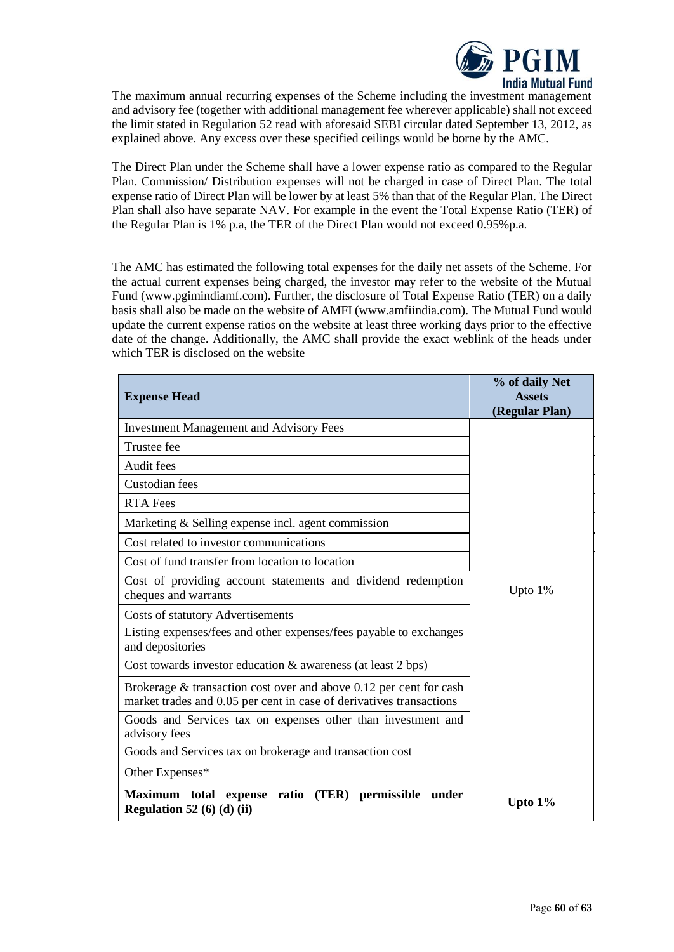

The maximum annual recurring expenses of the Scheme including the investment management and advisory fee (together with additional management fee wherever applicable) shall not exceed the limit stated in Regulation 52 read with aforesaid SEBI circular dated September 13, 2012, as explained above. Any excess over these specified ceilings would be borne by the AMC.

The Direct Plan under the Scheme shall have a lower expense ratio as compared to the Regular Plan. Commission/ Distribution expenses will not be charged in case of Direct Plan. The total expense ratio of Direct Plan will be lower by at least 5% than that of the Regular Plan. The Direct Plan shall also have separate NAV. For example in the event the Total Expense Ratio (TER) of the Regular Plan is 1% p.a, the TER of the Direct Plan would not exceed 0.95%p.a.

The AMC has estimated the following total expenses for the daily net assets of the Scheme. For the actual current expenses being charged, the investor may refer to the website of the Mutual Fund (www.pgimindiamf.com). Further, the disclosure of Total Expense Ratio (TER) on a daily basis shall also be made on the website of AMFI (www.amfiindia.com). The Mutual Fund would update the current expense ratios on the website at least three working days prior to the effective date of the change. Additionally, the AMC shall provide the exact weblink of the heads under which TER is disclosed on the website

| <b>Expense Head</b>                                                                                                                          | % of daily Net<br><b>Assets</b><br>(Regular Plan) |
|----------------------------------------------------------------------------------------------------------------------------------------------|---------------------------------------------------|
| <b>Investment Management and Advisory Fees</b>                                                                                               |                                                   |
| Trustee fee                                                                                                                                  |                                                   |
| Audit fees                                                                                                                                   |                                                   |
| Custodian fees                                                                                                                               |                                                   |
| <b>RTA Fees</b>                                                                                                                              |                                                   |
| Marketing & Selling expense incl. agent commission                                                                                           |                                                   |
| Cost related to investor communications                                                                                                      |                                                   |
| Cost of fund transfer from location to location                                                                                              |                                                   |
| Cost of providing account statements and dividend redemption<br>cheques and warrants                                                         | Upto $1\%$                                        |
| <b>Costs of statutory Advertisements</b>                                                                                                     |                                                   |
| Listing expenses/fees and other expenses/fees payable to exchanges<br>and depositories                                                       |                                                   |
| Cost towards investor education & awareness (at least 2 bps)                                                                                 |                                                   |
| Brokerage $\&$ transaction cost over and above 0.12 per cent for cash<br>market trades and 0.05 per cent in case of derivatives transactions |                                                   |
| Goods and Services tax on expenses other than investment and<br>advisory fees                                                                |                                                   |
| Goods and Services tax on brokerage and transaction cost                                                                                     |                                                   |
| Other Expenses*                                                                                                                              |                                                   |
| (TER) permissible under<br>Maximum total expense ratio<br>Regulation 52 (6) (d) (ii)                                                         | Upto $1\%$                                        |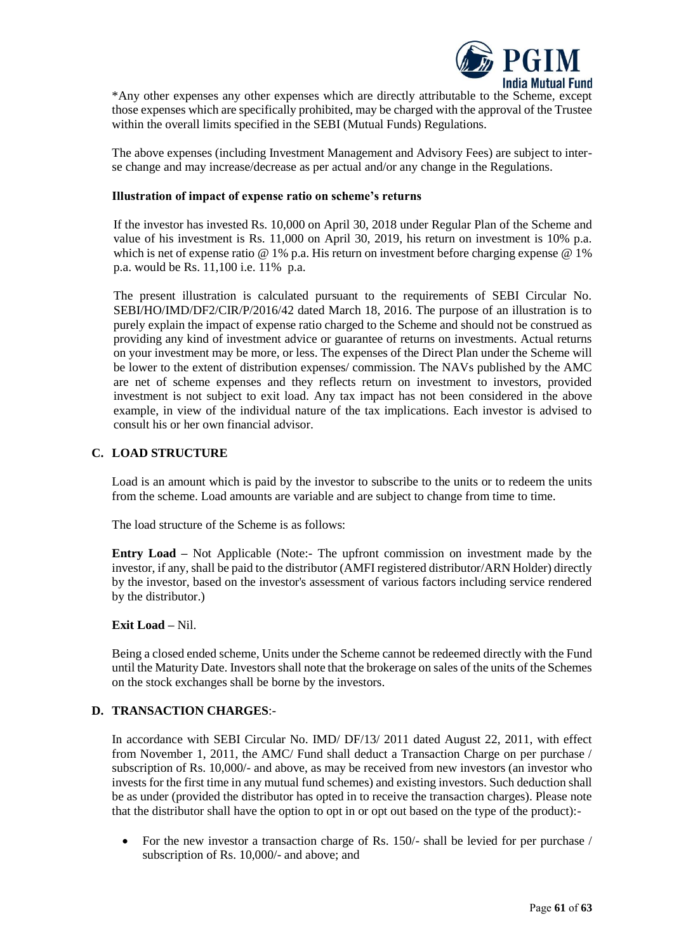

\*Any other expenses any other expenses which are directly attributable to the Scheme, except those expenses which are specifically prohibited, may be charged with the approval of the Trustee within the overall limits specified in the SEBI (Mutual Funds) Regulations.

The above expenses (including Investment Management and Advisory Fees) are subject to interse change and may increase/decrease as per actual and/or any change in the Regulations.

#### **Illustration of impact of expense ratio on scheme's returns**

If the investor has invested Rs. 10,000 on April 30, 2018 under Regular Plan of the Scheme and value of his investment is Rs. 11,000 on April 30, 2019, his return on investment is 10% p.a. which is net of expense ratio @ 1% p.a. His return on investment before charging expense @ 1% p.a. would be Rs. 11,100 i.e. 11% p.a.

The present illustration is calculated pursuant to the requirements of SEBI Circular No. SEBI/HO/IMD/DF2/CIR/P/2016/42 dated March 18, 2016. The purpose of an illustration is to purely explain the impact of expense ratio charged to the Scheme and should not be construed as providing any kind of investment advice or guarantee of returns on investments. Actual returns on your investment may be more, or less. The expenses of the Direct Plan under the Scheme will be lower to the extent of distribution expenses/ commission. The NAVs published by the AMC are net of scheme expenses and they reflects return on investment to investors, provided investment is not subject to exit load. Any tax impact has not been considered in the above example, in view of the individual nature of the tax implications. Each investor is advised to consult his or her own financial advisor.

### <span id="page-60-0"></span>**C. LOAD STRUCTURE**

Load is an amount which is paid by the investor to subscribe to the units or to redeem the units from the scheme. Load amounts are variable and are subject to change from time to time.

The load structure of the Scheme is as follows:

**Entry Load** – Not Applicable (Note:- The upfront commission on investment made by the investor, if any, shall be paid to the distributor (AMFI registered distributor/ARN Holder) directly by the investor, based on the investor's assessment of various factors including service rendered by the distributor.)

### **Exit Load –** Nil.

Being a closed ended scheme, Units under the Scheme cannot be redeemed directly with the Fund until the Maturity Date. Investors shall note that the brokerage on sales of the units of the Schemes on the stock exchanges shall be borne by the investors.

### <span id="page-60-1"></span>**D. TRANSACTION CHARGES**:-

In accordance with SEBI Circular No. IMD/ DF/13/ 2011 dated August 22, 2011, with effect from November 1, 2011, the AMC/ Fund shall deduct a Transaction Charge on per purchase / subscription of Rs. 10,000/- and above, as may be received from new investors (an investor who invests for the first time in any mutual fund schemes) and existing investors. Such deduction shall be as under (provided the distributor has opted in to receive the transaction charges). Please note that the distributor shall have the option to opt in or opt out based on the type of the product):-

• For the new investor a transaction charge of Rs. 150/- shall be levied for per purchase / subscription of Rs. 10,000/- and above; and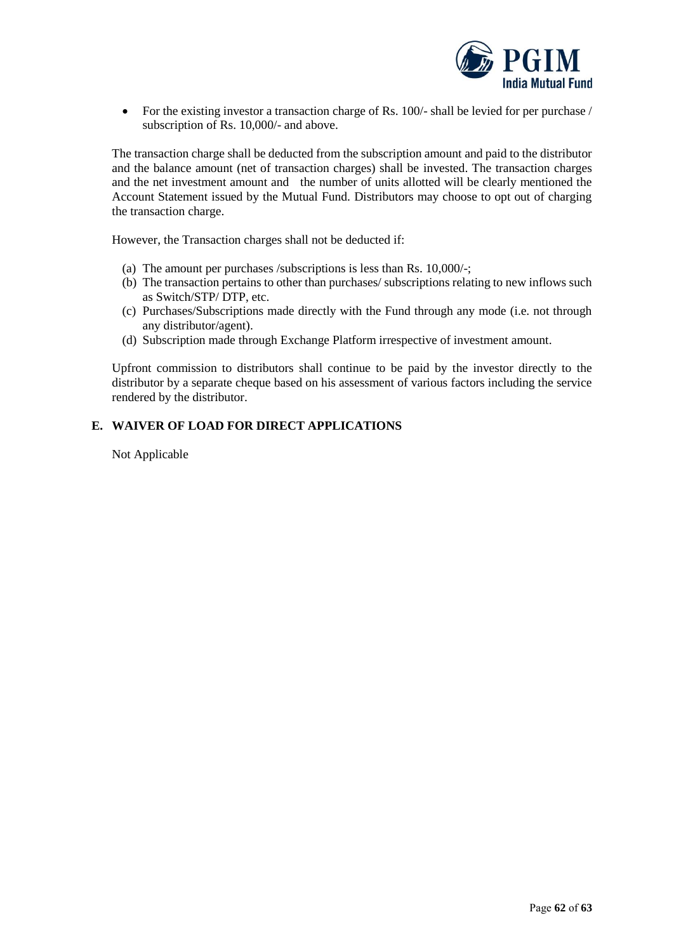

• For the existing investor a transaction charge of Rs. 100/- shall be levied for per purchase / subscription of Rs. 10,000/- and above.

The transaction charge shall be deducted from the subscription amount and paid to the distributor and the balance amount (net of transaction charges) shall be invested. The transaction charges and the net investment amount and the number of units allotted will be clearly mentioned the Account Statement issued by the Mutual Fund. Distributors may choose to opt out of charging the transaction charge.

However, the Transaction charges shall not be deducted if:

- (a) The amount per purchases /subscriptions is less than Rs. 10,000/-;
- (b) The transaction pertains to other than purchases/ subscriptions relating to new inflows such as Switch/STP/ DTP, etc.
- (c) Purchases/Subscriptions made directly with the Fund through any mode (i.e. not through any distributor/agent).
- (d) Subscription made through Exchange Platform irrespective of investment amount.

Upfront commission to distributors shall continue to be paid by the investor directly to the distributor by a separate cheque based on his assessment of various factors including the service rendered by the distributor.

# <span id="page-61-0"></span>**E. WAIVER OF LOAD FOR DIRECT APPLICATIONS**

Not Applicable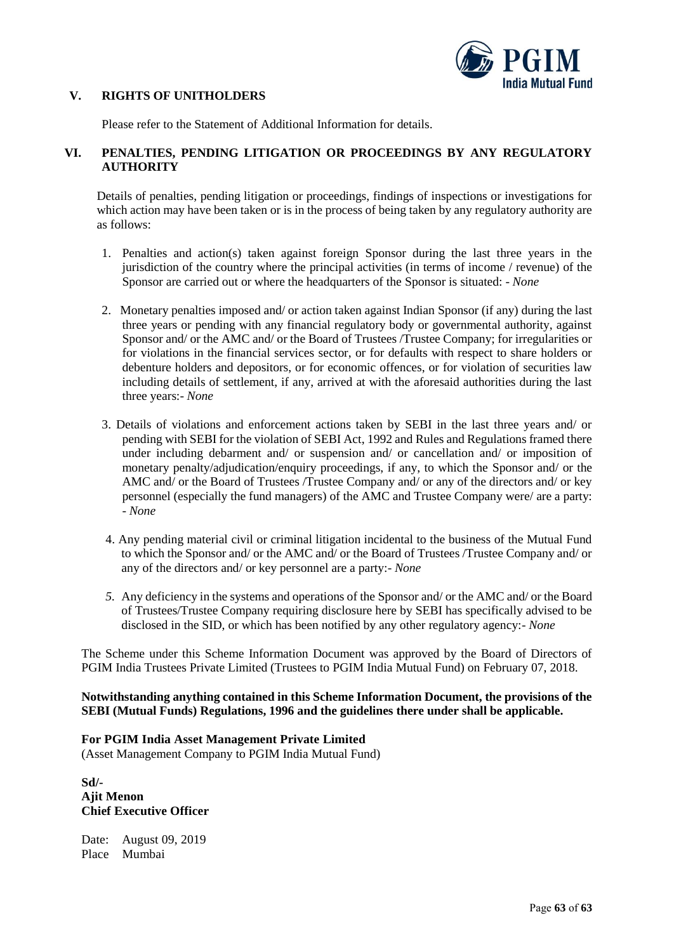

### <span id="page-62-0"></span>**V. RIGHTS OF UNITHOLDERS**

Please refer to the Statement of Additional Information for details.

# <span id="page-62-1"></span>**VI. PENALTIES, PENDING LITIGATION OR PROCEEDINGS BY ANY REGULATORY AUTHORITY**

Details of penalties, pending litigation or proceedings, findings of inspections or investigations for which action may have been taken or is in the process of being taken by any regulatory authority are as follows:

- 1. Penalties and action(s) taken against foreign Sponsor during the last three years in the jurisdiction of the country where the principal activities (in terms of income / revenue) of the Sponsor are carried out or where the headquarters of the Sponsor is situated: - *None*
- 2. Monetary penalties imposed and/ or action taken against Indian Sponsor (if any) during the last three years or pending with any financial regulatory body or governmental authority, against Sponsor and/ or the AMC and/ or the Board of Trustees /Trustee Company; for irregularities or for violations in the financial services sector, or for defaults with respect to share holders or debenture holders and depositors, or for economic offences, or for violation of securities law including details of settlement, if any, arrived at with the aforesaid authorities during the last three years:- *None*
- 3. Details of violations and enforcement actions taken by SEBI in the last three years and/ or pending with SEBI for the violation of SEBI Act, 1992 and Rules and Regulations framed there under including debarment and/ or suspension and/ or cancellation and/ or imposition of monetary penalty/adjudication/enquiry proceedings, if any, to which the Sponsor and/ or the AMC and/ or the Board of Trustees /Trustee Company and/ or any of the directors and/ or key personnel (especially the fund managers) of the AMC and Trustee Company were/ are a party: - *None*
- 4. Any pending material civil or criminal litigation incidental to the business of the Mutual Fund to which the Sponsor and/ or the AMC and/ or the Board of Trustees /Trustee Company and/ or any of the directors and/ or key personnel are a party:- *None*
- *5.* Any deficiency in the systems and operations of the Sponsor and/ or the AMC and/ or the Board of Trustees/Trustee Company requiring disclosure here by SEBI has specifically advised to be disclosed in the SID, or which has been notified by any other regulatory agency:- *None*

The Scheme under this Scheme Information Document was approved by the Board of Directors of PGIM India Trustees Private Limited (Trustees to PGIM India Mutual Fund) on February 07, 2018.

### **Notwithstanding anything contained in this Scheme Information Document, the provisions of the SEBI (Mutual Funds) Regulations, 1996 and the guidelines there under shall be applicable.**

### **For PGIM India Asset Management Private Limited**

(Asset Management Company to PGIM India Mutual Fund)

**Sd/- Ajit Menon Chief Executive Officer** 

Date: August 09, 2019 Place Mumbai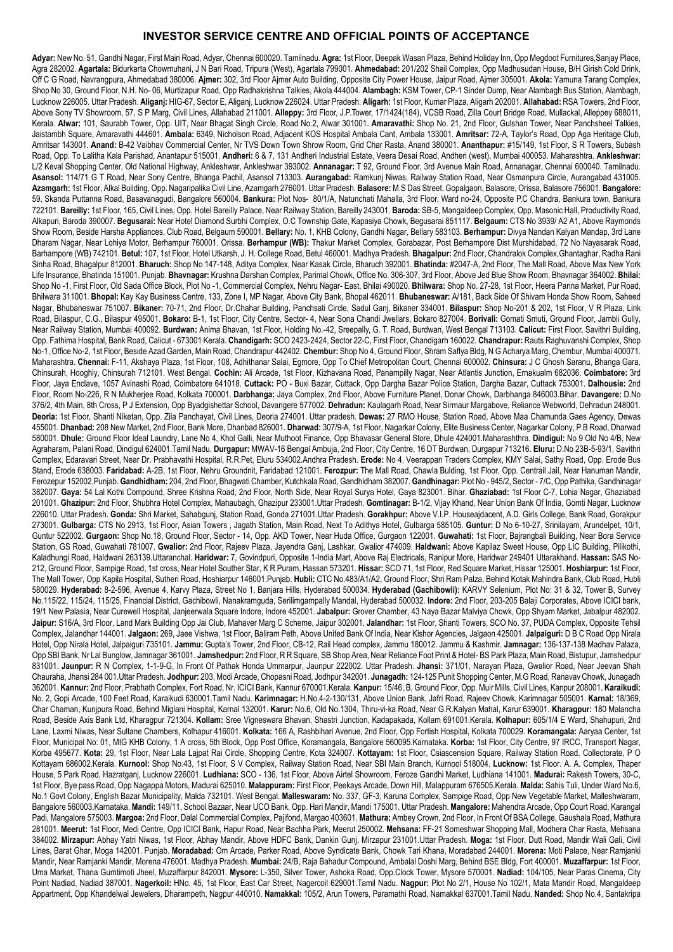#### **INVESTOR SERVICE CENTRE AND OFFICIAL POINTS OF ACCEPTANCE**

**Adyar:** New No. 51, Gandhi Nagar, First Main Road, Adyar, Chennai 600020. Tamilnadu. **Agra:** 1st Floor, Deepak Wasan Plaza, Behind Holiday Inn, Opp Megdoot Furnitures,Sanjay Place, Agra 282002. **Agartala:** Bidurkarta Chowmuhani, J N Bari Road, Tripura (West), Agartala 799001. **Ahmedabad:** 201/202 Shail Complex, Opp Madhusudan House, B/H Girish Cold Drink, Off C G Road, Navrangpura, Ahmedabad 380006. **Ajmer:** 302, 3rd Floor Ajmer Auto Building, Opposite City Power House, Jaipur Road, Ajmer 305001. **Akola:** Yamuna Tarang Complex, Shop No 30, Ground Floor, N.H. No- 06, Murtizapur Road, Opp Radhakrishna Talkies, Akola 444004. **Alambagh:** KSM Tower, CP-1 Sinder Dump, Near Alambagh Bus Station, Alambagh, Lucknow 226005. Uttar Pradesh. **Aliganj:** HIG-67, Sector E, Aliganj, Lucknow 226024. Uttar Pradesh. **Aligarh:** 1st Floor, Kumar Plaza, Aligarh 202001. **Allahabad:** RSA Towers, 2nd Floor, Above Sony TV Showroom, 57, S P Marg, Civil Lines, Allahabad 211001. **Alleppy:** 3rd Floor, J.P.Tower, 17/1424(184), VCSB Road, Zilla Court Bridge Road, Mullackal, Alleppey 688011, Kerala. **Alwar:** 101, Saurabh Tower, Opp. UIT, Near Bhagat Singh Circle, Road No.2, Alwar 301001. **Amaravathi:** Shop No. 21, 2nd Floor, Gulshan Tower, Near Panchsheel Talkies, Jaistambh Square, Amaravathi 444601. **Ambala:** 6349, Nicholson Road, Adjacent KOS Hospital Ambala Cant, Ambala 133001. **Amritsar:** 72-A, Taylor's Road, Opp Aga Heritage Club, Amritsar 143001. **Anand:** B-42 Vaibhav Commercial Center, Nr TVS Down Town Shrow Room, Grid Char Rasta, Anand 380001. **Ananthapur:** #15/149, 1st Floor, S R Towers, Subash Road, Opp. To Lalitha Kala Parishad, Anantapur 515001. Andheri: 6 & 7, 131 Andheri Industrial Estate, Veera Desai Road, Andheri (west), Mumbai 400053. Maharashtra. Ankleshwar: L/2 Keval Shopping Center, Old National Highway, Ankleshwar, Ankleshwar 393002. **Annanagar:** T 92, Ground Floor, 3rd Avenue Main Road, Annanagar, Chennai 600040. Tamilnadu. **Asansol:** 114/71 G T Road, Near Sony Centre, Bhanga Pachil, Asansol 713303. **Aurangabad:** Ramkunj Niwas, Railway Station Road, Near Osmanpura Circle, Aurangabad 431005. **Azamgarh:** 1st Floor, Alkal Building, Opp. Nagaripalika Civil Line, Azamgarh 276001. Uttar Pradesh. **Balasore:** M.S Das Street, Gopalgaon, Balasore, Orissa, Balasore 756001. **Bangalore:**  59, Skanda Puttanna Road, Basavanagudi, Bangalore 560004. **Bankura:** Plot Nos- 80/1/A, Natunchati Mahalla, 3rd Floor, Ward no-24, Opposite P.C Chandra, Bankura town, Bankura 722101. **Bareilly:** 1st Floor, 165, Civil Lines, Opp. Hotel Bareilly Palace, Near Railway Station, Bareilly 243001. **Baroda:** SB-5, Mangaldeep Complex, Opp. Masonic Hall, Productivity Road, Alkapuri, Baroda 390007. **Begusarai:** Near Hotel Diamond Surbhi Complex, O.C Township Gate, Kapasiya Chowk, Begusarai 851117. **Belgaum:** CTS No 3939/ A2 A1, Above Raymonds Show Room, Beside Harsha Appliances, Club Road, Belgaum 590001. **Bellary:** No. 1, KHB Colony, Gandhi Nagar, Bellary 583103. **Berhampur:** Divya Nandan Kalyan Mandap, 3rd Lane Dharam Nagar, Near Lohiya Motor, Berhampur 760001. Orissa. **Berhampur (WB):** Thakur Market Complex, Gorabazar, Post Berhampore Dist Murshidabad, 72 No Nayasarak Road, Barhampore (WB) 742101. **Betul:** 107, 1st Floor, Hotel Utkarsh, J. H. College Road, Betul 460001. Madhya Pradesh. **Bhagalpur:** 2nd Floor, Chandralok Complex,Ghantaghar, Radha Rani Sinha Road, Bhagalpur 812001. **Bharuch:** Shop No 147-148, Aditya Complex, Near Kasak Circle, Bharuch 392001. **Bhatinda:** #2047-A, 2nd Floor, The Mall Road, Above Max New York Life Insurance, Bhatinda 151001. Punjab. **Bhavnagar:** Krushna Darshan Complex, Parimal Chowk, Office No. 306-307, 3rd Floor, Above Jed Blue Show Room, Bhavnagar 364002. **Bhilai:** Shop No -1, First Floor, Old Sada Office Block, Plot No -1, Commercial Complex, Nehru Nagar- East, Bhilai 490020. **Bhilwara:** Shop No. 27-28, 1st Floor, Heera Panna Market, Pur Road, Bhilwara 311001. **Bhopal:** Kay Kay Business Centre, 133, Zone I, MP Nagar, Above City Bank, Bhopal 462011. **Bhubaneswar:** A/181, Back Side Of Shivam Honda Show Room, Saheed Nagar, Bhubaneswar 751007. **Bikaner:** 70-71, 2nd Floor, Dr.Chahar Building, Panchsati Circle, Sadul Ganj, Bikaner 334001. **Bilaspur:** Shop No-201 & 202, 1st Floor, V R Plaza, Link Road, Bilaspur, C.G., Bilaspur 495001. **Bokaro:** B-1, 1st Floor, City Centre, Sector- 4, Near Sona Chandi Jwellars, Bokaro 827004. **Borivali:** Gomati Smuti, Ground Floor, Jambli Gully, Near Railway Station, Mumbai 400092. **Burdwan:** Anima Bhavan, 1st Floor, Holding No.-42, Sreepally, G. T. Road, Burdwan, West Bengal 713103. **Calicut:** First Floor, Savithri Building, Opp. Fathima Hospital, Bank Road, Calicut - 673001 Kerala. **Chandigarh:** SCO 2423-2424, Sector 22-C, First Floor, Chandigarh 160022. **Chandrapur:** Rauts Raghuvanshi Complex, Shop No-1, Office No-2, 1st Floor, Beside Azad Garden, Main Road, Chandrapur 442402. **Chembur:** Shop No 4, Ground Floor, Shram Saflya Bldg, N G Acharya Marg, Chembur, Mumbai 400071. Maharashtra. **Chennai:** F-11, Akshaya Plaza, 1st Floor, 108, Adhithanar Salai, Egmore, Opp To Chief Metropolitan Court, Chennai 600002. **Chinsura:** J C Ghosh Saranu, Bhanga Gara, Chinsurah, Hooghly, Chinsurah 712101. West Bengal. **Cochin:** Ali Arcade, 1st Floor, Kizhavana Road, Panampilly Nagar, Near Atlantis Junction, Ernakualm 682036. **Coimbatore:** 3rd Floor, Jaya Enclave, 1057 Avinashi Road, Coimbatore 641018. **Cuttack:** PO - Buxi Bazar, Cuttack, Opp Dargha Bazar Police Station, Dargha Bazar, Cuttack 753001. **Dalhousie:** 2nd Floor, Room No-226, R N Mukherjee Road, Kolkata 700001. **Darbhanga:** Jaya Complex, 2nd Floor, Above Furniture Planet, Donar Chowk, Darbhanga 846003.Bihar. **Davangere:** D.No 376/2, 4th Main, 8th Cross, P J Extension, Opp Byadgishettar School, Davangere 577002. **Dehradun:** Kaulagarh Road, Near Sirmaur Margabove, Reliance Webworld, Dehradun 248001. **Deoria:** 1st Floor, Shanti Niketan, Opp. Zila Panchayat, Civil Lines, Deoria 274001. Uttar pradesh. **Dewas:** 27 RMO House, Station Road, Above Maa Chamunda Gaes Agency, Dewas 455001. **Dhanbad:** 208 New Market, 2nd Floor, Bank More, Dhanbad 826001. **Dharwad:** 307/9-A, 1st Floor, Nagarkar Colony, Elite Business Center, Nagarkar Colony, P B Road, Dharwad 580001. **Dhule:** Ground Floor Ideal Laundry, Lane No 4, Khol Galli, Near Muthoot Finance, Opp Bhavasar General Store, Dhule 424001.Maharashthra. **Dindigul:** No 9 Old No 4/B, New Agraharam, Palani Road, Dindigul 624001.Tamil Nadu. **Durgapur:** MWAV-16 Bengal Ambuja, 2nd Floor, City Centre, 16 DT Burdwan, Durgapur 713216. **Eluru:** D.No 23B-5-93/1, Savithri Complex, Edaravari Street, Near Dr. Prabhavathi Hospital, R.R.Pet, Eluru 534002.Andhra Pradesh. **Erode:** No 4, Veerappan Traders Complex, KMY Salai, Sathy Road, Opp. Erode Bus Stand, Erode 638003. **Faridabad:** A-2B, 1st Floor, Nehru Groundnit, Faridabad 121001. **Ferozpur:** The Mall Road, Chawla Bulding, 1st Floor, Opp. Centrail Jail, Near Hanuman Mandir, Ferozepur 152002.Punjab. **Gandhidham:** 204, 2nd Floor, Bhagwati Chamber, Kutchkala Road, Gandhidham 382007. **Gandhinagar:** Plot No - 945/2, Sector - 7/C, Opp Pathika, Gandhinagar 382007. **Gaya:** 54 Lal Kothi Compound, Shree Krishna Road, 2nd Floor, North Side, Near Royal Surya Hotel, Gaya 823001. Bihar. **Ghaziabad:** 1st Floor C-7, Lohia Nagar, Ghaziabad 201001. **Ghazipur:** 2nd Floor, Shubhra Hotel Complex, Mahaubagh, Ghazipur 233001.Uttar Pradesh. **Gomtinagar:** B-1/2, Vijay Khand, Near Union Bank Of India, Gomti Nagar, Lucknow 226010. Uttar Pradesh. **Gonda:** Shri Market, Sahabgunj, Station Road, Gonda 271001.Uttar Pradesh. **Gorakhpur:** Above V.I.P. Houseajdacent, A.D. Girls College, Bank Road, Gorakpur 273001. **Gulbarga:** CTS No 2913, 1st Floor, Asian Towers , Jagath Station, Main Road, Next To Adithya Hotel, Gulbarga 585105. **Guntur:** D No 6-10-27, Srinilayam, Arundelpet, 10/1, Guntur 522002. **Gurgaon:** Shop No.18, Ground Floor, Sector - 14, Opp. AKD Tower, Near Huda Office, Gurgaon 122001. **Guwahati:** 1st Floor, Bajrangbali Building, Near Bora Service Station, GS Road, Guwahati 781007. **Gwalior:** 2nd Floor, Rajeev Plaza, Jayendra Ganj, Lashkar, Gwalior 474009. **Haldwani:** Above Kapilaz Sweet House, Opp LIC Building, Pilikothi, Kaladhungi Road, Haldwani 263139.Uttaranchal. **Haridwar:** 7, Govindpuri, Opposite 1-India Mart, Above Raj Electricals, Ranipur More, Haridwar 249401 Uttarakhand. **Hassan:** SAS No-212, Ground Floor, Sampige Road, 1st cross, Near Hotel Souther Star, K R Puram, Hassan 573201. **Hissar:** SCO 71, 1st Floor, Red Square Market, Hissar 125001. **Hoshiarpur:** 1st Floor, The Mall Tower, Opp Kapila Hospital, Sutheri Road, Hoshiarpur 146001.Punjab. **Hubli:** CTC No.483/A1/A2, Ground Floor, Shri Ram Palza, Behind Kotak Mahindra Bank, Club Road, Hubli 580029. **Hyderabad:** 8-2-596, Avenue 4, Karvy Plaza, Street No 1, Banjara Hills, Hyderabad 500034. **Hyderabad (Gachibowli):** KARVY Selenium, Plot No: 31 & 32, Tower B, Survey No.115/22, 115/24, 115/25, Financial District, Gachibowli, Nanakramguda, Serilimgampally Mandal, Hyderabad 500032. **Indore:** 2nd Floor, 203-205 Balaji Corporates, Above ICICI bank, 19/1 New Palasia, Near Curewell Hospital, Janjeerwala Square Indore, Indore 452001. **Jabalpur:** Grover Chamber, 43 Naya Bazar Malviya Chowk, Opp Shyam Market, Jabalpur 482002. **Jaipur:** S16/A, 3rd Floor, Land Mark Building Opp Jai Club, Mahaver Marg C Scheme, Jaipur 302001. **Jalandhar:** 1st Floor, Shanti Towers, SCO No. 37, PUDA Complex, Opposite Tehsil Complex, Jalandhar 144001. **Jalgaon:** 269, Jaee Vishwa, 1st Floor, Baliram Peth, Above United Bank Of India, Near Kishor Agencies, Jalgaon 425001. **Jalpaiguri:** D B C Road Opp Nirala Hotel, Opp Nirala Hotel, Jalpaiguri 735101. **Jammu:** Gupta's Tower, 2nd Floor, CB-12, Rail Head complex, Jammu 180012. Jammu & Kashmir. **Jamnagar:** 136-137-138 Madhav Palaza, Opp SBI Bank, Nr Lal Bunglow, Jamnagar 361001. **Jamshedpur:** 2nd Floor, R R Square, SB Shop Area, Near Reliance Foot Print & Hotel- BS Park Plaza, Main Road, Bistupur, Jamshedpur 831001. **Jaunpur:** R N Complex, 1-1-9-G, In Front Of Pathak Honda Ummarpur, Jaunpur 222002. Uttar Pradesh. **Jhansi:** 371/01, Narayan Plaza, Gwalior Road, Near Jeevan Shah Chauraha, Jhansi 284 001.Uttar Pradesh. **Jodhpur:** 203, Modi Arcade, Chopasni Road, Jodhpur 342001. **Junagadh:** 124-125 Punit Shopping Center, M.G Road, Ranavav Chowk, Junagadh 362001. **Kannur:** 2nd Floor, Prabhath Complex, Fort Road, Nr. ICICI Bank, Kannur 670001.Kerala. **Kanpur:** 15/46, B, Ground Floor, Opp. Muir Mills, Civil Lines, Kanpur 208001. **Karaikudi:** No. 2, Gopi Arcade, 100 Feet Road, Karaikudi 630001.Tamil Nadu. **Karimnagar:** H.No.4-2-130/131, Above Union Bank, Jafri Road, Rajeev Chowk, Karimnagar 505001. **Karnal:** 18/369, Char Chaman, Kunjpura Road, Behind Miglani Hospital, Karnal 132001. **Karur:** No.6, Old No.1304, Thiru-vi-ka Road, Near G.R.Kalyan Mahal, Karur 639001. **Kharagpur:** 180 Malancha Road, Beside Axis Bank Ltd, Kharagpur 721304. **Kollam:** Sree Vigneswara Bhavan, Shastri Junction, Kadapakada, Kollam 691001.Kerala. **Kolhapur:** 605/1/4 E Ward, Shahupuri, 2nd Lane, Laxmi Niwas, Near Sultane Chambers, Kolhapur 416001. **Kolkata:** 166 A, Rashbihari Avenue, 2nd Floor, Opp Fortish Hospital, Kolkata 700029. **Koramangala:** Aaryaa Center, 1st Floor, Municipal No: 01, MIG KHB Colony, 1 A cross, 5th Block, Opp Post Office, Koramangala, Bangalore 560095.Karnataka. **Korba:** 1st Floor, City Centre, 97 IRCC, Transport Nagar, Korba 495677. **Kota:** 29, 1st Floor, Near Lala Lajpat Rai Circle, Shopping Centre, Kota 324007. **Kottayam:** 1st Floor, Csiascension Square, Railway Station Road, Collectorate, P O Kottayam 686002.Kerala. **Kurnool:** Shop No.43, 1st Floor, S V Complex, Railway Station Road, Near SBI Main Branch, Kurnool 518004. **Lucknow:** 1st Floor. A. A. Complex, Thaper House, 5 Park Road, Hazratganj, Lucknow 226001. **Ludhiana:** SCO - 136, 1st Floor, Above Airtel Showroom, Feroze Gandhi Market, Ludhiana 141001. **Madurai:** Rakesh Towers, 30-C, 1st Floor, Bye pass Road, Opp Nagappa Motors, Madurai 625010. **Malappuram:** First Floor, Peekays Arcade, Down Hill, Malappuram 676505.Kerala. **Malda:** Sahis Tuli, Under Ward No.6, No.1 Govt Colony, English Bazar Municipality, Malda 732101. West Bengal. **Malleswaram:** No. 337, GF-3, Karuna Complex, Sampige Road, Opp New Vegetable Market, Malleshwaram, Bangalore 560003.Karnataka. **Mandi:** 149/11, School Bazaar, Near UCO Bank, Opp. Hari Mandir, Mandi 175001. Uttar Pradesh. **Mangalore:** Mahendra Arcade, Opp Court Road, Karangal Padi, Mangalore 575003. **Margoa:** 2nd Floor, Dalal Commercial Complex, Pajifond, Margao 403601. **Mathura:** Ambey Crown, 2nd Floor, In Front Of BSA College, Gaushala Road, Mathura 281001. **Meerut:** 1st Floor, Medi Centre, Opp ICICI Bank, Hapur Road, Near Bachha Park, Meerut 250002. **Mehsana:** FF-21 Someshwar Shopping Mall, Modhera Char Rasta, Mehsana 384002. **Mirzapur:** Abhay Yatri Niwas, 1st Floor, Abhay Mandir, Above HDFC Bank, Dankin Gunj, Mirzapur 231001.Uttar Pradesh. **Moga:** 1st Floor, Dutt Road, Mandir Wali Gali, Civil Lines, Barat Ghar, Moga 142001. Punjab. **Moradabad:** Om Arcade, Parker Road, Above Syndicate Bank, Chowk Tari Khana, Moradabad 244001. **Morena:** Moti Palace, Near Ramjanki Mandir, Near Ramjanki Mandir, Morena 476001. Madhya Pradesh. **Mumbai:** 24/B, Raja Bahadur Compound, Ambalal Doshi Marg, Behind BSE Bldg, Fort 400001. **Muzaffarpur:** 1st Floor, Uma Market, Thana Gumtimoti Jheel, Muzaffarpur 842001. **Mysore:** L-350, Silver Tower, Ashoka Road, Opp.Clock Tower, Mysore 570001. **Nadiad:** 104/105, Near Paras Cinema, City Point Nadiad, Nadiad 387001. **Nagerkoil:** HNo. 45, 1st Floor, East Car Street, Nagercoil 629001.Tamil Nadu. **Nagpur:** Plot No 2/1, House No 102/1, Mata Mandir Road, Mangaldeep Appartment, Opp Khandelwal Jewelers, Dharampeth, Nagpur 440010. **Namakkal:** 105/2, Arun Towers, Paramathi Road, Namakkal 637001.Tamil Nadu. **Nanded:** Shop No.4, Santakripa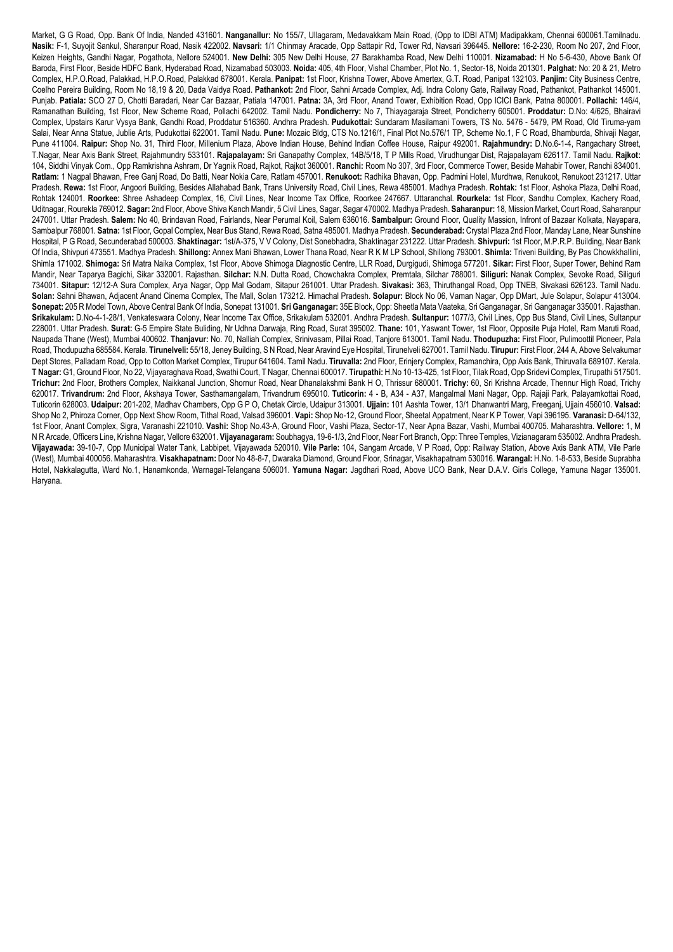Market, G G Road, Opp. Bank Of India, Nanded 431601. **Nanganallur:** No 155/7, Ullagaram, Medavakkam Main Road, (Opp to IDBI ATM) Madipakkam, Chennai 600061.Tamilnadu. **Nasik:** F-1, Suyojit Sankul, Sharanpur Road, Nasik 422002. **Navsari:** 1/1 Chinmay Aracade, Opp Sattapir Rd, Tower Rd, Navsari 396445. **Nellore:** 16-2-230, Room No 207, 2nd Floor, Keizen Heights, Gandhi Nagar, Pogathota, Nellore 524001. **New Delhi:** 305 New Delhi House, 27 Barakhamba Road, New Delhi 110001. **Nizamabad:** H No 5-6-430, Above Bank Of Baroda, First Floor, Beside HDFC Bank, Hyderabad Road, Nizamabad 503003. **Noida:** 405, 4th Floor, Vishal Chamber, Plot No. 1, Sector-18, Noida 201301. **Palghat:** No: 20 & 21, Metro Complex, H.P.O.Road, Palakkad, H.P.O.Road, Palakkad 678001. Kerala. **Panipat:** 1st Floor, Krishna Tower, Above Amertex, G.T. Road, Panipat 132103. **Panjim:** City Business Centre, Coelho Pereira Building, Room No 18,19 & 20, Dada Vaidya Road. **Pathankot:** 2nd Floor, Sahni Arcade Complex, Adj. Indra Colony Gate, Railway Road, Pathankot, Pathankot 145001. Punjab. **Patiala:** SCO 27 D, Chotti Baradari, Near Car Bazaar, Patiala 147001. **Patna:** 3A, 3rd Floor, Anand Tower, Exhibition Road, Opp ICICI Bank, Patna 800001. **Pollachi:** 146/4, Ramanathan Building, 1st Floor, New Scheme Road, Pollachi 642002. Tamil Nadu. **Pondicherry:** No 7, Thiayagaraja Street, Pondicherry 605001. **Proddatur:** D.No: 4/625, Bhairavi Complex, Upstairs Karur Vysya Bank, Gandhi Road, Proddatur 516360. Andhra Pradesh. **Pudukottai:** Sundaram Masilamani Towers, TS No. 5476 - 5479, PM Road, Old Tiruma-yam Salai, Near Anna Statue, Jublie Arts, Pudukottai 622001. Tamil Nadu. **Pune:** Mozaic Bldg, CTS No.1216/1, Final Plot No.576/1 TP, Scheme No.1, F C Road, Bhamburda, Shivaji Nagar, Pune 411004. **Raipur:** Shop No. 31, Third Floor, Millenium Plaza, Above Indian House, Behind Indian Coffee House, Raipur 492001. **Rajahmundry:** D.No.6-1-4, Rangachary Street, T.Nagar, Near Axis Bank Street, Rajahmundry 533101. **Rajapalayam:** Sri Ganapathy Complex, 14B/5/18, T P Mills Road, Virudhungar Dist, Rajapalayam 626117. Tamil Nadu. **Rajkot:** 104, Siddhi Vinyak Com., Opp Ramkrishna Ashram, Dr Yagnik Road, Rajkot, Rajkot 360001. **Ranchi:** Room No 307, 3rd Floor, Commerce Tower, Beside Mahabir Tower, Ranchi 834001. **Ratlam:** 1 Nagpal Bhawan, Free Ganj Road, Do Batti, Near Nokia Care, Ratlam 457001. **Renukoot:** Radhika Bhavan, Opp. Padmini Hotel, Murdhwa, Renukoot, Renukoot 231217. Uttar Pradesh. **Rewa:** 1st Floor, Angoori Building, Besides Allahabad Bank, Trans University Road, Civil Lines, Rewa 485001. Madhya Pradesh. **Rohtak:** 1st Floor, Ashoka Plaza, Delhi Road, Rohtak 124001. **Roorkee:** Shree Ashadeep Complex, 16, Civil Lines, Near Income Tax Office, Roorkee 247667. Uttaranchal. **Rourkela:** 1st Floor, Sandhu Complex, Kachery Road, Uditnagar, Rourekla 769012. **Sagar:** 2nd Floor, Above Shiva Kanch Mandir, 5 Civil Lines, Sagar, Sagar 470002. Madhya Pradesh. **Saharanpur:** 18, Mission Market, Court Road, Saharanpur 247001. Uttar Pradesh. **Salem:** No 40, Brindavan Road, Fairlands, Near Perumal Koil, Salem 636016. **Sambalpur:** Ground Floor, Quality Massion, Infront of Bazaar Kolkata, Nayapara, Sambalpur 768001. **Satna:** 1st Floor, Gopal Complex, Near Bus Stand, Rewa Road, Satna 485001. Madhya Pradesh. **Secunderabad:** Crystal Plaza 2nd Floor, Manday Lane, Near Sunshine Hospital, P G Road, Secunderabad 500003. **Shaktinagar:** 1st/A-375, V V Colony, Dist Sonebhadra, Shaktinagar 231222. Uttar Pradesh. **Shivpuri:** 1st Floor, M.P.R.P. Building, Near Bank Of India, Shivpuri 473551. Madhya Pradesh. **Shillong:** Annex Mani Bhawan, Lower Thana Road, Near R K M LP School, Shillong 793001. **Shimla:** Triveni Building, By Pas Chowkkhallini, Shimla 171002. **Shimoga:** Sri Matra Naika Complex, 1st Floor, Above Shimoga Diagnostic Centre, LLR Road, Durgigudi, Shimoga 577201. **Sikar:** First Floor, Super Tower, Behind Ram Mandir, Near Taparya Bagichi, Sikar 332001. Rajasthan. **Silchar:** N.N. Dutta Road, Chowchakra Complex, Premtala, Silchar 788001. **Siliguri:** Nanak Complex, Sevoke Road, Siliguri 734001. **Sitapur:** 12/12-A Sura Complex, Arya Nagar, Opp Mal Godam, Sitapur 261001. Uttar Pradesh. **Sivakasi:** 363, Thiruthangal Road, Opp TNEB, Sivakasi 626123. Tamil Nadu. **Solan:** Sahni Bhawan, Adjacent Anand Cinema Complex, The Mall, Solan 173212. Himachal Pradesh. **Solapur:** Block No 06, Vaman Nagar, Opp DMart, Jule Solapur, Solapur 413004. **Sonepat:** 205 R Model Town, Above Central Bank Of India, Sonepat 131001. **Sri Ganganagar:** 35E Block, Opp: Sheetla Mata Vaateka, Sri Ganganagar, Sri Ganganagar 335001. Rajasthan. **Srikakulam:** D.No-4-1-28/1, Venkateswara Colony, Near Income Tax Office, Srikakulam 532001. Andhra Pradesh. **Sultanpur:** 1077/3, Civil Lines, Opp Bus Stand, Civil Lines, Sultanpur 228001. Uttar Pradesh. **Surat:** G-5 Empire State Buliding, Nr Udhna Darwaja, Ring Road, Surat 395002. **Thane:** 101, Yaswant Tower, 1st Floor, Opposite Puja Hotel, Ram Maruti Road, Naupada Thane (West), Mumbai 400602. **Thanjavur:** No. 70, Nalliah Complex, Srinivasam, Pillai Road, Tanjore 613001. Tamil Nadu. **Thodupuzha:** First Floor, Pulimoottil Pioneer, Pala Road, Thodupuzha 685584. Kerala. **Tirunelveli:** 55/18, Jeney Building, S N Road, Near Aravind Eye Hospital, Tirunelveli 627001. Tamil Nadu. **Tirupur:** First Floor, 244 A, Above Selvakumar Dept Stores, Palladam Road, Opp to Cotton Market Complex, Tirupur 641604. Tamil Nadu. **Tiruvalla:** 2nd Floor, Erinjery Complex, Ramanchira, Opp Axis Bank, Thiruvalla 689107. Kerala. **T Nagar:** G1, Ground Floor, No 22, Vijayaraghava Road, Swathi Court, T Nagar, Chennai 600017. **Tirupathi:** H.No 10-13-425, 1st Floor, Tilak Road, Opp Sridevi Complex, Tirupathi 517501. **Trichur:** 2nd Floor, Brothers Complex, Naikkanal Junction, Shornur Road, Near Dhanalakshmi Bank H O, Thrissur 680001. **Trichy:** 60, Sri Krishna Arcade, Thennur High Road, Trichy 620017. **Trivandrum:** 2nd Floor, Akshaya Tower, Sasthamangalam, Trivandrum 695010. **Tuticorin:** 4 - B, A34 - A37, Mangalmal Mani Nagar, Opp. Rajaji Park, Palayamkottai Road, Tuticorin 628003. **Udaipur:** 201-202, Madhav Chambers, Opp G P O, Chetak Circle, Udaipur 313001. **Ujjain:** 101 Aashta Tower, 13/1 Dhanwantri Marg, Freeganj, Ujjain 456010. **Valsad:** Shop No 2, Phiroza Corner, Opp Next Show Room, Tithal Road, Valsad 396001. **Vapi:** Shop No-12, Ground Floor, Sheetal Appatment, Near K P Tower, Vapi 396195. **Varanasi:** D-64/132, 1st Floor, Anant Complex, Sigra, Varanashi 221010. **Vashi:** Shop No.43-A, Ground Floor, Vashi Plaza, Sector-17, Near Apna Bazar, Vashi, Mumbai 400705. Maharashtra. **Vellore:** 1, M N R Arcade, Officers Line, Krishna Nagar, Vellore 632001. **Vijayanagaram:** Soubhagya, 19-6-1/3, 2nd Floor, Near Fort Branch, Opp: Three Temples, Vizianagaram 535002. Andhra Pradesh. **Vijayawada:** 39-10-7, Opp Municipal Water Tank, Labbipet, Vijayawada 520010. **Vile Parle:** 104, Sangam Arcade, V P Road, Opp: Railway Station, Above Axis Bank ATM, Vile Parle (West), Mumbai 400056. Maharashtra. **Visakhapatnam:** Door No 48-8-7, Dwaraka Diamond, Ground Floor, Srinagar, Visakhapatnam 530016. **Warangal:** H.No. 1-8-533, Beside Suprabha Hotel, Nakkalagutta, Ward No.1, Hanamkonda, Warnagal-Telangana 506001. **Yamuna Nagar:** Jagdhari Road, Above UCO Bank, Near D.A.V. Girls College, Yamuna Nagar 135001. Haryana.